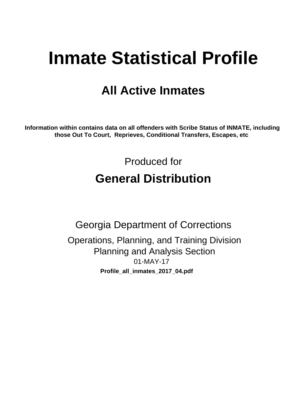# **Inmate Statistical Profile**

## **All Active Inmates**

Information within contains data on all offenders with Scribe Status of INMATE, including those Out To Court, Reprieves, Conditional Transfers, Escapes, etc

> Produced for **General Distribution**

**Georgia Department of Corrections** Operations, Planning, and Training Division **Planning and Analysis Section**  $01-MAY-17$ Profile\_all\_inmates\_2017\_04.pdf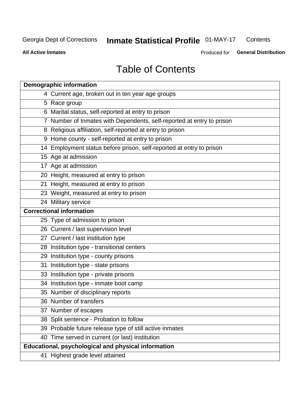#### **Inmate Statistical Profile 01-MAY-17** Contents

**All Active Inmates** 

Produced for General Distribution

## **Table of Contents**

| <b>Demographic information</b>                                        |
|-----------------------------------------------------------------------|
| 4 Current age, broken out in ten year age groups                      |
| 5 Race group                                                          |
| 6 Marital status, self-reported at entry to prison                    |
| 7 Number of Inmates with Dependents, self-reported at entry to prison |
| 8 Religious affiliation, self-reported at entry to prison             |
| 9 Home county - self-reported at entry to prison                      |
| 14 Employment status before prison, self-reported at entry to prison  |
| 15 Age at admission                                                   |
| 17 Age at admission                                                   |
| 20 Height, measured at entry to prison                                |
| 21 Height, measured at entry to prison                                |
| 23 Weight, measured at entry to prison                                |
| 24 Military service                                                   |
| <b>Correctional information</b>                                       |
| 25 Type of admission to prison                                        |
| 26 Current / last supervision level                                   |
| 27 Current / last institution type                                    |
| 28 Institution type - transitional centers                            |
| 29 Institution type - county prisons                                  |
| 31 Institution type - state prisons                                   |
| 33 Institution type - private prisons                                 |
| 34 Institution type - inmate boot camp                                |
| 35 Number of disciplinary reports                                     |
| 36 Number of transfers                                                |
| 37 Number of escapes                                                  |
| 38 Split sentence - Probation to follow                               |
| 39 Probable future release type of still active inmates               |
| 40 Time served in current (or last) institution                       |
| Educational, psychological and physical information                   |
| 41 Highest grade level attained                                       |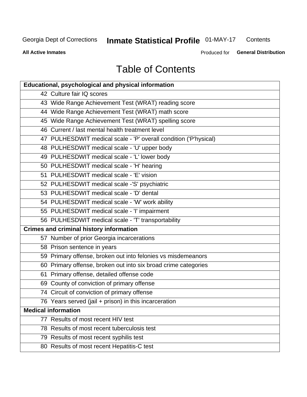## **Inmate Statistical Profile 01-MAY-17**

Contents

**All Active Inmates** 

Produced for General Distribution

## **Table of Contents**

| <b>Educational, psychological and physical information</b>       |
|------------------------------------------------------------------|
| 42 Culture fair IQ scores                                        |
| 43 Wide Range Achievement Test (WRAT) reading score              |
| 44 Wide Range Achievement Test (WRAT) math score                 |
| 45 Wide Range Achievement Test (WRAT) spelling score             |
| 46 Current / last mental health treatment level                  |
| 47 PULHESDWIT medical scale - 'P' overall condition ('P'hysical) |
| 48 PULHESDWIT medical scale - 'U' upper body                     |
| 49 PULHESDWIT medical scale - 'L' lower body                     |
| 50 PULHESDWIT medical scale - 'H' hearing                        |
| 51 PULHESDWIT medical scale - 'E' vision                         |
| 52 PULHESDWIT medical scale -'S' psychiatric                     |
| 53 PULHESDWIT medical scale - 'D' dental                         |
| 54 PULHESDWIT medical scale - 'W' work ability                   |
| 55 PULHESDWIT medical scale - 'I' impairment                     |
| 56 PULHESDWIT medical scale - 'T' transportability               |
| <b>Crimes and criminal history information</b>                   |
| 57 Number of prior Georgia incarcerations                        |
| 58 Prison sentence in years                                      |
| 59 Primary offense, broken out into felonies vs misdemeanors     |
| 60 Primary offense, broken out into six broad crime categories   |
| 61 Primary offense, detailed offense code                        |
| 69 County of conviction of primary offense                       |
| 74 Circuit of conviction of primary offense                      |
| 76 Years served (jail + prison) in this incarceration            |
| <b>Medical information</b>                                       |
| 77 Results of most recent HIV test                               |
| 78 Results of most recent tuberculosis test                      |
| 79 Results of most recent syphilis test                          |
| 80 Results of most recent Hepatitis-C test                       |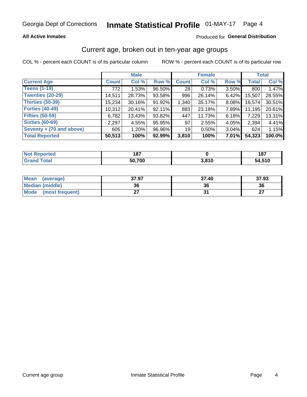### **All Active Inmates**

### Produced for General Distribution

## Current age, broken out in ten-year age groups

COL % - percent each COUNT is of its particular column

|                          |              | <b>Male</b> |        |                 | <b>Female</b> |          |              | <b>Total</b> |  |
|--------------------------|--------------|-------------|--------|-----------------|---------------|----------|--------------|--------------|--|
| <b>Current Age</b>       | <b>Count</b> | Col %       | Row %  | <b>Count</b>    | Col %         | Row %    | <b>Total</b> | Col %        |  |
| <b>Teens (1-19)</b>      | 772          | 1.53%       | 96.50% | 28              | 0.73%         | 3.50%    | 800          | 1.47%        |  |
| <b>Twenties (20-29)</b>  | 14,511       | 28.73%      | 93.58% | 996             | 26.14%        | $6.42\%$ | 15,507       | 28.55%       |  |
| Thirties (30-39)         | 15,234       | 30.16%      | 91.92% | 1,340           | 35.17%        | $8.08\%$ | 16,574       | 30.51%       |  |
| <b>Forties (40-49)</b>   | 10,312       | 20.41%      | 92.11% | 883             | 23.18%        | 7.89%    | 11,195       | 20.61%       |  |
| <b>Fifties (50-59)</b>   | 6,782        | 13.43%      | 93.82% | 447             | 11.73%        | 6.18%    | 7,229        | 13.31%       |  |
| <b>Sixties (60-69)</b>   | 2,297        | 4.55%       | 95.95% | 97              | 2.55%         | 4.05%    | 2,394        | 4.41%        |  |
| Seventy + (70 and above) | 605          | 1.20%       | 96.96% | 19 <sup>1</sup> | $0.50\%$      | $3.04\%$ | 624          | 1.15%        |  |
| <b>Total Reported</b>    | 50,513       | 100%        | 92.99% | 3,810           | 100%          | $7.01\%$ | 54,323       | 100.0%       |  |

| <b>Not Repo</b><br>`≏norted i | 407<br>107 |       | 187         |
|-------------------------------|------------|-------|-------------|
| Total                         | 50,700     | 3,810 | 54.510<br>. |

| <b>Mean</b><br>(average)       | 37.97 | 37.40 | 37.93         |
|--------------------------------|-------|-------|---------------|
| Median (middle)                | 36    | 36    | 36            |
| <b>Mode</b><br>(most frequent) |       |       | $\sim$<br>. . |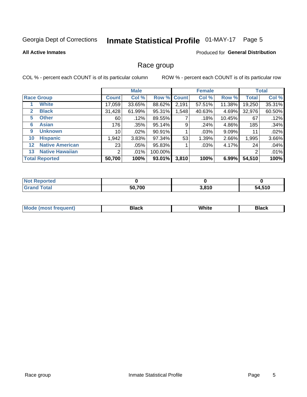#### **Inmate Statistical Profile 01-MAY-17** Page 5

#### **All Active Inmates**

#### **Produced for General Distribution**

### Race group

COL % - percent each COUNT is of its particular column

|                   |                        |              | <b>Male</b> |         |             | <b>Female</b> |        |              | <b>Total</b> |  |
|-------------------|------------------------|--------------|-------------|---------|-------------|---------------|--------|--------------|--------------|--|
|                   | <b>Race Group</b>      | <b>Count</b> | Col %       |         | Row % Count | Col %         | Row %  | <b>Total</b> | Col %        |  |
|                   | <b>White</b>           | 17,059       | 33.65%      | 88.62%  | 2,191       | 57.51%        | 11.38% | 19,250       | 35.31%       |  |
| 2                 | <b>Black</b>           | 31,428       | 61.99%      | 95.31%  | .548        | 40.63%        | 4.69%  | 32,976       | 60.50%       |  |
| 5                 | <b>Other</b>           | 60           | .12%        | 89.55%  |             | .18%          | 10.45% | 67           | .12%         |  |
| 6                 | <b>Asian</b>           | 176          | $.35\%$     | 95.14%  | 9           | .24%          | 4.86%  | 185          | .34%         |  |
| 9                 | <b>Unknown</b>         | 10           | $.02\%$     | 90.91%  |             | .03%          | 9.09%  | 11           | .02%         |  |
| 10                | <b>Hispanic</b>        | 1,942        | 3.83%       | 97.34%  | 53          | 1.39%         | 2.66%  | 1,995        | 3.66%        |  |
| $12 \overline{ }$ | <b>Native American</b> | 23           | $.05\%$     | 95.83%  |             | .03%          | 4.17%  | 24           | .04%         |  |
| 13                | <b>Native Hawaiian</b> | 2            | $.01\%$     | 100.00% |             |               |        | 2            | .01%         |  |
|                   | <b>Total Reported</b>  | 50,700       | 100%        | 93.01%  | 3,810       | 100%          | 6.99%  | 54,510       | 100%         |  |

| <b>Not Reported</b>     |        |       |        |
|-------------------------|--------|-------|--------|
| <b>Total</b><br>. Granr | 50,700 | 3,810 | 54,510 |

| <b>Mode</b><br>---<br>most frequent) | Black | White | <b>Black</b> |
|--------------------------------------|-------|-------|--------------|
|                                      |       |       |              |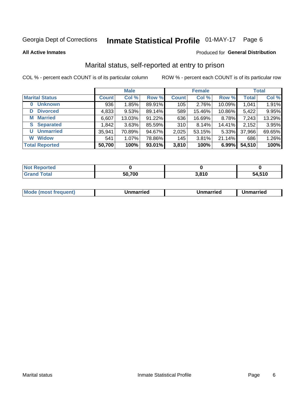## Inmate Statistical Profile 01-MAY-17 Page 6

**All Active Inmates** 

### Produced for General Distribution

## Marital status, self-reported at entry to prison

COL % - percent each COUNT is of its particular column

|                            | <b>Male</b>  |        |        |              | <b>Female</b> | <b>Total</b> |              |        |
|----------------------------|--------------|--------|--------|--------------|---------------|--------------|--------------|--------|
| <b>Marital Status</b>      | <b>Count</b> | Col %  | Row %  | <b>Count</b> | Col %         | Row %        | <b>Total</b> | Col %  |
| <b>Unknown</b><br>$\bf{0}$ | 936          | 1.85%  | 89.91% | 105          | 2.76%         | 10.09%       | 1,041        | 1.91%  |
| <b>Divorced</b><br>D       | 4,833        | 9.53%  | 89.14% | 589          | 15.46%        | 10.86%       | 5,422        | 9.95%  |
| <b>Married</b><br>М        | 6,607        | 13.03% | 91.22% | 636          | 16.69%        | 8.78%        | 7,243        | 13.29% |
| <b>Separated</b><br>S.     | 1,842        | 3.63%  | 85.59% | 310          | 8.14%         | 14.41%       | 2,152        | 3.95%  |
| <b>Unmarried</b><br>U      | 35,941       | 70.89% | 94.67% | 2,025        | 53.15%        | 5.33%        | 37,966       | 69.65% |
| <b>Widow</b><br>W          | 541          | 1.07%  | 78.86% | 145          | 3.81%         | 21.14%       | 686          | 1.26%  |
| <b>Total Reported</b>      | 50,700       | 100%   | 93.01% | 3,810        | 100%          | 6.99%        | 54,510       | 100%   |

| <b>Not Reported</b> |        |                        |        |
|---------------------|--------|------------------------|--------|
| Total               | 50,700 | , 04 C<br><b>J.OIU</b> | 54.510 |

|--|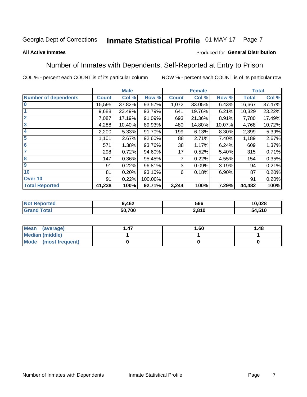#### Inmate Statistical Profile 01-MAY-17 Page 7

#### **All Active Inmates**

### Produced for General Distribution

## Number of Inmates with Dependents, Self-Reported at Entry to Prison

COL % - percent each COUNT is of its particular column

|                             |              | <b>Male</b> |         |              | <b>Female</b> |        |              | <b>Total</b> |
|-----------------------------|--------------|-------------|---------|--------------|---------------|--------|--------------|--------------|
| <b>Number of dependents</b> | <b>Count</b> | Col %       | Row %   | <b>Count</b> | Col %         | Row %  | <b>Total</b> | Col %        |
| l 0                         | 15,595       | 37.82%      | 93.57%  | 1,072        | 33.05%        | 6.43%  | 16,667       | 37.47%       |
|                             | 9,688        | 23.49%      | 93.79%  | 641          | 19.76%        | 6.21%  | 10,329       | 23.22%       |
| $\overline{2}$              | 7,087        | 17.19%      | 91.09%  | 693          | 21.36%        | 8.91%  | 7,780        | 17.49%       |
| $\overline{\mathbf{3}}$     | 4,288        | 10.40%      | 89.93%  | 480          | 14.80%        | 10.07% | 4,768        | 10.72%       |
| 4                           | 2,200        | 5.33%       | 91.70%  | 199          | 6.13%         | 8.30%  | 2,399        | 5.39%        |
| 5                           | 1,101        | 2.67%       | 92.60%  | 88           | 2.71%         | 7.40%  | 1,189        | 2.67%        |
| 6                           | 571          | 1.38%       | 93.76%  | 38           | 1.17%         | 6.24%  | 609          | 1.37%        |
| 7                           | 298          | 0.72%       | 94.60%  | 17           | 0.52%         | 5.40%  | 315          | 0.71%        |
| 8                           | 147          | 0.36%       | 95.45%  |              | 0.22%         | 4.55%  | 154          | 0.35%        |
| 9                           | 91           | 0.22%       | 96.81%  | 3            | 0.09%         | 3.19%  | 94           | 0.21%        |
| 10                          | 81           | 0.20%       | 93.10%  | 6            | 0.18%         | 6.90%  | 87           | 0.20%        |
| Over 10                     | 91           | 0.22%       | 100.00% |              |               |        | 91           | 0.20%        |
| <b>Total Reported</b>       | 41,238       | 100%        | 92.71%  | 3,244        | 100%          | 7.29%  | 44,482       | 100%         |

| NG | 9,462  | 566   | 10,028     |
|----|--------|-------|------------|
|    | 50,700 | 3,810 | .510<br>54 |

| Mean (average)         | 1.60 | 1.48 |
|------------------------|------|------|
| <b>Median (middle)</b> |      |      |
| Mode (most frequent)   |      |      |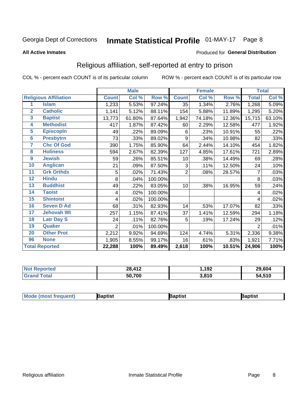#### **Inmate Statistical Profile 01-MAY-17** Page 8

#### **All Active Inmates**

#### Produced for General Distribution

## Religious affiliation, self-reported at entry to prison

COL % - percent each COUNT is of its particular column

|                  |                              |                | <b>Male</b> |         |                | <b>Female</b> |        |                     | <b>Total</b> |
|------------------|------------------------------|----------------|-------------|---------|----------------|---------------|--------|---------------------|--------------|
|                  | <b>Religious Affiliation</b> | <b>Count</b>   | Col %       | Row %   | <b>Count</b>   | Col %         | Row %  | <b>Total</b>        | Col %        |
| 1                | <b>Islam</b>                 | 1,233          | 5.53%       | 97.24%  | 35             | 1.34%         | 2.76%  | 1,268               | 5.09%        |
| $\mathbf{2}$     | <b>Catholic</b>              | 1,141          | 5.12%       | 88.11%  | 154            | 5.88%         | 11.89% | 1,295               | 5.20%        |
| 3                | <b>Baptist</b>               | 13,773         | 61.80%      | 87.64%  | 1,942          | 74.18%        | 12.36% | 15,715              | 63.10%       |
| 4                | <b>Methodist</b>             | 417            | 1.87%       | 87.42%  | 60             | 2.29%         | 12.58% | 477                 | 1.92%        |
| $\overline{5}$   | <b>EpiscopIn</b>             | 49             | .22%        | 89.09%  | 6              | .23%          | 10.91% | 55                  | .22%         |
| $6\phantom{1}6$  | <b>Presbytrn</b>             | 73             | .33%        | 89.02%  | 9              | .34%          | 10.98% | 82                  | .33%         |
| 7                | <b>Chc Of God</b>            | 390            | 1.75%       | 85.90%  | 64             | 2.44%         | 14.10% | 454                 | 1.82%        |
| 8                | <b>Holiness</b>              | 594            | 2.67%       | 82.39%  | 127            | 4.85%         | 17.61% | 721                 | 2.89%        |
| $\boldsymbol{9}$ | <b>Jewish</b>                | 59             | .26%        | 85.51%  | 10             | .38%          | 14.49% | 69                  | .28%         |
| 10               | <b>Anglican</b>              | 21             | .09%        | 87.50%  | 3              | .11%          | 12.50% | 24                  | .10%         |
| 11               | <b>Grk Orthdx</b>            | 5              | .02%        | 71.43%  | $\overline{2}$ | .08%          | 28.57% | 7                   | .03%         |
| 12               | <b>Hindu</b>                 | 8              | .04%        | 100.00% |                |               |        | 8                   | .03%         |
| 13               | <b>Buddhist</b>              | 49             | .22%        | 83.05%  | 10             | .38%          | 16.95% | 59                  | .24%         |
| 14               | <b>Taoist</b>                | 4              | .02%        | 100.00% |                |               |        | 4                   | .02%         |
| 15               | <b>Shintoist</b>             | 4              | .02%        | 100.00% |                |               |        | 4                   | .02%         |
| 16               | <b>Seven D Ad</b>            | 68             | .31%        | 82.93%  | 14             | .53%          | 17.07% | 82                  | .33%         |
| 17               | <b>Jehovah Wt</b>            | 257            | 1.15%       | 87.41%  | 37             | 1.41%         | 12.59% | 294                 | 1.18%        |
| 18               | <b>Latr Day S</b>            | 24             | .11%        | 82.76%  | 5              | .19%          | 17.24% | 29                  | .12%         |
| 19               | Quaker                       | $\overline{2}$ | .01%        | 100.00% |                |               |        | $\overline{2}$      | .01%         |
| 20               | <b>Other Prot</b>            | 2,212          | 9.92%       | 94.69%  | 124            | 4.74%         | 5.31%  | 2,336               | 9.38%        |
| 96               | <b>None</b>                  | 1,905          | 8.55%       | 99.17%  | 16             | .61%          | .83%   | 1,921               | 7.71%        |
|                  | <b>Total Reported</b>        | 22,288         | 100%        | 89.49%  | 2,618          | 100%          | 10.51% | $\overline{24,906}$ | 100%         |

| ported<br>' Not      | 28,412 | ,192  | 29,604 |
|----------------------|--------|-------|--------|
| <b>c</b> otal<br>Gra | 50,700 | 3,810 | 54,510 |

|  | <b>Mode (most frequent)</b> | ıntist<br>ິ | <b>'a</b> ptist | aptist |
|--|-----------------------------|-------------|-----------------|--------|
|--|-----------------------------|-------------|-----------------|--------|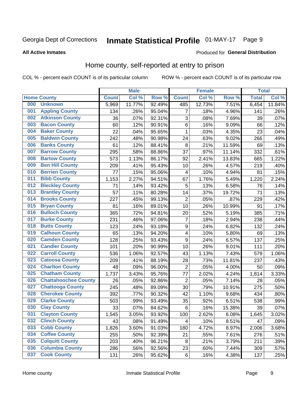## Inmate Statistical Profile 01-MAY-17 Page 9

#### **All Active Inmates**

### Produced for General Distribution

## Home county, self-reported at entry to prison

COL % - percent each COUNT is of its particular column

|     |                             |              | <b>Male</b> |                  |                  | <b>Female</b> |        | <b>Total</b> |        |
|-----|-----------------------------|--------------|-------------|------------------|------------------|---------------|--------|--------------|--------|
|     | <b>Home County</b>          | <b>Count</b> | Col %       | Row <sup>%</sup> | <b>Count</b>     | Col %         | Row %  | <b>Total</b> | Col %  |
| 000 | <b>Unknown</b>              | 5,969        | 11.77%      | 92.49%           | 485              | 12.73%        | 7.51%  | 6,454        | 11.84% |
| 001 | <b>Appling County</b>       | 134          | .26%        | 95.04%           | 7                | .18%          | 4.96%  | 141          | .26%   |
| 002 | <b>Atkinson County</b>      | 36           | .07%        | 92.31%           | 3                | .08%          | 7.69%  | 39           | .07%   |
| 003 | <b>Bacon County</b>         | 60           | .12%        | 90.91%           | $\,6$            | .16%          | 9.09%  | 66           | .12%   |
| 004 | <b>Baker County</b>         | 22           | .04%        | 95.65%           | 1                | .03%          | 4.35%  | 23           | .04%   |
| 005 | <b>Baldwin County</b>       | 242          | .48%        | 90.98%           | 24               | .63%          | 9.02%  | 266          | .49%   |
| 006 | <b>Banks County</b>         | 61           | .12%        | 88.41%           | 8                | .21%          | 11.59% | 69           | .13%   |
| 007 | <b>Barrow County</b>        | 295          | .58%        | 88.86%           | 37               | .97%          | 11.14% | 332          | .61%   |
| 008 | <b>Bartow County</b>        | 573          | 1.13%       | 86.17%           | 92               | 2.41%         | 13.83% | 665          | 1.22%  |
| 009 | <b>Ben Hill County</b>      | 209          | .41%        | 95.43%           | 10               | .26%          | 4.57%  | 219          | .40%   |
| 010 | <b>Berrien County</b>       | 77           | .15%        | 95.06%           | 4                | .10%          | 4.94%  | 81           | .15%   |
| 011 | <b>Bibb County</b>          | 1,153        | 2.27%       | 94.51%           | 67               | 1.76%         | 5.49%  | 1,220        | 2.24%  |
| 012 | <b>Bleckley County</b>      | 71           | .14%        | 93.42%           | 5                | .13%          | 6.58%  | 76           | .14%   |
| 013 | <b>Brantley County</b>      | 57           | .11%        | 80.28%           | 14               | .37%          | 19.72% | 71           | .13%   |
| 014 | <b>Brooks County</b>        | 227          | .45%        | 99.13%           | $\overline{2}$   | .05%          | .87%   | 229          | .42%   |
| 015 | <b>Bryan County</b>         | 81           | .16%        | 89.01%           | 10               | .26%          | 10.99% | 91           | .17%   |
| 016 | <b>Bulloch County</b>       | 365          | .72%        | 94.81%           | 20               | .52%          | 5.19%  | 385          | .71%   |
| 017 | <b>Burke County</b>         | 231          | .46%        | 97.06%           | 7                | .18%          | 2.94%  | 238          | .44%   |
| 018 | <b>Butts County</b>         | 123          | .24%        | 93.18%           | $\boldsymbol{9}$ | .24%          | 6.82%  | 132          | .24%   |
| 019 | <b>Calhoun County</b>       | 65           | .13%        | 94.20%           | 4                | .10%          | 5.80%  | 69           | .13%   |
| 020 | <b>Camden County</b>        | 128          | .25%        | 93.43%           | 9                | .24%          | 6.57%  | 137          | .25%   |
| 021 | <b>Candler County</b>       | 101          | .20%        | 90.99%           | 10               | .26%          | 9.01%  | 111          | .20%   |
| 022 | <b>Carroll County</b>       | 536          | 1.06%       | 92.57%           | 43               | 1.13%         | 7.43%  | 579          | 1.06%  |
| 023 | <b>Catoosa County</b>       | 209          | .41%        | 88.19%           | 28               | .73%          | 11.81% | 237          | .43%   |
| 024 | <b>Charlton County</b>      | 48           | .09%        | 96.00%           | $\overline{c}$   | .05%          | 4.00%  | 50           | .09%   |
| 025 | <b>Chatham County</b>       | 1,737        | 3.43%       | 95.76%           | 77               | 2.02%         | 4.24%  | 1,814        | 3.33%  |
| 026 | <b>Chattahoochee County</b> | 26           | .05%        | 92.86%           | $\overline{2}$   | .05%          | 7.14%  | 28           | .05%   |
| 027 | <b>Chattooga County</b>     | 245          | .48%        | 89.09%           | 30               | .79%          | 10.91% | 275          | .50%   |
| 028 | <b>Cherokee County</b>      | 392          | .77%        | 90.32%           | 42               | 1.10%         | 9.68%  | 434          | .80%   |
| 029 | <b>Clarke County</b>        | 503          | .99%        | 93.49%           | 35               | .92%          | 6.51%  | 538          | .99%   |
| 030 | <b>Clay County</b>          | 33           | .07%        | 84.62%           | $\,6$            | .16%          | 15.38% | 39           | .07%   |
| 031 | <b>Clayton County</b>       | 1,545        | 3.05%       | 93.92%           | 100              | 2.62%         | 6.08%  | 1,645        | 3.02%  |
| 032 | <b>Clinch County</b>        | 43           | .08%        | 91.49%           | 4                | .10%          | 8.51%  | 47           | .09%   |
| 033 | <b>Cobb County</b>          | 1,826        | 3.60%       | 91.03%           | 180              | 4.72%         | 8.97%  | 2,006        | 3.68%  |
| 034 | <b>Coffee County</b>        | 255          | .50%        | 92.39%           | 21               | .55%          | 7.61%  | 276          | .51%   |
| 035 | <b>Colquitt County</b>      | 203          | .40%        | 96.21%           | 8                | .21%          | 3.79%  | 211          | .39%   |
| 036 | <b>Columbia County</b>      | 286          | .56%        | 92.56%           | 23               | .60%          | 7.44%  | 309          | .57%   |
| 037 | <b>Cook County</b>          | 131          | .26%        | 95.62%           | $\,6$            | .16%          | 4.38%  | 137          | .25%   |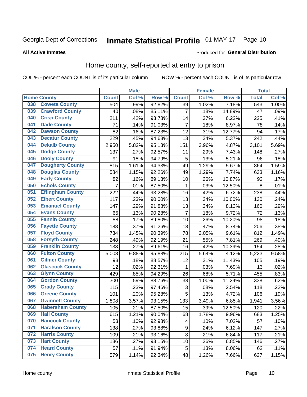## Inmate Statistical Profile 01-MAY-17 Page 10

#### **All Active Inmates**

#### Produced for General Distribution

### Home county, self-reported at entry to prison

COL % - percent each COUNT is of its particular column

|     |                         |                | <b>Male</b> |                  |                | <b>Female</b> |        | <b>Total</b> |       |
|-----|-------------------------|----------------|-------------|------------------|----------------|---------------|--------|--------------|-------|
|     | <b>Home County</b>      | <b>Count</b>   | Col%        | Row <sup>%</sup> | <b>Count</b>   | Col %         | Row %  | <b>Total</b> | Col % |
| 038 | <b>Coweta County</b>    | 504            | .99%        | 92.82%           | 39             | 1.02%         | 7.18%  | 543          | 1.00% |
| 039 | <b>Crawford County</b>  | 40             | .08%        | 85.11%           | $\overline{7}$ | .18%          | 14.89% | 47           | .09%  |
| 040 | <b>Crisp County</b>     | 211            | .42%        | 93.78%           | 14             | .37%          | 6.22%  | 225          | .41%  |
| 041 | <b>Dade County</b>      | 71             | .14%        | 91.03%           | $\overline{7}$ | .18%          | 8.97%  | 78           | .14%  |
| 042 | <b>Dawson County</b>    | 82             | .16%        | 87.23%           | 12             | .31%          | 12.77% | 94           | .17%  |
| 043 | <b>Decatur County</b>   | 229            | .45%        | 94.63%           | 13             | .34%          | 5.37%  | 242          | .44%  |
| 044 | <b>Dekalb County</b>    | 2,950          | 5.82%       | 95.13%           | 151            | 3.96%         | 4.87%  | 3,101        | 5.69% |
| 045 | <b>Dodge County</b>     | 137            | .27%        | 92.57%           | 11             | .29%          | 7.43%  | 148          | .27%  |
| 046 | <b>Dooly County</b>     | 91             | .18%        | 94.79%           | 5              | .13%          | 5.21%  | 96           | .18%  |
| 047 | <b>Dougherty County</b> | 815            | 1.61%       | 94.33%           | 49             | 1.29%         | 5.67%  | 864          | 1.59% |
| 048 | <b>Douglas County</b>   | 584            | 1.15%       | 92.26%           | 49             | 1.29%         | 7.74%  | 633          | 1.16% |
| 049 | <b>Early County</b>     | 82             | .16%        | 89.13%           | 10             | .26%          | 10.87% | 92           | .17%  |
| 050 | <b>Echols County</b>    | $\overline{7}$ | .01%        | 87.50%           | 1              | .03%          | 12.50% | 8            | .01%  |
| 051 | <b>Effingham County</b> | 222            | .44%        | 93.28%           | 16             | .42%          | 6.72%  | 238          | .44%  |
| 052 | <b>Elbert County</b>    | 117            | .23%        | 90.00%           | 13             | .34%          | 10.00% | 130          | .24%  |
| 053 | <b>Emanuel County</b>   | 147            | .29%        | 91.88%           | 13             | .34%          | 8.13%  | 160          | .29%  |
| 054 | <b>Evans County</b>     | 65             | .13%        | 90.28%           | 7              | .18%          | 9.72%  | 72           | .13%  |
| 055 | <b>Fannin County</b>    | 88             | .17%        | 89.80%           | 10             | .26%          | 10.20% | 98           | .18%  |
| 056 | <b>Fayette County</b>   | 188            | .37%        | 91.26%           | 18             | .47%          | 8.74%  | 206          | .38%  |
| 057 | <b>Floyd County</b>     | 734            | 1.45%       | 90.39%           | 78             | 2.05%         | 9.61%  | 812          | 1.49% |
| 058 | <b>Forsyth County</b>   | 248            | .49%        | 92.19%           | 21             | .55%          | 7.81%  | 269          | .49%  |
| 059 | <b>Franklin County</b>  | 138            | .27%        | 89.61%           | 16             | .42%          | 10.39% | 154          | .28%  |
| 060 | <b>Fulton County</b>    | 5,008          | 9.88%       | 95.88%           | 215            | 5.64%         | 4.12%  | 5,223        | 9.58% |
| 061 | <b>Gilmer County</b>    | 93             | .18%        | 88.57%           | 12             | .31%          | 11.43% | 105          | .19%  |
| 062 | <b>Glascock County</b>  | 12             | .02%        | 92.31%           | 1              | .03%          | 7.69%  | 13           | .02%  |
| 063 | <b>Glynn County</b>     | 429            | .85%        | 94.29%           | 26             | .68%          | 5.71%  | 455          | .83%  |
| 064 | <b>Gordon County</b>    | 300            | .59%        | 88.76%           | 38             | 1.00%         | 11.24% | 338          | .62%  |
| 065 | <b>Grady County</b>     | 115            | .23%        | 97.46%           | 3              | .08%          | 2.54%  | 118          | .22%  |
| 066 | <b>Greene County</b>    | 101            | .20%        | 95.28%           | 5              | .13%          | 4.72%  | 106          | .19%  |
| 067 | <b>Gwinnett County</b>  | 1,808          | 3.57%       | 93.15%           | 133            | 3.49%         | 6.85%  | 1,941        | 3.56% |
| 068 | <b>Habersham County</b> | 105            | .21%        | 87.50%           | 15             | .39%          | 12.50% | 120          | .22%  |
| 069 | <b>Hall County</b>      | 615            | 1.21%       | 90.04%           | 68             | 1.78%         | 9.96%  | 683          | 1.25% |
| 070 | <b>Hancock County</b>   | 53             | .10%        | 92.98%           | 4              | .10%          | 7.02%  | 57           | .10%  |
| 071 | <b>Haralson County</b>  | 138            | .27%        | 93.88%           | 9              | .24%          | 6.12%  | 147          | .27%  |
| 072 | <b>Harris County</b>    | 109            | .21%        | 93.16%           | $\bf 8$        | .21%          | 6.84%  | 117          | .21%  |
| 073 | <b>Hart County</b>      | 136            | .27%        | 93.15%           | 10             | .26%          | 6.85%  | 146          | .27%  |
| 074 | <b>Heard County</b>     | 57             | .11%        | 91.94%           | 5              | .13%          | 8.06%  | 62           | .11%  |
| 075 | <b>Henry County</b>     | 579            | 1.14%       | 92.34%           | 48             | 1.26%         | 7.66%  | 627          | 1.15% |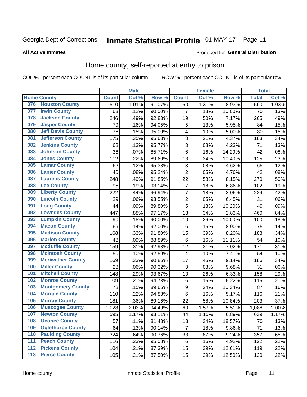## Inmate Statistical Profile 01-MAY-17 Page 11

**All Active Inmates** 

#### Produced for General Distribution

### Home county, self-reported at entry to prison

COL % - percent each COUNT is of its particular column

|                  |                          |              | <b>Male</b> |                  |                         | <b>Female</b> |        | <b>Total</b> |       |
|------------------|--------------------------|--------------|-------------|------------------|-------------------------|---------------|--------|--------------|-------|
|                  | <b>Home County</b>       | <b>Count</b> | Col %       | Row <sup>%</sup> | <b>Count</b>            | Col %         | Row %  | <b>Total</b> | Col % |
| 076              | <b>Houston County</b>    | 510          | 1.01%       | 91.07%           | 50                      | 1.31%         | 8.93%  | 560          | 1.03% |
| 077              | <b>Irwin County</b>      | 63           | .12%        | 90.00%           | $\overline{7}$          | .18%          | 10.00% | 70           | .13%  |
| 078              | <b>Jackson County</b>    | 246          | .49%        | 92.83%           | 19                      | .50%          | 7.17%  | 265          | .49%  |
| 079              | <b>Jasper County</b>     | 79           | .16%        | 94.05%           | 5                       | .13%          | 5.95%  | 84           | .15%  |
| 080              | <b>Jeff Davis County</b> | 76           | .15%        | 95.00%           | $\overline{\mathbf{4}}$ | .10%          | 5.00%  | 80           | .15%  |
| 081              | <b>Jefferson County</b>  | 175          | .35%        | 95.63%           | 8                       | .21%          | 4.37%  | 183          | .34%  |
| 082              | <b>Jenkins County</b>    | 68           | .13%        | 95.77%           | 3                       | .08%          | 4.23%  | 71           | .13%  |
| 083              | <b>Johnson County</b>    | 36           | .07%        | 85.71%           | 6                       | .16%          | 14.29% | 42           | .08%  |
| 084              | <b>Jones County</b>      | 112          | .22%        | 89.60%           | 13                      | .34%          | 10.40% | 125          | .23%  |
| 085              | <b>Lamar County</b>      | 62           | .12%        | 95.38%           | 3                       | .08%          | 4.62%  | 65           | .12%  |
| 086              | <b>Lanier County</b>     | 40           | .08%        | 95.24%           | $\overline{2}$          | .05%          | 4.76%  | 42           | .08%  |
| 087              | <b>Laurens County</b>    | 248          | .49%        | 91.85%           | 22                      | .58%          | 8.15%  | 270          | .50%  |
| 088              | <b>Lee County</b>        | 95           | .19%        | 93.14%           | 7                       | .18%          | 6.86%  | 102          | .19%  |
| 089              | <b>Liberty County</b>    | 222          | .44%        | 96.94%           | 7                       | .18%          | 3.06%  | 229          | .42%  |
| 090              | <b>Lincoln County</b>    | 29           | .06%        | 93.55%           | $\overline{c}$          | .05%          | 6.45%  | 31           | .06%  |
| 091              | <b>Long County</b>       | 44           | .09%        | 89.80%           | 5                       | .13%          | 10.20% | 49           | .09%  |
| 092              | <b>Lowndes County</b>    | 447          | .88%        | 97.17%           | 13                      | .34%          | 2.83%  | 460          | .84%  |
| 093              | <b>Lumpkin County</b>    | 90           | .18%        | 90.00%           | 10                      | .26%          | 10.00% | 100          | .18%  |
| 094              | <b>Macon County</b>      | 69           | .14%        | 92.00%           | $\,6$                   | .16%          | 8.00%  | 75           | .14%  |
| 095              | <b>Madison County</b>    | 168          | .33%        | 91.80%           | 15                      | .39%          | 8.20%  | 183          | .34%  |
| 096              | <b>Marion County</b>     | 48           | .09%        | 88.89%           | 6                       | .16%          | 11.11% | 54           | .10%  |
| 097              | <b>Mcduffie County</b>   | 159          | .31%        | 92.98%           | 12                      | .31%          | 7.02%  | 171          | .31%  |
| 098              | <b>Mcintosh County</b>   | 50           | .10%        | 92.59%           | $\overline{\mathbf{4}}$ | .10%          | 7.41%  | 54           | .10%  |
| 099              | <b>Meriwether County</b> | 169          | .33%        | 90.86%           | 17                      | .45%          | 9.14%  | 186          | .34%  |
| 100              | <b>Miller County</b>     | 28           | .06%        | 90.32%           | 3                       | .08%          | 9.68%  | 31           | .06%  |
| 101              | <b>Mitchell County</b>   | 148          | .29%        | 93.67%           | 10                      | .26%          | 6.33%  | 158          | .29%  |
| 102              | <b>Monroe County</b>     | 109          | .21%        | 94.78%           | $\,6$                   | .16%          | 5.22%  | 115          | .21%  |
| 103              | <b>Montgomery County</b> | 78           | .15%        | 89.66%           | 9                       | .24%          | 10.34% | 87           | .16%  |
| 104              | <b>Morgan County</b>     | 110          | .22%        | 94.83%           | 6                       | .16%          | 5.17%  | 116          | .21%  |
| 105              | <b>Murray County</b>     | 181          | .36%        | 89.16%           | 22                      | .58%          | 10.84% | 203          | .37%  |
| 106              | <b>Muscogee County</b>   | 1,028        | 2.03%       | 94.49%           | 60                      | 1.57%         | 5.51%  | 1,088        | 2.00% |
| 107              | <b>Newton County</b>     | 595          | 1.17%       | 93.11%           | 44                      | 1.15%         | 6.89%  | 639          | 1.17% |
| 108              | <b>Oconee County</b>     | 57           | .11%        | 81.43%           | 13                      | .34%          | 18.57% | 70           | .13%  |
| 109              | <b>Oglethorpe County</b> | 64           | .13%        | 90.14%           | $\overline{7}$          | .18%          | 9.86%  | 71           | .13%  |
| 110              | <b>Paulding County</b>   | 324          | .64%        | 90.76%           | 33                      | .87%          | 9.24%  | 357          | .65%  |
| 111              | <b>Peach County</b>      | 116          | .23%        | 95.08%           | 6                       | .16%          | 4.92%  | 122          | .22%  |
| $\overline{112}$ | <b>Pickens County</b>    | 104          | .21%        | 87.39%           | 15                      | .39%          | 12.61% | 119          | .22%  |
| 113              | <b>Pierce County</b>     | 105          | .21%        | 87.50%           | 15                      | .39%          | 12.50% | 120          | .22%  |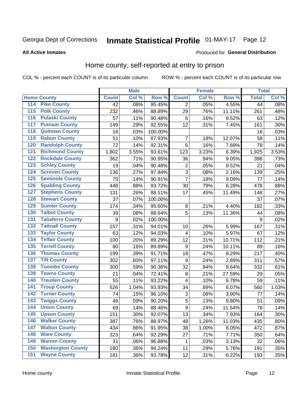## Inmate Statistical Profile 01-MAY-17 Page 12

#### **All Active Inmates**

### Produced for General Distribution

### Home county, self-reported at entry to prison

COL % - percent each COUNT is of its particular column

|                  |                          |                    | <b>Male</b> |                  |                         | <b>Female</b> |        | <b>Total</b> |       |
|------------------|--------------------------|--------------------|-------------|------------------|-------------------------|---------------|--------|--------------|-------|
|                  | <b>Home County</b>       | <b>Count</b>       | Col %       | Row <sup>%</sup> | <b>Count</b>            | Col %         | Row %  | <b>Total</b> | Col % |
| 114              | <b>Pike County</b>       | 42                 | .08%        | 95.45%           | 2                       | .05%          | 4.55%  | 44           | .08%  |
| 115              | <b>Polk County</b>       | 232                | .46%        | 88.89%           | 29                      | .76%          | 11.11% | 261          | .48%  |
| 116              | <b>Pulaski County</b>    | 57                 | .11%        | 90.48%           | $\,6$                   | .16%          | 9.52%  | 63           | .12%  |
| 117              | <b>Putnam County</b>     | 149                | .29%        | 92.55%           | 12                      | .31%          | 7.45%  | 161          | .30%  |
| 118              | <b>Quitman County</b>    | 16                 | .03%        | 100.00%          |                         |               |        | 16           | .03%  |
| 119              | <b>Rabun County</b>      | 51                 | .10%        | 87.93%           | $\overline{7}$          | .18%          | 12.07% | 58           | .11%  |
| 120              | <b>Randolph County</b>   | 72                 | .14%        | 92.31%           | $\,6$                   | .16%          | 7.69%  | 78           | .14%  |
| 121              | <b>Richmond County</b>   | $\overline{1,802}$ | 3.55%       | 93.61%           | 123                     | 3.23%         | 6.39%  | 1,925        | 3.53% |
| 122              | <b>Rockdale County</b>   | 362                | .71%        | 90.95%           | 36                      | .94%          | 9.05%  | 398          | .73%  |
| 123              | <b>Schley County</b>     | 19                 | .04%        | 90.48%           | $\overline{c}$          | .05%          | 9.52%  | 21           | .04%  |
| 124              | <b>Screven County</b>    | 136                | .27%        | 97.84%           | $\overline{3}$          | .08%          | 2.16%  | 139          | .25%  |
| 125              | <b>Seminole County</b>   | 70                 | .14%        | 90.91%           | $\overline{7}$          | .18%          | 9.09%  | 77           | .14%  |
| 126              | <b>Spalding County</b>   | 448                | .88%        | 93.72%           | 30                      | .79%          | 6.28%  | 478          | .88%  |
| 127              | <b>Stephens County</b>   | 131                | .26%        | 88.51%           | 17                      | .45%          | 11.49% | 148          | .27%  |
| 128              | <b>Stewart County</b>    | 37                 | .07%        | 100.00%          |                         |               |        | 37           | .07%  |
| 129              | <b>Sumter County</b>     | 174                | .34%        | 95.60%           | 8                       | .21%          | 4.40%  | 182          | .33%  |
| 130              | <b>Talbot County</b>     | 39                 | .08%        | 88.64%           | 5                       | .13%          | 11.36% | 44           | .08%  |
| 131              | <b>Taliaferro County</b> | 9                  | .02%        | 100.00%          |                         |               |        | 9            | .02%  |
| 132              | <b>Tattnall County</b>   | 157                | .31%        | 94.01%           | 10                      | .26%          | 5.99%  | 167          | .31%  |
| 133              | <b>Taylor County</b>     | 63                 | .12%        | 94.03%           | 4                       | .10%          | 5.97%  | 67           | .12%  |
| 134              | <b>Telfair County</b>    | 100                | .20%        | 89.29%           | 12                      | .31%          | 10.71% | 112          | .21%  |
| $\overline{135}$ | <b>Terrell County</b>    | 80                 | .16%        | 89.89%           | $\boldsymbol{9}$        | .24%          | 10.11% | 89           | .16%  |
| 136              | <b>Thomas County</b>     | 199                | .39%        | 91.71%           | 18                      | .47%          | 8.29%  | 217          | .40%  |
| 137              | <b>Tift County</b>       | 302                | .60%        | 97.11%           | 9                       | .24%          | 2.89%  | 311          | .57%  |
| 138              | <b>Toombs County</b>     | 300                | .59%        | 90.36%           | 32                      | .84%          | 9.64%  | 332          | .61%  |
| 139              | <b>Towns County</b>      | 21                 | .04%        | 72.41%           | $\bf 8$                 | .21%          | 27.59% | 29           | .05%  |
| 140              | <b>Treutlen County</b>   | 55                 | .11%        | 93.22%           | $\overline{\mathbf{4}}$ | .10%          | 6.78%  | 59           | .11%  |
| 141              | <b>Troup County</b>      | 526                | 1.04%       | 93.93%           | 34                      | .89%          | 6.07%  | 560          | 1.03% |
| 142              | <b>Turner County</b>     | 74                 | .15%        | 96.10%           | 3                       | .08%          | 3.90%  | 77           | .14%  |
| 143              | <b>Twiggs County</b>     | 46                 | .09%        | 90.20%           | 5                       | .13%          | 9.80%  | 51           | .09%  |
| 144              | <b>Union County</b>      | 69                 | .14%        | 88.46%           | $\overline{9}$          | .24%          | 11.54% | 78           | .14%  |
| 145              | <b>Upson County</b>      | 151                | .30%        | 92.07%           | 13                      | .34%          | 7.93%  | 164          | .30%  |
| 146              | <b>Walker County</b>     | 387                | .76%        | 88.97%           | 48                      | 1.26%         | 11.03% | 435          | .80%  |
| 147              | <b>Walton County</b>     | 434                | .86%        | 91.95%           | 38                      | 1.00%         | 8.05%  | 472          | .87%  |
| 148              | <b>Ware County</b>       | 323                | .64%        | 92.29%           | 27                      | .71%          | 7.71%  | 350          | .64%  |
| 149              | <b>Warren County</b>     | 31                 | .06%        | 96.88%           | 1                       | .03%          | 3.13%  | 32           | .06%  |
| 150              | <b>Washington County</b> | 180                | .36%        | 94.24%           | 11                      | .29%          | 5.76%  | 191          | .35%  |
| 151              | <b>Wayne County</b>      | 181                | .36%        | 93.78%           | 12                      | .31%          | 6.22%  | 193          | .35%  |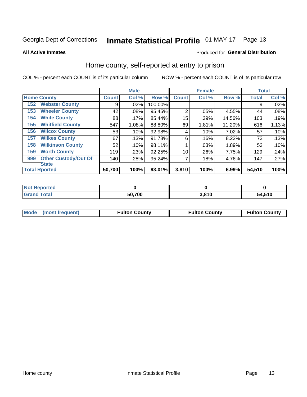## Inmate Statistical Profile 01-MAY-17 Page 13

**All Active Inmates** 

### Produced for General Distribution

### Home county, self-reported at entry to prison

COL % - percent each COUNT is of its particular column

|     |                             |              | <b>Male</b> |         |                | <b>Female</b> |        | <b>Total</b> |       |
|-----|-----------------------------|--------------|-------------|---------|----------------|---------------|--------|--------------|-------|
|     | <b>Home County</b>          | <b>Count</b> | Col %       | Row %   | <b>Count</b>   | Col %         | Row %  | <b>Total</b> | Col % |
| 152 | <b>Webster County</b>       | 9            | .02%        | 100.00% |                |               |        | 9            | .02%  |
| 153 | <b>Wheeler County</b>       | 42           | .08%        | 95.45%  | $\overline{2}$ | .05%          | 4.55%  | 44           | .08%  |
| 154 | <b>White County</b>         | 88           | .17%        | 85.44%  | 15             | .39%          | 14.56% | 103          | .19%  |
| 155 | <b>Whitfield County</b>     | 547          | 1.08%       | 88.80%  | 69             | 1.81%         | 11.20% | 616          | 1.13% |
| 156 | <b>Wilcox County</b>        | 53           | .10%        | 92.98%  | 4              | .10%          | 7.02%  | 57           | .10%  |
| 157 | <b>Wilkes County</b>        | 67           | .13%        | 91.78%  | 6              | .16%          | 8.22%  | 73           | .13%  |
| 158 | <b>Wilkinson County</b>     | 52           | .10%        | 98.11%  |                | .03%          | 1.89%  | 53           | .10%  |
| 159 | <b>Worth County</b>         | 119          | .23%        | 92.25%  | 10             | .26%          | 7.75%  | 129          | .24%  |
| 999 | <b>Other Custody/Out Of</b> | 140          | .28%        | 95.24%  |                | .18%          | 4.76%  | 147          | .27%  |
|     | <b>State</b>                |              |             |         |                |               |        |              |       |
|     | <b>Total Rported</b>        | 50,700       | 100%        | 93.01%  | 3,810          | 100%          | 6.99%  | 54,510       | 100%  |

| 'Not<br>Reported |        |       |        |
|------------------|--------|-------|--------|
| <b>Total</b>     | 50,700 | 3.810 | 54,510 |

| Mode (most frequent) | <b>Fulton County</b> | <b>Fulton County</b> | <b>Fulton County</b> |
|----------------------|----------------------|----------------------|----------------------|
|                      |                      |                      |                      |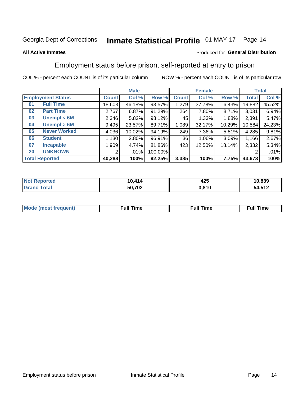#### **Inmate Statistical Profile 01-MAY-17** Page 14

#### **All Active Inmates**

#### Produced for General Distribution

## Employment status before prison, self-reported at entry to prison

COL % - percent each COUNT is of its particular column

|                           | <b>Male</b> |          |         |                    | <b>Female</b> |          |        | <b>Total</b> |  |
|---------------------------|-------------|----------|---------|--------------------|---------------|----------|--------|--------------|--|
| <b>Employment Status</b>  | Count l     | Col %    | Row %   | Count <sup>1</sup> | Col %         | Row %    | Total  | Col %        |  |
| <b>Full Time</b><br>01    | 18,603      | 46.18%   | 93.57%  | 1,279              | 37.78%        | 6.43%    | 19,882 | 45.52%       |  |
| <b>Part Time</b><br>02    | 2,767       | 6.87%    | 91.29%  | 264                | 7.80%         | $8.71\%$ | 3,031  | 6.94%        |  |
| Unempl $<$ 6M<br>03       | 2,346       | 5.82%    | 98.12%  | 45                 | 1.33%         | $1.88\%$ | 2,391  | 5.47%        |  |
| Unempl $> 6M$<br>04       | 9,495       | 23.57%   | 89.71%  | 1,089              | 32.17%        | 10.29%   | 10,584 | 24.23%       |  |
| <b>Never Worked</b><br>05 | 4,036       | 10.02%   | 94.19%  | 249                | 7.36%         | $5.81\%$ | 4,285  | 9.81%        |  |
| <b>Student</b><br>06      | 1,130       | $2.80\%$ | 96.91%  | 36                 | $1.06\%$      | 3.09%    | 1,166  | 2.67%        |  |
| <b>Incapable</b><br>07    | 1,909       | 4.74%    | 81.86%  | 423                | 12.50%        | 18.14%   | 2,332  | 5.34%        |  |
| <b>UNKNOWN</b><br>20      | 2           | $.01\%$  | 100.00% |                    |               |          | 2      | .01%         |  |
| <b>Total Reported</b>     | 40,288      | 100%     | 92.25%  | 3,385              | 100%          | 7.75%    | 43,673 | 100%         |  |

| <b>Not Reported</b> | 10,414 | 425   | 10,839 |
|---------------------|--------|-------|--------|
| <b>Grand Total</b>  | 50,702 | 3,810 | 54,512 |

| <b>Mode (most frequent)</b> | $^{\prime\prime}$ Time | <b>Time</b><br>rull i |
|-----------------------------|------------------------|-----------------------|
|                             |                        |                       |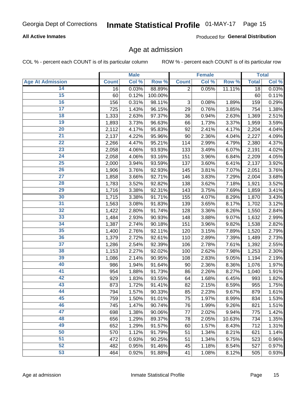### **All Active Inmates**

Produced for General Distribution

### Age at admission

COL % - percent each COUNT is of its particular column

|                         |              | <b>Male</b> |         |                           | <b>Female</b> |        |              | <b>Total</b> |
|-------------------------|--------------|-------------|---------|---------------------------|---------------|--------|--------------|--------------|
| <b>Age At Admission</b> | <b>Count</b> | Col %       | Row %   | <b>Count</b>              | Col %         | Row %  | <b>Total</b> | Col %        |
| 14                      | 16           | 0.03%       | 88.89%  | $\overline{2}$            | 0.05%         | 11.11% | 18           | 0.03%        |
| 15                      | 60           | 0.12%       | 100.00% |                           |               |        | 60           | $0.11\%$     |
| 16                      | 156          | 0.31%       | 98.11%  | $\ensuremath{\mathsf{3}}$ | 0.08%         | 1.89%  | 159          | 0.29%        |
| $\overline{17}$         | 725          | 1.43%       | 96.15%  | 29                        | 0.76%         | 3.85%  | 754          | 1.38%        |
| $\overline{18}$         | 1,333        | 2.63%       | 97.37%  | 36                        | 0.94%         | 2.63%  | 1,369        | 2.51%        |
| 19                      | 1,893        | 3.73%       | 96.63%  | 66                        | 1.73%         | 3.37%  | 1,959        | 3.59%        |
| 20                      | 2,112        | 4.17%       | 95.83%  | 92                        | 2.41%         | 4.17%  | 2,204        | 4.04%        |
| $\overline{21}$         | 2,137        | 4.22%       | 95.96%  | 90                        | 2.36%         | 4.04%  | 2,227        | 4.09%        |
| $\overline{22}$         | 2,266        | 4.47%       | 95.21%  | 114                       | 2.99%         | 4.79%  | 2,380        | 4.37%        |
| 23                      | 2,058        | 4.06%       | 93.93%  | 133                       | 3.49%         | 6.07%  | 2,191        | 4.02%        |
| $\overline{24}$         | 2,058        | 4.06%       | 93.16%  | 151                       | 3.96%         | 6.84%  | 2,209        | 4.05%        |
| $\overline{25}$         | 2,000        | 3.94%       | 93.59%  | 137                       | 3.60%         | 6.41%  | 2,137        | 3.92%        |
| 26                      | 1,906        | 3.76%       | 92.93%  | 145                       | 3.81%         | 7.07%  | 2,051        | 3.76%        |
| $\overline{27}$         | 1,858        | 3.66%       | 92.71%  | 146                       | 3.83%         | 7.29%  | 2,004        | 3.68%        |
| 28                      | 1,783        | 3.52%       | 92.82%  | 138                       | 3.62%         | 7.18%  | 1,921        | 3.52%        |
| 29                      | 1,716        | 3.38%       | 92.31%  | 143                       | 3.75%         | 7.69%  | 1,859        | 3.41%        |
| 30                      | 1,715        | 3.38%       | 91.71%  | 155                       | 4.07%         | 8.29%  | 1,870        | 3.43%        |
| 31                      | 1,563        | 3.08%       | 91.83%  | 139                       | 3.65%         | 8.17%  | 1,702        | 3.12%        |
| 32                      | 1,422        | 2.80%       | 91.74%  | 128                       | 3.36%         | 8.26%  | 1,550        | 2.84%        |
| 33                      | 1,484        | 2.93%       | 90.93%  | 148                       | 3.88%         | 9.07%  | 1,632        | 2.99%        |
| 34                      | 1,387        | 2.74%       | 90.18%  | 151                       | 3.96%         | 9.82%  | 1,538        | 2.82%        |
| 35                      | 1,400        | 2.76%       | 92.11%  | 120                       | 3.15%         | 7.89%  | 1,520        | 2.79%        |
| 36                      | 1,379        | 2.72%       | 92.61%  | 110                       | 2.89%         | 7.39%  | 1,489        | 2.73%        |
| $\overline{37}$         | 1,286        | 2.54%       | 92.39%  | 106                       | 2.78%         | 7.61%  | 1,392        | 2.55%        |
| 38                      | 1,153        | 2.27%       | 92.02%  | 100                       | 2.62%         | 7.98%  | 1,253        | 2.30%        |
| 39                      | 1,086        | 2.14%       | 90.95%  | 108                       | 2.83%         | 9.05%  | 1,194        | 2.19%        |
| 40                      | 986          | 1.94%       | 91.64%  | 90                        | 2.36%         | 8.36%  | 1,076        | 1.97%        |
| 41                      | 954          | 1.88%       | 91.73%  | 86                        | 2.26%         | 8.27%  | 1,040        | 1.91%        |
| 42                      | 929          | 1.83%       | 93.55%  | 64                        | 1.68%         | 6.45%  | 993          | 1.82%        |
| 43                      | 873          | 1.72%       | 91.41%  | 82                        | 2.15%         | 8.59%  | 955          | 1.75%        |
| 44                      | 794          | 1.57%       | 90.33%  | 85                        | 2.23%         | 9.67%  | 879          | 1.61%        |
| 45                      | 759          | 1.50%       | 91.01%  | 75                        | 1.97%         | 8.99%  | 834          | 1.53%        |
| 46                      | 745          | 1.47%       | 90.74%  | 76                        | 1.99%         | 9.26%  | 821          | 1.51%        |
| 47                      | 698          | 1.38%       | 90.06%  | 77                        | 2.02%         | 9.94%  | 775          | 1.42%        |
| 48                      | 656          | 1.29%       | 89.37%  | 78                        | 2.05%         | 10.63% | 734          | 1.35%        |
| 49                      | 652          | 1.29%       | 91.57%  | 60                        | 1.57%         | 8.43%  | 712          | 1.31%        |
| 50                      | 570          | 1.12%       | 91.79%  | 51                        | 1.34%         | 8.21%  | 621          | 1.14%        |
| 51                      | 472          | 0.93%       | 90.25%  | 51                        | 1.34%         | 9.75%  | 523          | 0.96%        |
| 52                      | 482          | 0.95%       | 91.46%  | 45                        | 1.18%         | 8.54%  | 527          | 0.97%        |
| 53                      | 464          | 0.92%       | 91.88%  | 41                        | 1.08%         | 8.12%  | 505          | 0.93%        |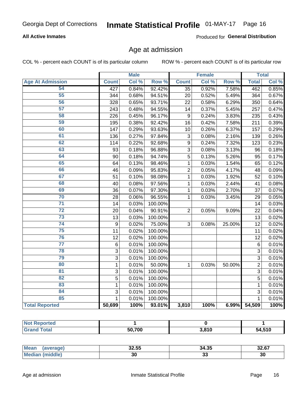### **All Active Inmates**

Produced for General Distribution

## Age at admission

COL % - percent each COUNT is of its particular column

|                         |                  | <b>Male</b> |         |                 | <b>Female</b> |                  |                 | <b>Total</b> |
|-------------------------|------------------|-------------|---------|-----------------|---------------|------------------|-----------------|--------------|
| <b>Age At Admission</b> | <b>Count</b>     | Col %       | Row %   | <b>Count</b>    | Col %         | Row <sup>%</sup> | <b>Total</b>    | Col %        |
| 54                      | 427              | 0.84%       | 92.42%  | $\overline{35}$ | 0.92%         | 7.58%            | 462             | 0.85%        |
| 55                      | 344              | 0.68%       | 94.51%  | 20              | 0.52%         | 5.49%            | 364             | 0.67%        |
| 56                      | 328              | 0.65%       | 93.71%  | 22              | 0.58%         | 6.29%            | 350             | 0.64%        |
| 57                      | 243              | 0.48%       | 94.55%  | 14              | 0.37%         | 5.45%            | 257             | 0.47%        |
| 58                      | 226              | 0.45%       | 96.17%  | 9               | 0.24%         | 3.83%            | 235             | 0.43%        |
| 59                      | 195              | 0.38%       | 92.42%  | 16              | 0.42%         | 7.58%            | 211             | 0.39%        |
| 60                      | 147              | 0.29%       | 93.63%  | 10              | 0.26%         | 6.37%            | 157             | 0.29%        |
| 61                      | 136              | 0.27%       | 97.84%  | 3               | 0.08%         | 2.16%            | 139             | 0.26%        |
| 62                      | 114              | 0.22%       | 92.68%  | 9               | 0.24%         | 7.32%            | 123             | 0.23%        |
| 63                      | 93               | 0.18%       | 96.88%  | 3               | 0.08%         | 3.13%            | 96              | 0.18%        |
| 64                      | 90               | 0.18%       | 94.74%  | 5               | 0.13%         | 5.26%            | 95              | 0.17%        |
| 65                      | 64               | 0.13%       | 98.46%  | 1               | 0.03%         | 1.54%            | 65              | 0.12%        |
| 66                      | 46               | 0.09%       | 95.83%  | $\overline{c}$  | 0.05%         | 4.17%            | 48              | 0.09%        |
| 67                      | 51               | 0.10%       | 98.08%  | $\mathbf{1}$    | 0.03%         | 1.92%            | 52              | 0.10%        |
| 68                      | 40               | 0.08%       | 97.56%  | 1               | 0.03%         | 2.44%            | 41              | 0.08%        |
| 69                      | 36               | 0.07%       | 97.30%  | $\mathbf{1}$    | 0.03%         | 2.70%            | 37              | 0.07%        |
| 70                      | 28               | 0.06%       | 96.55%  | $\mathbf{1}$    | 0.03%         | 3.45%            | 29              | 0.05%        |
| $\overline{71}$         | 14               | 0.03%       | 100.00% |                 |               |                  | 14              | 0.03%        |
| $\overline{72}$         | 20               | 0.04%       | 90.91%  | $\overline{2}$  | 0.05%         | 9.09%            | 22              | 0.04%        |
| $\overline{73}$         | 13               | 0.03%       | 100.00% |                 |               |                  | 13              | 0.02%        |
| $\overline{74}$         | $\boldsymbol{9}$ | 0.02%       | 75.00%  | 3               | 0.08%         | 25.00%           | $\overline{12}$ | 0.02%        |
| 75                      | 11               | 0.02%       | 100.00% |                 |               |                  | 11              | 0.02%        |
| 76                      | 12               | 0.02%       | 100.00% |                 |               |                  | 12              | 0.02%        |
| $\overline{77}$         | $\,6$            | 0.01%       | 100.00% |                 |               |                  | 6               | 0.01%        |
| 78                      | 3                | 0.01%       | 100.00% |                 |               |                  | 3               | 0.01%        |
| 79                      | 3                | 0.01%       | 100.00% |                 |               |                  | $\overline{3}$  | 0.01%        |
| 80                      | $\mathbf{1}$     | 0.01%       | 50.00%  | $\mathbf{1}$    | 0.03%         | 50.00%           | $\overline{2}$  | 0.01%        |
| 81                      | $\overline{3}$   | 0.01%       | 100.00% |                 |               |                  | $\overline{3}$  | 0.01%        |
| $\overline{82}$         | $\overline{5}$   | 0.01%       | 100.00% |                 |               |                  | $\overline{5}$  | 0.01%        |
| 83                      | $\mathbf{1}$     | 0.01%       | 100.00% |                 |               |                  | 1               | 0.01%        |
| 84                      | 3                | 0.01%       | 100.00% |                 |               |                  | 3               | 0.01%        |
| 85                      | $\mathbf{1}$     | 0.01%       | 100.00% |                 |               |                  | $\mathbf{1}$    | 0.01%        |
| <b>Total Reported</b>   | 50,699           | 100%        | 93.01%  | 3,810           | 100%          | 6.99%            | 54,509          | 100%         |

| <b>Not Reported</b> |        |       |        |
|---------------------|--------|-------|--------|
| Tota'               | 50.700 | 3,810 | 54,510 |

| <b>Mean</b> | 32.55 | 21 25<br>34.35 | ss st<br>34.OI |
|-------------|-------|----------------|----------------|
| MA          | აս    | JJ.            | 30             |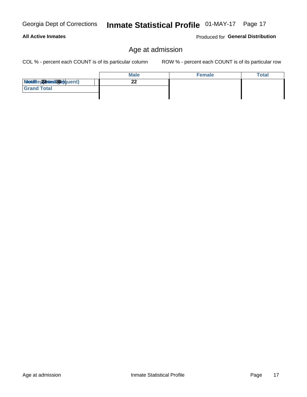### **All Active Inmates**

Produced for General Distribution

## Age at admission

COL % - percent each COUNT is of its particular column

|                         | <b>Male</b> | <b>Female</b> | Total |
|-------------------------|-------------|---------------|-------|
| Modiae 22 Mest30equent) | n n         |               |       |
| <b>Grand Total</b>      |             |               |       |
|                         |             |               |       |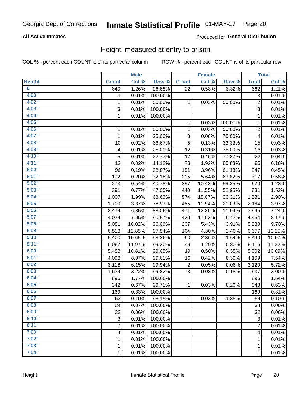### **All Active Inmates**

### Produced for General Distribution

### Height, measured at entry to prison

COL % - percent each COUNT is of its particular column

|                         |                | <b>Male</b> |         |              | <b>Female</b> |         |                | <b>Total</b> |
|-------------------------|----------------|-------------|---------|--------------|---------------|---------|----------------|--------------|
| <b>Height</b>           | <b>Count</b>   | Col %       | Row %   | <b>Count</b> | Col %         | Row %   | <b>Total</b>   | Col %        |
| $\overline{\mathbf{0}}$ | 640            | 1.26%       | 96.68%  | 22           | 0.58%         | 3.32%   | 662            | 1.21%        |
| 4'00"                   | 3              | 0.01%       | 100.00% |              |               |         | 3              | 0.01%        |
| 4'02''                  | $\mathbf{1}$   | 0.01%       | 50.00%  | 1            | 0.03%         | 50.00%  | $\overline{c}$ | 0.01%        |
| 4'03''                  | 3              | 0.01%       | 100.00% |              |               |         | $\overline{3}$ | 0.01%        |
| 4'04"                   | $\mathbf{1}$   | 0.01%       | 100.00% |              |               |         | 1              | 0.01%        |
| 4'05"                   |                |             |         | 1            | 0.03%         | 100.00% | 1              | 0.01%        |
| 4'06"                   | $\mathbf{1}$   | 0.01%       | 50.00%  | 1            | 0.03%         | 50.00%  | $\overline{c}$ | 0.01%        |
| 4'07"                   | 1              | 0.01%       | 25.00%  | 3            | 0.08%         | 75.00%  | 4              | 0.01%        |
| 4'08"                   | 10             | 0.02%       | 66.67%  | 5            | 0.13%         | 33.33%  | 15             | 0.03%        |
| 4'09"                   | 4              | 0.01%       | 25.00%  | 12           | 0.31%         | 75.00%  | 16             | 0.03%        |
| 4'10"                   | 5              | 0.01%       | 22.73%  | 17           | 0.45%         | 77.27%  | 22             | 0.04%        |
| 4'11''                  | 12             | 0.02%       | 14.12%  | 73           | 1.92%         | 85.88%  | 85             | 0.16%        |
| 5'00''                  | 96             | 0.19%       | 38.87%  | 151          | 3.96%         | 61.13%  | 247            | 0.45%        |
| 5'01"                   | 102            | 0.20%       | 32.18%  | 215          | 5.64%         | 67.82%  | 317            | 0.58%        |
| 5'02"                   | 273            | 0.54%       | 40.75%  | 397          | 10.42%        | 59.25%  | 670            | 1.23%        |
| 5'03''                  | 391            | 0.77%       | 47.05%  | 440          | 11.55%        | 52.95%  | 831            | 1.52%        |
| 5'04"                   | 1,007          | 1.99%       | 63.69%  | 574          | 15.07%        | 36.31%  | 1,581          | 2.90%        |
| 5'05"                   | 1,709          | 3.37%       | 78.97%  | 455          | 11.94%        | 21.03%  | 2,164          | 3.97%        |
| 5'06''                  | 3,474          | 6.85%       | 88.06%  | 471          | 12.36%        | 11.94%  | 3,945          | 7.24%        |
| 5'07''                  | 4,034          | 7.96%       | 90.57%  | 420          | 11.02%        | 9.43%   | 4,454          | 8.17%        |
| 5'08''                  | 5,081          | 10.02%      | 96.09%  | 207          | 5.43%         | 3.91%   | 5,288          | 9.70%        |
| 5'09''                  | 6,513          | 12.85%      | 97.54%  | 164          | 4.30%         | 2.46%   | 6,677          | 12.25%       |
| 5'10''                  | 5,400          | 10.65%      | 98.36%  | 90           | 2.36%         | 1.64%   | 5,490          | 10.07%       |
| 5'11"                   | 6,067          | 11.97%      | 99.20%  | 49           | 1.29%         | 0.80%   | 6,116          | 11.22%       |
| 6'00''                  | 5,483          | 10.81%      | 99.65%  | 19           | 0.50%         | 0.35%   | 5,502          | 10.09%       |
| 6'01''                  | 4,093          | 8.07%       | 99.61%  | 16           | 0.42%         | 0.39%   | 4,109          | 7.54%        |
| 6'02"                   | 3,118          | 6.15%       | 99.94%  | 2            | 0.05%         | 0.06%   | 3,120          | 5.72%        |
| 6'03''                  | 1,634          | 3.22%       | 99.82%  | 3            | 0.08%         | 0.18%   | 1,637          | 3.00%        |
| 6'04"                   | 896            | 1.77%       | 100.00% |              |               |         | 896            | 1.64%        |
| 6'05"                   | 342            | 0.67%       | 99.71%  | 1            | 0.03%         | 0.29%   | 343            | 0.63%        |
| 6'06''                  | 169            | 0.33%       | 100.00% |              |               |         | 169            | 0.31%        |
| 6'07"                   | 53             | 0.10%       | 98.15%  | 1.           | 0.03%         | 1.85%   | 54             | 0.10%        |
| 6'08"                   | 34             | 0.07%       | 100.00% |              |               |         | 34             | 0.06%        |
| 6'09''                  | 32             | 0.06%       | 100.00% |              |               |         | 32             | 0.06%        |
| 6'10''                  | 3              | 0.01%       | 100.00% |              |               |         | 3              | 0.01%        |
| 6'11''                  | $\overline{7}$ | 0.01%       | 100.00% |              |               |         | $\overline{7}$ | 0.01%        |
| 7'00"                   | 4              | 0.01%       | 100.00% |              |               |         | 4              | 0.01%        |
| 7'02"                   | 1              | 0.01%       | 100.00% |              |               |         | 1              | 0.01%        |
| 7'03''                  | 1              | 0.01%       | 100.00% |              |               |         | 1              | 0.01%        |
| 7'04"                   | $\mathbf{1}$   | 0.01%       | 100.00% |              |               |         | $\mathbf{1}$   | 0.01%        |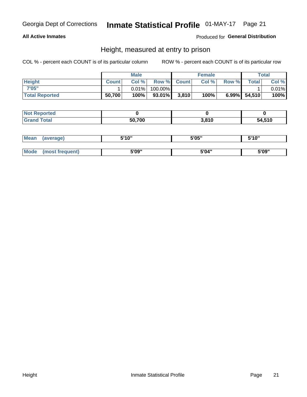### **All Active Inmates**

### Produced for General Distribution

### Height, measured at entry to prison

COL % - percent each COUNT is of its particular column

|                       |              | <b>Male</b> |         |             | <b>Female</b> |       |                 | Total |
|-----------------------|--------------|-------------|---------|-------------|---------------|-------|-----------------|-------|
| <b>Height</b>         | <b>Count</b> | Col %       |         | Row % Count | Col %         | Row % | <b>Total</b>    | Col % |
| 7'05"                 |              | $0.01\%$    | 100.00% |             |               |       |                 | 0.01% |
| <b>Total Reported</b> | 50,700       | 100%        | 93.01%  | 3,810       | 100%          |       | $6.99\%$ 54,510 | 100%  |

| <b>Not Reported</b> |        |       |        |
|---------------------|--------|-------|--------|
| <b>Grand Total</b>  | 50,700 | 3,810 | 54,510 |

| Mean | (average)       | 5'10" | 5'05" | 5'10" |
|------|-----------------|-------|-------|-------|
|      |                 |       |       |       |
| Mode | (most frequent) | 5'09" | 5'04" | 5'09" |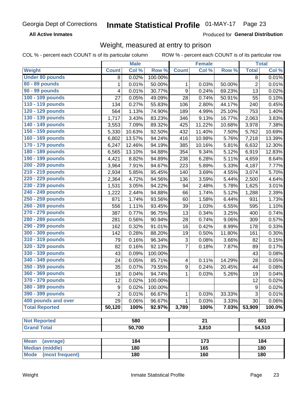**All Active Inmates** 

Produced for General Distribution

## Weight, measured at entry to prison

COL % - percent each COUNT is of its particular column

|                                                |                | <b>Male</b> |         |                           | <b>Female</b>   |        |                  | <b>Total</b>         |
|------------------------------------------------|----------------|-------------|---------|---------------------------|-----------------|--------|------------------|----------------------|
| <b>Weight</b>                                  | <b>Count</b>   | Col %       | Row %   | <b>Count</b>              | Col %           | Row %  | <b>Total</b>     | Col %                |
| <b>Under 80 pounds</b>                         | 8              | 0.02%       | 100.00% |                           |                 |        | 8                | 0.01%                |
| 80 - 89 pounds                                 | 1              | 0.01%       | 50.00%  | 1                         | 0.03%           | 50.00% | $\overline{c}$   | 0.01%                |
| 90 - 99 pounds                                 | 4              | 0.01%       | 30.77%  | 9                         | 0.24%           | 69.23% | 13               | 0.02%                |
| 100 - 109 pounds                               | 27             | 0.05%       | 49.09%  | 28                        | 0.74%           | 50.91% | 55               | 0.10%                |
| 110 - 119 pounds                               | 134            | 0.27%       | 55.83%  | 106                       | 2.80%           | 44.17% | 240              | 0.45%                |
| 120 - 129 pounds                               | 564            | 1.13%       | 74.90%  | 189                       | 4.99%           | 25.10% | 753              | 1.40%                |
| 130 - 139 pounds                               | 1,717          | 3.43%       | 83.23%  | 346                       | 9.13%           | 16.77% | 2,063            | 3.83%                |
| 140 - 149 pounds                               | 3,553          | 7.09%       | 89.32%  | 425                       | 11.22%          | 10.68% | 3,978            | 7.38%                |
| 150 - 159 pounds                               | 5,330          | 10.63%      | 92.50%  | 432                       | 11.40%          | 7.50%  | 5,762            | 10.69%               |
| 160 - 169 pounds                               | 6,802          | 13.57%      | 94.24%  | 416                       | 10.98%          | 5.76%  | 7,218            | 13.39%               |
| 170 - 179 pounds                               | 6,247          | 12.46%      | 94.19%  | 385                       | 10.16%          | 5.81%  | 6,632            | 12.30%               |
| 180 - 189 pounds                               | 6,565          | 13.10%      | 94.88%  | 354                       | 9.34%           | 5.12%  | 6,919            | 12.83%               |
| 190 - 199 pounds                               | 4,421          | 8.82%       | 94.89%  | 238                       | 6.28%           | 5.11%  | 4,659            | 8.64%                |
| 200 - 209 pounds                               | 3,964          | 7.91%       | 94.67%  | 223                       | 5.89%           | 5.33%  | 4,187            | 7.77%                |
| 210 - 219 pounds                               | 2,934          | 5.85%       | 95.45%  | 140                       | 3.69%           | 4.55%  | 3,074            | 5.70%                |
| 220 - 229 pounds                               | 2,364          | 4.72%       | 94.56%  | 136                       | 3.59%           | 5.44%  | 2,500            | 4.64%                |
| 230 - 239 pounds                               | 1,531          | 3.05%       | 94.22%  | 94                        | 2.48%           | 5.78%  | 1,625            | 3.01%                |
| 240 - 249 pounds                               | 1,222          | 2.44%       | 94.88%  | 66                        | 1.74%           | 5.12%  | 1,288            | 2.39%                |
| 250 - 259 pounds                               | 871            | 1.74%       | 93.56%  | 60                        | 1.58%           | 6.44%  | 931              | 1.73%                |
| 260 - 269 pounds                               | 556            | 1.11%       | 93.45%  | 39                        | 1.03%           | 6.55%  | 595              | 1.10%                |
| 270 - 279 pounds                               | 387            | 0.77%       | 96.75%  | 13                        | 0.34%           | 3.25%  | 400              | 0.74%                |
| 280 - 289 pounds                               | 281            | 0.56%       | 90.94%  | 28                        | 0.74%           | 9.06%  | 309              | 0.57%                |
| 290 - 299 pounds                               | 162            | 0.32%       | 91.01%  | 16                        | 0.42%           | 8.99%  | 178              | 0.33%                |
| 300 - 309 pounds                               | 142            | 0.28%       | 88.20%  | 19                        | 0.50%           | 11.80% | 161              | 0.30%                |
| 310 - 319 pounds                               | 79             | 0.16%       | 96.34%  | $\ensuremath{\mathsf{3}}$ | 0.08%           | 3.66%  | 82               | 0.15%                |
| 320 - 329 pounds                               | 82             | 0.16%       | 92.13%  | $\overline{7}$            | 0.18%           | 7.87%  | 89               | 0.17%                |
| 330 - 339 pounds                               | 43             | 0.09%       | 100.00% |                           |                 |        | 43               | 0.08%                |
| 340 - 349 pounds                               | 24             | 0.05%       | 85.71%  | 4                         | 0.11%           | 14.29% | 28               | 0.05%                |
| 350 - 359 pounds                               | 35             | 0.07%       | 79.55%  | $\boldsymbol{9}$          | 0.24%           | 20.45% | 44               | 0.08%                |
| 360 - 369 pounds                               | 18             | 0.04%       | 94.74%  | 1                         | 0.03%           | 5.26%  | 19               | 0.04%                |
| 370 - 379 pounds                               | 12             | 0.02%       | 100.00% |                           |                 |        | 12               | 0.02%                |
| 380 - 389 pounds                               | 9              | 0.02%       | 100.00% |                           |                 |        | $\boldsymbol{9}$ | 0.02%                |
| 390 - 399 pounds                               | $\overline{2}$ | 0.01%       | 66.67%  | 1                         | 0.03%           | 33.33% | 3                | 0.01%                |
| 400 pounds and over                            | 29             | 0.06%       | 96.67%  | 1                         | 0.03%           | 3.33%  | 30               | 0.06%                |
| <b>Total Reported</b>                          | 50,120         | 100%        | 92.97%  | 3,789                     | 100%            | 7.03%  | 53,909           | $\overline{100.0\%}$ |
|                                                |                |             |         |                           |                 |        |                  |                      |
| <b>Not Reported</b>                            |                | 580         |         |                           | $\overline{21}$ |        |                  | 601                  |
| <b>Grand Total</b>                             |                | 50,700      |         |                           | 3,810           |        |                  | 54,510               |
|                                                |                |             |         |                           |                 |        |                  |                      |
| <b>Mean</b><br>(average)                       |                | 184         |         |                           | 173             |        |                  | 184                  |
| <b>Median (middle)</b><br>Mode (most frequent) |                | 180         |         |                           | 165             |        |                  | 180                  |
|                                                |                | 180         |         |                           | 160             |        |                  | 180                  |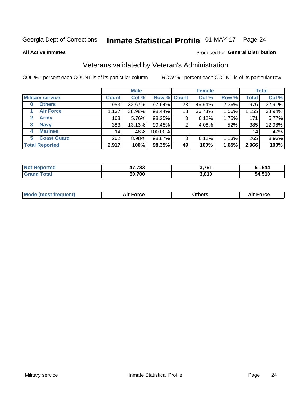## Inmate Statistical Profile 01-MAY-17 Page 24

**All Active Inmates** 

#### Produced for General Distribution

## Veterans validated by Veteran's Administration

COL % - percent each COUNT is of its particular column

|                             |                 | <b>Male</b> |         |                    | <b>Female</b> |       |              | <b>Total</b> |
|-----------------------------|-----------------|-------------|---------|--------------------|---------------|-------|--------------|--------------|
| <b>Military service</b>     | <b>Count</b>    | Col %       |         | <b>Row % Count</b> | Col %         | Row % | <b>Total</b> | Col %        |
| <b>Others</b><br>0          | 953             | 32.67%      | 97.64%  | 23 <sub>1</sub>    | 46.94%        | 2.36% | 976          | 32.91%       |
| <b>Air Force</b>            | 1,137           | 38.98%      | 98.44%  | 18                 | 36.73%        | 1.56% | 1,155        | 38.94%       |
| <b>Army</b><br>$\mathbf{2}$ | 168             | 5.76%       | 98.25%  | 3                  | 6.12%         | 1.75% | 171          | 5.77%        |
| <b>Navy</b><br>3            | 383             | 13.13%      | 99.48%  | 2                  | 4.08%         | .52%  | 385          | 12.98%       |
| <b>Marines</b><br>4         | 14 <sub>1</sub> | .48%        | 100.00% |                    |               |       | 14           | .47%         |
| <b>Coast Guard</b><br>5.    | 262             | 8.98%       | 98.87%  | 3                  | 6.12%         | 1.13% | 265          | 8.93%        |
| <b>Total Reported</b>       | 2,917           | 100%        | 98.35%  | 49                 | 100%          | 1.65% | 2,966        | 100%         |

| <b>Not</b><br>. ಗeported | 17,783<br>л. | 3,761 | 51,544 |
|--------------------------|--------------|-------|--------|
| <b><sup>r</sup>otal</b>  | 50,700       | 3,810 | 54,510 |

|  |  | <b>Mode (most frequent)</b> | <b>Force</b><br>Aır | วthers | orce |
|--|--|-----------------------------|---------------------|--------|------|
|--|--|-----------------------------|---------------------|--------|------|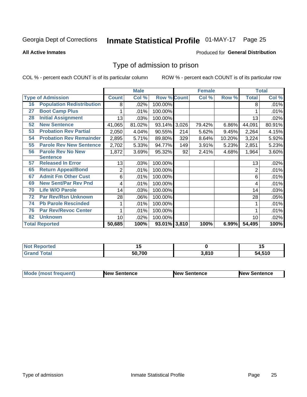#### **Inmate Statistical Profile 01-MAY-17** Page 25

**All Active Inmates** 

#### Produced for General Distribution

## Type of admission to prison

COL % - percent each COUNT is of its particular column

|    |                                  |              | <b>Male</b> |                    |     | <b>Female</b> |        |              | <b>Total</b> |
|----|----------------------------------|--------------|-------------|--------------------|-----|---------------|--------|--------------|--------------|
|    | <b>Type of Admission</b>         | <b>Count</b> | Col %       | <b>Row % Count</b> |     | Col %         | Row %  | <b>Total</b> | Col %        |
| 16 | <b>Population Redistribution</b> | 8            | .02%        | 100.00%            |     |               |        | 8            | .01%         |
| 27 | <b>Boot Camp Plus</b>            |              | .01%        | 100.00%            |     |               |        |              | .01%         |
| 28 | <b>Initial Assignment</b>        | 13           | .03%        | 100.00%            |     |               |        | 13           | .02%         |
| 52 | <b>New Sentence</b>              | 41,065       | 81.02%      | 93.14% 3,026       |     | 79.42%        | 6.86%  | 44,091       | 80.91%       |
| 53 | <b>Probation Rev Partial</b>     | 2,050        | 4.04%       | 90.55%             | 214 | 5.62%         | 9.45%  | 2,264        | 4.15%        |
| 54 | <b>Probation Rev Remainder</b>   | 2,895        | 5.71%       | 89.80%             | 329 | 8.64%         | 10.20% | 3,224        | 5.92%        |
| 55 | <b>Parole Rev New Sentence</b>   | 2,702        | 5.33%       | 94.77%             | 149 | 3.91%         | 5.23%  | 2,851        | 5.23%        |
| 56 | <b>Parole Rev No New</b>         | 1,872        | 3.69%       | 95.32%             | 92  | 2.41%         | 4.68%  | 1,964        | 3.60%        |
|    | <b>Sentence</b>                  |              |             |                    |     |               |        |              |              |
| 57 | <b>Released In Error</b>         | 13           | .03%        | 100.00%            |     |               |        | 13           | .02%         |
| 65 | <b>Return Appeal/Bond</b>        | 2            | .01%        | 100.00%            |     |               |        | 2            | .01%         |
| 67 | <b>Admit Fm Other Cust</b>       | 6            | .01%        | 100.00%            |     |               |        | 6            | .01%         |
| 69 | <b>New Sent/Par Rev Pnd</b>      | 4            | .01%        | 100.00%            |     |               |        | 4            | .01%         |
| 70 | <b>Life W/O Parole</b>           | 14           | .03%        | 100.00%            |     |               |        | 14           | .03%         |
| 72 | <b>Par Rev/Rsn Unknown</b>       | 28           | .06%        | 100.00%            |     |               |        | 28           | .05%         |
| 74 | <b>Pb Parole Rescinded</b>       | 1            | .01%        | 100.00%            |     |               |        |              | .01%         |
| 76 | <b>Par Rev/Revoc Center</b>      |              | .01%        | 100.00%            |     |               |        |              | .01%         |
| 82 | <b>Unknown</b>                   | 10           | .02%        | 100.00%            |     |               |        | 10           | .02%         |
|    | <b>Total Reported</b>            | 50,685       | 100%        | 93.01% 3,810       |     | 100%          | 6.99%  | 54,495       | 100%         |

| <b>Not</b><br>rted |        |      | 1 J        |
|--------------------|--------|------|------------|
| $\sim$             | 50.700 | 2010 | ,510<br>54 |

| <b>Mode (most frequent)</b> | New Sentence | <b>New Sentence</b> | <b>New Sentence</b> |
|-----------------------------|--------------|---------------------|---------------------|
|                             |              |                     |                     |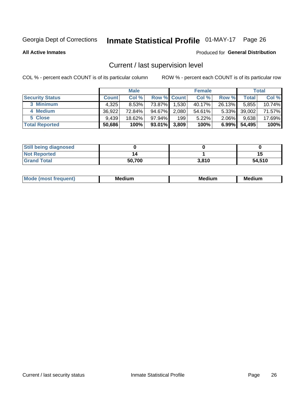## Inmate Statistical Profile 01-MAY-17 Page 26

**All Active Inmates** 

#### Produced for General Distribution

## Current / last supervision level

COL % - percent each COUNT is of its particular column

|                        |              | <b>Male</b> |                    |       | <b>Female</b> |          |        | <b>Total</b> |
|------------------------|--------------|-------------|--------------------|-------|---------------|----------|--------|--------------|
| <b>Security Status</b> | <b>Count</b> | Col %       | <b>Row % Count</b> |       | Col %         | Row %    | Total  | Col %        |
| 3 Minimum              | 4,325        | $8.53\%$    | 73.87%             | 1,530 | 40.17%        | 26.13%   | 5,855  | 10.74%       |
| 4 Medium               | 36,922       | 72.84%      | 94.67%             | 2,080 | 54.61%        | $5.33\%$ | 39,002 | 71.57%       |
| 5 Close                | 9.439        | 18.62%      | $97.94\%$          | 199   | 5.22%         | $2.06\%$ | 9,638  | 17.69%       |
| <b>Total Reported</b>  | 50,686       | 100%        | $93.01\%$          | 3,809 | 100%          | $6.99\%$ | 54,495 | 100%         |

| <b>Still being diagnosed</b> |        |       |        |
|------------------------------|--------|-------|--------|
| <b>Not Reported</b>          |        |       | 15     |
| <b>Grand Total</b>           | 50,700 | 3,810 | 54,510 |

| M | M | . . |
|---|---|-----|
|   |   |     |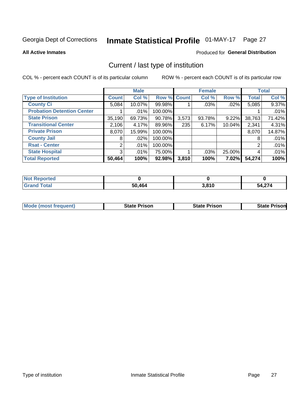## Inmate Statistical Profile 01-MAY-17 Page 27

**All Active Inmates** 

#### Produced for General Distribution

## Current / last type of institution

COL % - percent each COUNT is of its particular column

|                                   |                | <b>Male</b> |             |       | <b>Female</b> |          |              | <b>Total</b> |
|-----------------------------------|----------------|-------------|-------------|-------|---------------|----------|--------------|--------------|
| <b>Type of Institution</b>        | <b>Count</b>   | Col %       | Row % Count |       | Col %         | Row %    | <b>Total</b> | Col %        |
| <b>County Ci</b>                  | 5,084          | 10.07%      | 99.98%      |       | .03%          | .02%     | 5,085        | 9.37%        |
| <b>Probation Detention Center</b> |                | .01%        | 100.00%     |       |               |          |              | .01%         |
| <b>State Prison</b>               | 35,190         | 69.73%      | 90.78%      | 3,573 | 93.78%        | 9.22%    | 38,763       | 71.42%       |
| <b>Transitional Center</b>        | 2,106          | 4.17%       | 89.96%      | 235   | 6.17%         | 10.04%   | 2,341        | 4.31%        |
| <b>Private Prison</b>             | 8,070          | 15.99%      | 100.00%     |       |               |          | 8,070        | 14.87%       |
| <b>County Jail</b>                | 8              | .02%        | 100.00%     |       |               |          | 8            | .01%         |
| <b>Rsat - Center</b>              | 2 <sub>1</sub> | $.01\%$     | 100.00%     |       |               |          | 2            | .01%         |
| <b>State Hospital</b>             | 3              | $.01\%$     | 75.00%      |       | .03%          | 25.00%   | 4            | .01%         |
| <b>Total Reported</b>             | 50,464         | 100%        | 92.98%      | 3,810 | 100%          | $7.02\%$ | 54,274       | 100%         |

| N <sub>of</sub><br><b>roorted</b> |        |       |             |
|-----------------------------------|--------|-------|-------------|
| `otal<br>. Grar                   | 50,464 | 3,810 | .<br>54,274 |

| Mode (most frequent) | <b>State Prison</b> | <b>State Prison</b> | <b>State Prisonl</b> |
|----------------------|---------------------|---------------------|----------------------|
|                      |                     |                     |                      |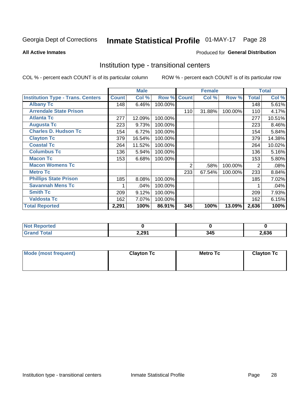## Inmate Statistical Profile 01-MAY-17 Page 28

**All Active Inmates** 

#### Produced for General Distribution

## Institution type - transitional centers

COL % - percent each COUNT is of its particular column

|                                          |              | <b>Male</b> |         |              | <b>Female</b> |         |              | <b>Total</b> |
|------------------------------------------|--------------|-------------|---------|--------------|---------------|---------|--------------|--------------|
| <b>Institution Type - Trans. Centers</b> | <b>Count</b> | Col %       | Row %   | <b>Count</b> | Col %         | Row %   | <b>Total</b> | Col %        |
| <b>Albany Tc</b>                         | 148          | 6.46%       | 100.00% |              |               |         | 148          | 5.61%        |
| <b>Arrendale State Prison</b>            |              |             |         | 110          | 31.88%        | 100.00% | 110          | 4.17%        |
| <b>Atlanta Tc</b>                        | 277          | 12.09%      | 100.00% |              |               |         | 277          | 10.51%       |
| <b>Augusta Tc</b>                        | 223          | 9.73%       | 100.00% |              |               |         | 223          | 8.46%        |
| <b>Charles D. Hudson Tc</b>              | 154          | 6.72%       | 100.00% |              |               |         | 154          | 5.84%        |
| <b>Clayton Tc</b>                        | 379          | 16.54%      | 100.00% |              |               |         | 379          | 14.38%       |
| <b>Coastal Tc</b>                        | 264          | 11.52%      | 100.00% |              |               |         | 264          | 10.02%       |
| <b>Columbus Tc</b>                       | 136          | 5.94%       | 100.00% |              |               |         | 136          | 5.16%        |
| <b>Macon Tc</b>                          | 153          | 6.68%       | 100.00% |              |               |         | 153          | 5.80%        |
| <b>Macon Womens Tc</b>                   |              |             |         | 2            | .58%          | 100.00% | 2            | .08%         |
| <b>Metro Tc</b>                          |              |             |         | 233          | 67.54%        | 100.00% | 233          | 8.84%        |
| <b>Phillips State Prison</b>             | 185          | 8.08%       | 100.00% |              |               |         | 185          | 7.02%        |
| <b>Savannah Mens Tc</b>                  |              | .04%        | 100.00% |              |               |         |              | .04%         |
| <b>Smith Tc</b>                          | 209          | 9.12%       | 100.00% |              |               |         | 209          | 7.93%        |
| <b>Valdosta Tc</b>                       | 162          | 7.07%       | 100.00% |              |               |         | 162          | 6.15%        |
| <b>Total Reported</b>                    | 2,291        | 100%        | 86.91%  | 345          | 100%          | 13.09%  | 2,636        | 100%         |

| тес             |       |     |       |
|-----------------|-------|-----|-------|
| $\sim$ - $\sim$ | 2,291 | , , | 2,636 |

| Mode (most frequent) | <b>Clayton Tc</b> | Metro Tc | <b>Clayton Tc</b> |
|----------------------|-------------------|----------|-------------------|
|                      |                   |          |                   |
|                      |                   |          |                   |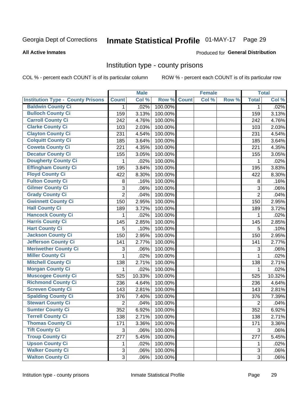## Inmate Statistical Profile 01-MAY-17 Page 29

#### **All Active Inmates**

#### Produced for General Distribution

### Institution type - county prisons

COL % - percent each COUNT is of its particular column

|                                          |                | <b>Male</b> |         |              | <b>Female</b> |       |                | <b>Total</b> |
|------------------------------------------|----------------|-------------|---------|--------------|---------------|-------|----------------|--------------|
| <b>Institution Type - County Prisons</b> | <b>Count</b>   | Col %       | Row %   | <b>Count</b> | Col %         | Row % | <b>Total</b>   | Col %        |
| <b>Baldwin County Ci</b>                 | $\mathbf{1}$   | .02%        | 100.00% |              |               |       | $\mathbf 1$    | .02%         |
| <b>Bulloch County Ci</b>                 | 159            | 3.13%       | 100.00% |              |               |       | 159            | 3.13%        |
| <b>Carroll County Ci</b>                 | 242            | 4.76%       | 100.00% |              |               |       | 242            | 4.76%        |
| <b>Clarke County Ci</b>                  | 103            | 2.03%       | 100.00% |              |               |       | 103            | 2.03%        |
| <b>Clayton County Ci</b>                 | 231            | 4.54%       | 100.00% |              |               |       | 231            | 4.54%        |
| <b>Colquitt County Ci</b>                | 185            | 3.64%       | 100.00% |              |               |       | 185            | 3.64%        |
| <b>Coweta County Ci</b>                  | 221            | 4.35%       | 100.00% |              |               |       | 221            | 4.35%        |
| <b>Decatur County Ci</b>                 | 155            | 3.05%       | 100.00% |              |               |       | 155            | 3.05%        |
| <b>Dougherty County Ci</b>               | 1              | .02%        | 100.00% |              |               |       | 1              | .02%         |
| <b>Effingham County Ci</b>               | 195            | 3.84%       | 100.00% |              |               |       | 195            | 3.83%        |
| <b>Floyd County Ci</b>                   | 422            | 8.30%       | 100.00% |              |               |       | 422            | 8.30%        |
| <b>Fulton County Ci</b>                  | 8              | .16%        | 100.00% |              |               |       | 8              | .16%         |
| <b>Gilmer County Ci</b>                  | $\mathbf{3}$   | .06%        | 100.00% |              |               |       | 3              | .06%         |
| <b>Grady County Ci</b>                   | $\overline{c}$ | .04%        | 100.00% |              |               |       | $\overline{2}$ | .04%         |
| <b>Gwinnett County Ci</b>                | 150            | 2.95%       | 100.00% |              |               |       | 150            | 2.95%        |
| <b>Hall County Ci</b>                    | 189            | 3.72%       | 100.00% |              |               |       | 189            | 3.72%        |
| <b>Hancock County Ci</b>                 | 1              | .02%        | 100.00% |              |               |       | 1              | .02%         |
| <b>Harris County Ci</b>                  | 145            | 2.85%       | 100.00% |              |               |       | 145            | 2.85%        |
| <b>Hart County Ci</b>                    | 5              | .10%        | 100.00% |              |               |       | 5              | .10%         |
| <b>Jackson County Ci</b>                 | 150            | 2.95%       | 100.00% |              |               |       | 150            | 2.95%        |
| <b>Jefferson County Ci</b>               | 141            | 2.77%       | 100.00% |              |               |       | 141            | 2.77%        |
| <b>Meriwether County Ci</b>              | 3              | .06%        | 100.00% |              |               |       | 3              | .06%         |
| <b>Miller County Ci</b>                  | 1              | .02%        | 100.00% |              |               |       | 1              | .02%         |
| <b>Mitchell County Ci</b>                | 138            | 2.71%       | 100.00% |              |               |       | 138            | 2.71%        |
| <b>Morgan County Ci</b>                  | 1              | .02%        | 100.00% |              |               |       | 1              | .02%         |
| <b>Muscogee County Ci</b>                | 525            | 10.33%      | 100.00% |              |               |       | 525            | 10.32%       |
| <b>Richmond County Ci</b>                | 236            | 4.64%       | 100.00% |              |               |       | 236            | 4.64%        |
| <b>Screven County Ci</b>                 | 143            | 2.81%       | 100.00% |              |               |       | 143            | 2.81%        |
| <b>Spalding County Ci</b>                | 376            | 7.40%       | 100.00% |              |               |       | 376            | 7.39%        |
| <b>Stewart County Ci</b>                 | $\overline{2}$ | .04%        | 100.00% |              |               |       | $\overline{2}$ | .04%         |
| <b>Sumter County Ci</b>                  | 352            | 6.92%       | 100.00% |              |               |       | 352            | 6.92%        |
| <b>Terrell County Ci</b>                 | 138            | 2.71%       | 100.00% |              |               |       | 138            | 2.71%        |
| <b>Thomas County Ci</b>                  | 171            | 3.36%       | 100.00% |              |               |       | 171            | 3.36%        |
| <b>Tift County Ci</b>                    | 3              | .06%        | 100.00% |              |               |       | 3              | .06%         |
| <b>Troup County Ci</b>                   | 277            | 5.45%       | 100.00% |              |               |       | 277            | 5.45%        |
| <b>Upson County Ci</b>                   | 1              | .02%        | 100.00% |              |               |       | 1              | .02%         |
| <b>Walker County Ci</b>                  | $\mathfrak{S}$ | .06%        | 100.00% |              |               |       | $\mathfrak{S}$ | .06%         |
| <b>Walton County Ci</b>                  | 3              | .06%        | 100.00% |              |               |       | 3              | .06%         |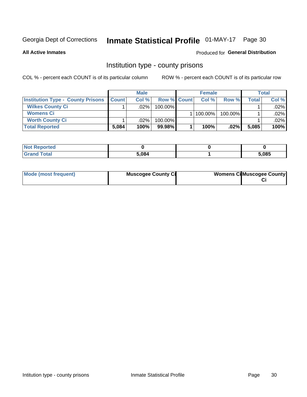## Inmate Statistical Profile 01-MAY-17 Page 30

**All Active Inmates** 

#### Produced for General Distribution

### Institution type - county prisons

COL % - percent each COUNT is of its particular column

|                                          |              | <b>Male</b> |             | <b>Female</b> |         |       | <b>Total</b> |
|------------------------------------------|--------------|-------------|-------------|---------------|---------|-------|--------------|
| <b>Institution Type - County Prisons</b> | <b>Count</b> | Col%        | Row % Count | Col%          | Row %   | Total | Col %        |
| <b>Wilkes County Ci</b>                  |              | $.02\%$     | 100.00%     |               |         |       | $.02\%$      |
| <b>Womens Ci</b>                         |              |             |             | 100.00%       | 100.00% |       | $.02\%$      |
| <b>Worth County Ci</b>                   |              | $.02\%$     | 100.00%     |               |         |       | $.02\%$      |
| <b>Total Reported</b>                    | 5,084        | 100%        | 99.98%      | 100%          | $.02\%$ | 5,085 | 100%         |

| τeα   |       |       |
|-------|-------|-------|
| _____ | 5,084 | 5,085 |

| Mode (most frequent)<br><b>Muscogee County Ci</b> |  | <b>Womens CilMuscogee County</b> |
|---------------------------------------------------|--|----------------------------------|
|---------------------------------------------------|--|----------------------------------|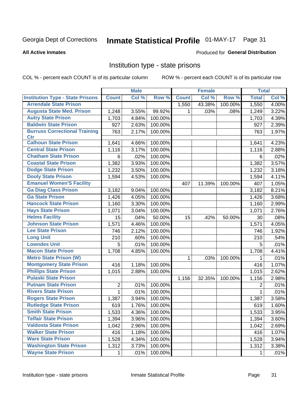## Inmate Statistical Profile 01-MAY-17 Page 31

#### **All Active Inmates**

### **Produced for General Distribution**

### Institution type - state prisons

COL % - percent each COUNT is of its particular column

|                                         |              | <b>Male</b> |         |              | <b>Female</b> |         | <b>Total</b> |       |
|-----------------------------------------|--------------|-------------|---------|--------------|---------------|---------|--------------|-------|
| <b>Institution Type - State Prisons</b> | <b>Count</b> | Col %       | Row %   | <b>Count</b> | Col %         | Row %   | <b>Total</b> | Col % |
| <b>Arrendale State Prison</b>           |              |             |         | 1,550        | 43.38%        | 100.00% | 1,550        | 4.00% |
| <b>Augusta State Med. Prison</b>        | 1,248        | 3.55%       | 99.92%  | 1            | .03%          | .08%    | 1,249        | 3.22% |
| <b>Autry State Prison</b>               | 1,703        | 4.84%       | 100.00% |              |               |         | 1,703        | 4.39% |
| <b>Baldwin State Prison</b>             | 927          | 2.63%       | 100.00% |              |               |         | 927          | 2.39% |
| <b>Burruss Correctional Training</b>    | 763          | 2.17%       | 100.00% |              |               |         | 763          | 1.97% |
| <b>Ctr</b>                              |              |             |         |              |               |         |              |       |
| <b>Calhoun State Prison</b>             | 1,641        | 4.66%       | 100.00% |              |               |         | 1,641        | 4.23% |
| <b>Central State Prison</b>             | 1,116        | 3.17%       | 100.00% |              |               |         | 1,116        | 2.88% |
| <b>Chatham State Prison</b>             | 6            | .02%        | 100.00% |              |               |         | 6            | .02%  |
| <b>Coastal State Prison</b>             | 1,382        | 3.93%       | 100.00% |              |               |         | 1,382        | 3.57% |
| <b>Dodge State Prison</b>               | 1,232        | 3.50%       | 100.00% |              |               |         | 1,232        | 3.18% |
| <b>Dooly State Prison</b>               | 1,594        | 4.53%       | 100.00% |              |               |         | 1,594        | 4.11% |
| <b>Emanuel Women'S Facility</b>         |              |             |         | 407          | 11.39%        | 100.00% | 407          | 1.05% |
| <b>Ga Diag Class Prison</b>             | 3,182        | 9.04%       | 100.00% |              |               |         | 3,182        | 8.21% |
| <b>Ga State Prison</b>                  | 1,426        | 4.05%       | 100.00% |              |               |         | 1,426        | 3.68% |
| <b>Hancock State Prison</b>             | 1,160        | 3.30%       | 100.00% |              |               |         | 1,160        | 2.99% |
| <b>Hays State Prison</b>                | 1,071        | 3.04%       | 100.00% |              |               |         | 1,071        | 2.76% |
| <b>Helms Facility</b>                   | 15           | .04%        | 50.00%  | 15           | .42%          | 50.00%  | 30           | .08%  |
| <b>Johnson State Prison</b>             | 1,571        | 4.46%       | 100.00% |              |               |         | 1,571        | 4.05% |
| <b>Lee State Prison</b>                 | 746          | 2.12%       | 100.00% |              |               |         | 746          | 1.92% |
| <b>Long Unit</b>                        | 210          | .60%        | 100.00% |              |               |         | 210          | .54%  |
| <b>Lowndes Unit</b>                     | 5            | .01%        | 100.00% |              |               |         | 5            | .01%  |
| <b>Macon State Prison</b>               | 1,708        | 4.85%       | 100.00% |              |               |         | 1,708        | 4.41% |
| <b>Metro State Prison (W)</b>           |              |             |         | 1            | .03%          | 100.00% | 1            | .01%  |
| <b>Montgomery State Prison</b>          | 416          | 1.18%       | 100.00% |              |               |         | 416          | 1.07% |
| <b>Phillips State Prison</b>            | 1,015        | 2.88%       | 100.00% |              |               |         | 1,015        | 2.62% |
| <b>Pulaski State Prison</b>             |              |             |         | 1,156        | 32.35%        | 100.00% | 1,156        | 2.98% |
| <b>Putnam State Prison</b>              | 2            | .01%        | 100.00% |              |               |         | 2            | .01%  |
| <b>Rivers State Prison</b>              | $\mathbf{1}$ | .01%        | 100.00% |              |               |         | 1            | .01%  |
| <b>Rogers State Prison</b>              | 1,387        | 3.94%       | 100.00% |              |               |         | 1,387        | 3.58% |
| <b>Rutledge State Prison</b>            | 619          | 1.76%       | 100.00% |              |               |         | 619          | 1.60% |
| <b>Smith State Prison</b>               | 1,533        | $4.36\%$    | 100.00% |              |               |         | 1,533        | 3.95% |
| <b>Telfair State Prison</b>             | 1,394        | 3.96%       | 100.00% |              |               |         | 1,394        | 3.60% |
| <b>Valdosta State Prison</b>            | 1,042        | 2.96%       | 100.00% |              |               |         | 1,042        | 2.69% |
| <b>Walker State Prison</b>              | 416          | 1.18%       | 100.00% |              |               |         | 416          | 1.07% |
| <b>Ware State Prison</b>                | 1,528        | 4.34%       | 100.00% |              |               |         | 1,528        | 3.94% |
| <b>Washington State Prison</b>          | 1,312        | 3.73%       | 100.00% |              |               |         | 1,312        | 3.38% |
| <b>Wayne State Prison</b>               | 1            | .01%        | 100.00% |              |               |         | 1            | .01%  |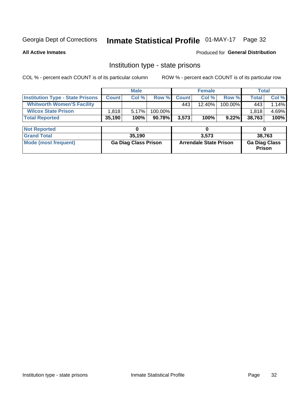## Inmate Statistical Profile 01-MAY-17 Page 32

**All Active Inmates** 

#### Produced for General Distribution

## Institution type - state prisons

COL % - percent each COUNT is of its particular column

|                                         |              | <b>Male</b>                 |         |              | <b>Female</b>                 |          | <b>Total</b>                   |       |
|-----------------------------------------|--------------|-----------------------------|---------|--------------|-------------------------------|----------|--------------------------------|-------|
| <b>Institution Type - State Prisons</b> | <b>Count</b> | Col %                       | Row %   | <b>Count</b> | Col %                         | Row %    | <b>Total</b>                   | Col % |
| <b>Whitworth Women'S Facility</b>       |              |                             |         | 443          | 12.40%                        | 100.00%  | 443                            | 1.14% |
| <b>Wilcox State Prison</b>              | 1,818        | 5.17%                       | 100.00% |              |                               |          | 1,818                          | 4.69% |
| <b>Total Reported</b>                   | 35,190       | 100%                        | 90.78%  | 3,573        | 100%                          | $9.22\%$ | 38,763                         | 100%  |
|                                         |              |                             |         |              |                               |          |                                |       |
| <b>Not Reported</b>                     |              | 0                           |         |              | 0                             |          | 0                              |       |
| <b>Grand Total</b>                      |              | 35,190                      |         |              | 3,573                         |          | 38,763                         |       |
| <b>Mode (most frequent)</b>             |              | <b>Ga Diag Class Prison</b> |         |              | <b>Arrendale State Prison</b> |          | <b>Ga Diag Class</b><br>Prison |       |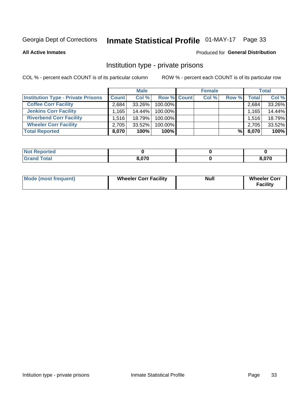## Inmate Statistical Profile 01-MAY-17 Page 33

**All Active Inmates** 

#### Produced for General Distribution

## Institution type - private prisons

COL % - percent each COUNT is of its particular column

|                                           |                    | <b>Male</b> |                    | <b>Female</b> |       |       | <b>Total</b> |
|-------------------------------------------|--------------------|-------------|--------------------|---------------|-------|-------|--------------|
| <b>Institution Type - Private Prisons</b> | <b>Count</b>       | Col %       | <b>Row % Count</b> | Col %         | Row % | Total | Col %        |
| <b>Coffee Corr Facility</b>               | 2.684              | 33.26%      | 100.00%            |               |       | 2,684 | 33.26%       |
| <b>Jenkins Corr Facility</b>              | $.165$ $^{\prime}$ | 14.44%      | 100.00%            |               |       | 1,165 | 14.44%       |
| <b>Riverbend Corr Facility</b>            | 1.516              | 18.79%      | 100.00%            |               |       | 1,516 | 18.79%       |
| <b>Wheeler Corr Facility</b>              | 2,705              | $33.52\%$   | 100.00%            |               |       | 2,705 | 33.52%       |
| <b>Total Reported</b>                     | 8,070              | 100%        | $100\%$            |               | %I    | 8,070 | 100%         |

| 'Noi<br>Reported |       |      |
|------------------|-------|------|
| <b>otal</b>      | 8.070 | ,070 |

| <b>Mode (most frequent)</b> | <b>Wheeler Corr Facility</b> | <b>Null</b> | <b>Wheeler Corr</b><br><b>Facility</b> |
|-----------------------------|------------------------------|-------------|----------------------------------------|
|-----------------------------|------------------------------|-------------|----------------------------------------|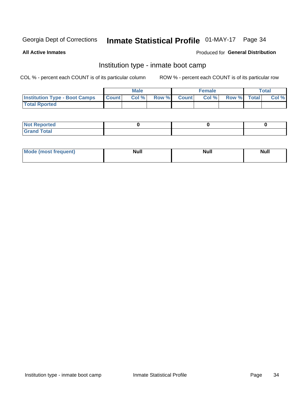## Inmate Statistical Profile 01-MAY-17 Page 34

**All Active Inmates** 

### Produced for General Distribution

## Institution type - inmate boot camp

COL % - percent each COUNT is of its particular column

|                                      |              | <b>Male</b> |               |              | <b>Female</b> |             | <b>Total</b> |
|--------------------------------------|--------------|-------------|---------------|--------------|---------------|-------------|--------------|
| <b>Institution Type - Boot Camps</b> | <b>Count</b> | Col %       | <b>Row %I</b> | <b>Count</b> | Col %         | Row % Total | Col %        |
| <b>Total Rported</b>                 |              |             |               |              |               |             |              |

| <b>Not Reported</b>            |  |  |
|--------------------------------|--|--|
| <b>Total</b><br>C <sub>r</sub> |  |  |

| Mod<br>uamo | Nul.<br>$- - - - - -$ | <b>Null</b> | <br>uu.<br>------ |
|-------------|-----------------------|-------------|-------------------|
|             |                       |             |                   |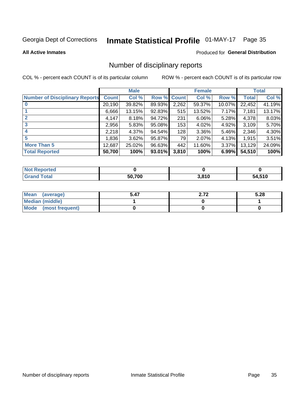## Inmate Statistical Profile 01-MAY-17 Page 35

#### **All Active Inmates**

#### Produced for General Distribution

## Number of disciplinary reports

COL % - percent each COUNT is of its particular column

|                                       |              | <b>Male</b> |        |       | <b>Female</b> |          |              | <b>Total</b> |
|---------------------------------------|--------------|-------------|--------|-------|---------------|----------|--------------|--------------|
| <b>Number of Disciplinary Reports</b> | <b>Count</b> | Col %       | Row %  | Count | Col %         | Row %    | <b>Total</b> | Col %        |
|                                       | 20,190       | 39.82%      | 89.93% | 2,262 | 59.37%        | 10.07%   | 22,452       | 41.19%       |
|                                       | 6,666        | 13.15%      | 92.83% | 515   | 13.52%        | $7.17\%$ | 7,181        | 13.17%       |
|                                       | 4,147        | 8.18%       | 94.72% | 231   | 6.06%         | $5.28\%$ | 4,378        | 8.03%        |
| 3                                     | 2,956        | 5.83%       | 95.08% | 153   | 4.02%         | $4.92\%$ | 3,109        | 5.70%        |
| 4                                     | 2,218        | 4.37%       | 94.54% | 128   | 3.36%         | 5.46%    | 2,346        | 4.30%        |
| 5                                     | 1,836        | 3.62%       | 95.87% | 79    | 2.07%         | $4.13\%$ | 1,915        | 3.51%        |
| <b>More Than 5</b>                    | 12,687       | 25.02%      | 96.63% | 442   | 11.60%        | $3.37\%$ | 13,129       | 24.09%       |
| <b>Total Reported</b>                 | 50,700       | 100%        | 93.01% | 3,810 | 100%          | 6.99%    | 54,510       | 100%         |

| Reported<br>Not <b>F</b> |        |       |        |
|--------------------------|--------|-------|--------|
| <b>Total</b>             | 50.700 | 3,810 | 54,510 |

| Mean (average)       | 5.47 | רי ה<br>L.IZ | 5.28 |
|----------------------|------|--------------|------|
| Median (middle)      |      |              |      |
| Mode (most frequent) |      |              |      |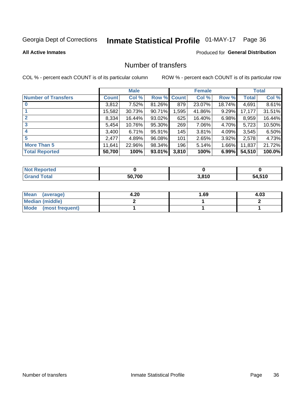## Inmate Statistical Profile 01-MAY-17 Page 36

**All Active Inmates** 

### **Produced for General Distribution**

## Number of transfers

COL % - percent each COUNT is of its particular column

|                            |              | <b>Male</b> |        |              | <b>Female</b> |          |              | <b>Total</b> |
|----------------------------|--------------|-------------|--------|--------------|---------------|----------|--------------|--------------|
| <b>Number of Transfers</b> | <b>Count</b> | Col %       | Row %  | <b>Count</b> | Col %         | Row %    | <b>Total</b> | Col %        |
|                            | 3,812        | 7.52%       | 81.26% | 879          | 23.07%        | 18.74%   | 4,691        | 8.61%        |
|                            | 15,582       | 30.73%      | 90.71% | 1,595        | 41.86%        | 9.29%    | 17,177       | 31.51%       |
| $\mathbf{2}$               | 8,334        | 16.44%      | 93.02% | 625          | 16.40%        | 6.98%    | 8,959        | 16.44%       |
| 3                          | 5,454        | 10.76%      | 95.30% | 269          | 7.06%         | 4.70%    | 5,723        | 10.50%       |
| 4                          | 3,400        | 6.71%       | 95.91% | 145          | 3.81%         | 4.09%    | 3,545        | 6.50%        |
| 5                          | 2,477        | 4.89%       | 96.08% | 101          | 2.65%         | 3.92%    | 2,578        | 4.73%        |
| <b>More Than 5</b>         | 11,641       | 22.96%      | 98.34% | 196          | 5.14%         | $1.66\%$ | 11,837       | 21.72%       |
| <b>Total Reported</b>      | 50,700       | 100%        | 93.01% | 3,810        | 100%          | 6.99%    | 54,510       | 100.0%       |

| Reported<br>Not <b>F</b> |        |       |        |
|--------------------------|--------|-------|--------|
| <b>Total</b>             | 50.700 | 3,810 | 54,510 |

| Mean (average)       | 4.20 | 1.69 | 4.03 |
|----------------------|------|------|------|
| Median (middle)      |      |      |      |
| Mode (most frequent) |      |      |      |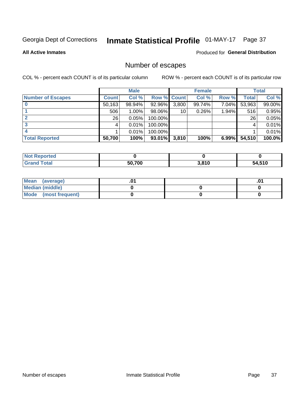## Inmate Statistical Profile 01-MAY-17 Page 37

**All Active Inmates** 

#### **Produced for General Distribution**

## Number of escapes

COL % - percent each COUNT is of its particular column

|                          |              | <b>Male</b> |             |       | <b>Female</b> |          |        | <b>Total</b> |
|--------------------------|--------------|-------------|-------------|-------|---------------|----------|--------|--------------|
| <b>Number of Escapes</b> | <b>Count</b> | Col %       | Row % Count |       | Col %         | Row %    | Total  | Col %        |
|                          | 50,163       | 98.94%      | 92.96%      | 3,800 | 99.74%        | 7.04%    | 53,963 | 99.00%       |
|                          | 506          | 1.00%       | 98.06%      | 10    | 0.26%         | 1.94%    | 516    | 0.95%        |
| 2                        | 26           | 0.05%       | 100.00%     |       |               |          | 26     | 0.05%        |
| 3                        |              | 0.01%       | 100.00%     |       |               |          |        | 0.01%        |
|                          |              | 0.01%       | 100.00%     |       |               |          |        | 0.01%        |
| <b>Total Reported</b>    | 50,700       | 100%        | 93.01%      | 3,810 | 100%          | $6.99\%$ | 54,510 | 100.0%       |

| <b>Not Reported</b> |        |                  |        |
|---------------------|--------|------------------|--------|
| <b>Grand Total</b>  | 50.700 | 2.810<br>J.O I U | 54,510 |

| Mean (average)         |  | .0 <sup>4</sup> |
|------------------------|--|-----------------|
| <b>Median (middle)</b> |  |                 |
| Mode (most frequent)   |  |                 |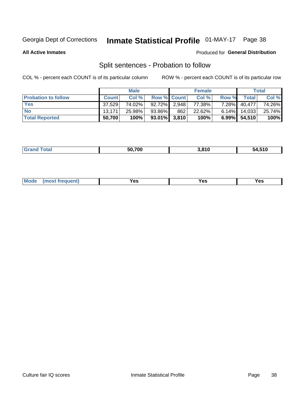## Inmate Statistical Profile 01-MAY-17 Page 38

**All Active Inmates** 

#### Produced for General Distribution

## Split sentences - Probation to follow

COL % - percent each COUNT is of its particular column

|                            |              | <b>Male</b> |                    |     | <b>Female</b> |          |                | <b>Total</b> |
|----------------------------|--------------|-------------|--------------------|-----|---------------|----------|----------------|--------------|
| <b>Probation to follow</b> | <b>Count</b> | Col %       | <b>Row % Count</b> |     | Col %         | Row %    | Total          | Col %        |
| <b>Yes</b>                 | 37,529       | 74.02%      | 92.72% 2.948       |     | 77.38%        | $7.28\%$ | 40,477         | 74.26%       |
| <b>No</b>                  | 13.171       | 25.98%      | 93.86%             | 862 | 22.62%        |          | 6.14% $14.033$ | 25.74%       |
| <b>Total Reported</b>      | 50,700       | 100%        | $93.01\%$ 3,810    |     | 100%          |          | 6.99% 54,510   | 100%         |

| _______ | 50.700 | 040<br>).O I U | 54.510 |
|---------|--------|----------------|--------|
|         |        |                |        |

| <b>Mode</b><br>reauent)<br>Yes<br>v^c<br>0٥<br>.<br>. .<br>$\sim$ |
|-------------------------------------------------------------------|
|-------------------------------------------------------------------|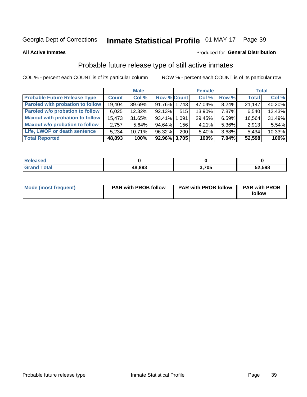## Inmate Statistical Profile 01-MAY-17 Page 39

**All Active Inmates** 

#### Produced for General Distribution

## Probable future release type of still active inmates

COL % - percent each COUNT is of its particular column

|                                         |              | <b>Male</b> |                    |     | <b>Female</b> |          | <b>Total</b> |        |
|-----------------------------------------|--------------|-------------|--------------------|-----|---------------|----------|--------------|--------|
| <b>Probable Future Release Type</b>     | <b>Count</b> | Col %       | <b>Row % Count</b> |     | Col %         | Row %    | <b>Total</b> | Col %  |
| <b>Paroled with probation to follow</b> | 19,404       | 39.69%      | 91.76% 1,743       |     | 47.04%        | 8.24%    | 21,147       | 40.20% |
| Paroled w/o probation to follow         | 6,025        | 12.32%      | 92.13%             | 515 | 13.90%        | 7.87%    | 6,540        | 12.43% |
| <b>Maxout with probation to follow</b>  | 15,473       | 31.65%      | 93.41% 1.091       |     | 29.45%        | 6.59%    | 16,564       | 31.49% |
| <b>Maxout w/o probation to follow</b>   | 2.757        | 5.64%       | 94.64%             | 156 | 4.21%         | 5.36%    | 2,913        | 5.54%  |
| Life, LWOP or death sentence            | 5.234        | 10.71%      | 96.32%             | 200 | 5.40%         | 3.68%    | 5,434        | 10.33% |
| <b>Total Reported</b>                   | 48,893       | 100%        | $92.96\%$ 3,705    |     | 100%          | $7.04\%$ | 52,598       | 100%   |

| $f$ $f$ $f$ $f$ $f$ | 48,893 | 705, | 52,598 |
|---------------------|--------|------|--------|

| <b>Mode (most frequent)</b> | <b>PAR with PROB follow</b> | <b>PAR with PROB follow</b> | <b>PAR with PROB</b> |
|-----------------------------|-----------------------------|-----------------------------|----------------------|
|                             |                             |                             | follow               |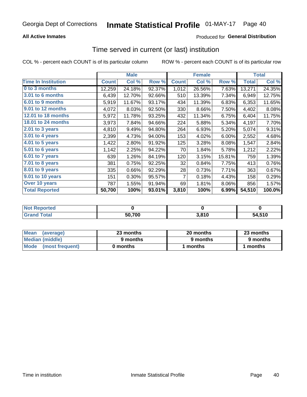### **All Active Inmates**

### **Produced for General Distribution**

## Time served in current (or last) institution

COL % - percent each COUNT is of its particular column

|                            |              | <b>Male</b> |        |              | <b>Female</b> |        |              | <b>Total</b> |
|----------------------------|--------------|-------------|--------|--------------|---------------|--------|--------------|--------------|
| <b>Time In Institution</b> | <b>Count</b> | Col %       | Row %  | <b>Count</b> | Col %         | Row %  | <b>Total</b> | Col %        |
| 0 to 3 months              | 12,259       | 24.18%      | 92.37% | 1,012        | 26.56%        | 7.63%  | 13,271       | 24.35%       |
| 3.01 to 6 months           | 6,439        | 12.70%      | 92.66% | 510          | 13.39%        | 7.34%  | 6,949        | 12.75%       |
| 6.01 to 9 months           | 5,919        | 11.67%      | 93.17% | 434          | 11.39%        | 6.83%  | 6,353        | 11.65%       |
| 9.01 to 12 months          | 4,072        | 8.03%       | 92.50% | 330          | 8.66%         | 7.50%  | 4,402        | 8.08%        |
| <b>12.01 to 18 months</b>  | 5,972        | 11.78%      | 93.25% | 432          | 11.34%        | 6.75%  | 6,404        | 11.75%       |
| <b>18.01 to 24 months</b>  | 3,973        | 7.84%       | 94.66% | 224          | 5.88%         | 5.34%  | 4,197        | 7.70%        |
| 2.01 to 3 years            | 4,810        | 9.49%       | 94.80% | 264          | 6.93%         | 5.20%  | 5,074        | 9.31%        |
| 3.01 to 4 years            | 2,399        | 4.73%       | 94.00% | 153          | 4.02%         | 6.00%  | 2,552        | 4.68%        |
| 4.01 to 5 years            | 1,422        | 2.80%       | 91.92% | 125          | 3.28%         | 8.08%  | 1,547        | 2.84%        |
| 5.01 to 6 years            | 1,142        | 2.25%       | 94.22% | 70           | 1.84%         | 5.78%  | 1,212        | 2.22%        |
| $6.01$ to 7 years          | 639          | 1.26%       | 84.19% | 120          | 3.15%         | 15.81% | 759          | 1.39%        |
| 7.01 to 8 years            | 381          | 0.75%       | 92.25% | 32           | 0.84%         | 7.75%  | 413          | 0.76%        |
| $8.01$ to 9 years          | 335          | 0.66%       | 92.29% | 28           | 0.73%         | 7.71%  | 363          | 0.67%        |
| 9.01 to 10 years           | 151          | 0.30%       | 95.57% | 7            | 0.18%         | 4.43%  | 158          | 0.29%        |
| Over 10 years              | 787          | 1.55%       | 91.94% | 69           | 1.81%         | 8.06%  | 856          | 1.57%        |
| <b>Total Reported</b>      | 50,700       | 100%        | 93.01% | 3,810        | 100%          | 6.99%  | 54,510       | 100.0%       |

| <b>Not</b><br>Reported |        |       |        |
|------------------------|--------|-------|--------|
| Total                  | 50,700 | 3,810 | 54,510 |

| <b>Mean</b><br>(average) | 23 months | 20 months | 23 months |  |
|--------------------------|-----------|-----------|-----------|--|
| Median (middle)          | 9 months  | 9 months  | 9 months  |  |
| Mode (most frequent)     | 0 months  | months    | l months  |  |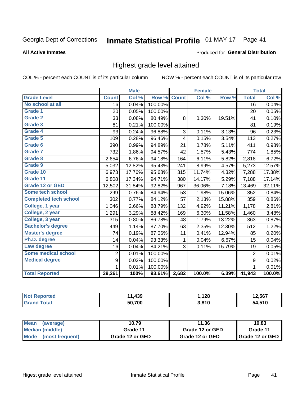#### Inmate Statistical Profile 01-MAY-17 Page 41

### **All Active Inmates**

### Produced for General Distribution

## Highest grade level attained

COL % - percent each COUNT is of its particular column

|                              |                 | <b>Male</b> |         |              | <b>Female</b> |        |                  | <b>Total</b> |
|------------------------------|-----------------|-------------|---------|--------------|---------------|--------|------------------|--------------|
| <b>Grade Level</b>           | <b>Count</b>    | Col %       | Row %   | <b>Count</b> | Col %         | Row %  | <b>Total</b>     | Col %        |
| No school at all             | $\overline{16}$ | 0.04%       | 100.00% |              |               |        | $\overline{16}$  | 0.04%        |
| <b>Grade 1</b>               | 20              | 0.05%       | 100.00% |              |               |        | 20               | 0.05%        |
| <b>Grade 2</b>               | 33              | 0.08%       | 80.49%  | 8            | 0.30%         | 19.51% | 41               | 0.10%        |
| Grade 3                      | 81              | 0.21%       | 100.00% |              |               |        | 81               | 0.19%        |
| <b>Grade 4</b>               | 93              | 0.24%       | 96.88%  | 3            | 0.11%         | 3.13%  | 96               | 0.23%        |
| Grade 5                      | 109             | 0.28%       | 96.46%  | 4            | 0.15%         | 3.54%  | 113              | 0.27%        |
| Grade 6                      | 390             | 0.99%       | 94.89%  | 21           | 0.78%         | 5.11%  | 411              | 0.98%        |
| <b>Grade 7</b>               | 732             | 1.86%       | 94.57%  | 42           | 1.57%         | 5.43%  | 774              | 1.85%        |
| Grade 8                      | 2,654           | 6.76%       | 94.18%  | 164          | 6.11%         | 5.82%  | 2,818            | 6.72%        |
| Grade 9                      | 5,032           | 12.82%      | 95.43%  | 241          | 8.99%         | 4.57%  | 5,273            | 12.57%       |
| Grade 10                     | 6,973           | 17.76%      | 95.68%  | 315          | 11.74%        | 4.32%  | 7,288            | 17.38%       |
| Grade 11                     | 6,808           | 17.34%      | 94.71%  | 380          | 14.17%        | 5.29%  | 7,188            | 17.14%       |
| <b>Grade 12 or GED</b>       | 12,502          | 31.84%      | 92.82%  | 967          | 36.06%        | 7.18%  | 13,469           | 32.11%       |
| <b>Some tech school</b>      | 299             | 0.76%       | 84.94%  | 53           | 1.98%         | 15.06% | 352              | 0.84%        |
| <b>Completed tech school</b> | 302             | 0.77%       | 84.12%  | 57           | 2.13%         | 15.88% | 359              | 0.86%        |
| College, 1 year              | 1,046           | 2.66%       | 88.79%  | 132          | 4.92%         | 11.21% | 1,178            | 2.81%        |
| College, 2 year              | 1,291           | 3.29%       | 88.42%  | 169          | 6.30%         | 11.58% | 1,460            | 3.48%        |
| College, 3 year              | 315             | 0.80%       | 86.78%  | 48           | 1.79%         | 13.22% | 363              | 0.87%        |
| <b>Bachelor's degree</b>     | 449             | 1.14%       | 87.70%  | 63           | 2.35%         | 12.30% | 512              | 1.22%        |
| <b>Master's degree</b>       | 74              | 0.19%       | 87.06%  | 11           | 0.41%         | 12.94% | 85               | 0.20%        |
| Ph.D. degree                 | 14              | 0.04%       | 93.33%  | $\mathbf{1}$ | 0.04%         | 6.67%  | 15               | 0.04%        |
| Law degree                   | 16              | 0.04%       | 84.21%  | 3            | 0.11%         | 15.79% | 19               | 0.05%        |
| <b>Some medical school</b>   | $\overline{2}$  | 0.01%       | 100.00% |              |               |        | $\overline{2}$   | 0.01%        |
| <b>Medical degree</b>        | 9               | 0.02%       | 100.00% |              |               |        | $\boldsymbol{9}$ | 0.02%        |
|                              | 1               | 0.01%       | 100.00% |              |               |        | $\mathbf{1}$     | 0.01%        |
| <b>Total Reported</b>        | 39,261          | 100%        | 93.61%  | 2,682        | 100.0%        | 6.39%  | 41,943           | 100.0%       |

| 120    | ,128 | 2.567 |
|--------|------|-------|
| 50,700 | 2010 | .510  |

| Mean<br>(average)    | 10.79           | 11.36           | 10.83           |  |
|----------------------|-----------------|-----------------|-----------------|--|
| Median (middle)      | Grade 11        | Grade 12 or GED | Grade 11        |  |
| Mode (most frequent) | Grade 12 or GED | Grade 12 or GED | Grade 12 or GED |  |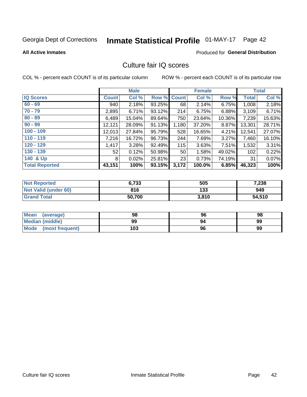# Inmate Statistical Profile 01-MAY-17 Page 42

### **All Active Inmates**

### **Produced for General Distribution**

## Culture fair IQ scores

COL % - percent each COUNT is of its particular column

|                       |              | <b>Male</b> |             |       | <b>Female</b> |        |              | <b>Total</b> |
|-----------------------|--------------|-------------|-------------|-------|---------------|--------|--------------|--------------|
| <b>IQ Scores</b>      | <b>Count</b> | Col %       | Row % Count |       | Col %         | Row %  | <b>Total</b> | Col %        |
| $60 - 69$             | 940          | 2.18%       | 93.25%      | 68    | 2.14%         | 6.75%  | 1,008        | 2.18%        |
| $70 - 79$             | 2,895        | 6.71%       | 93.12%      | 214   | 6.75%         | 6.88%  | 3,109        | 6.71%        |
| $80 - 89$             | 6,489        | 15.04%      | 89.64%      | 750   | 23.64%        | 10.36% | 7,239        | 15.63%       |
| $90 - 99$             | 12,121       | 28.09%      | 91.13%      | 1,180 | 37.20%        | 8.87%  | 13,301       | 28.71%       |
| $100 - 109$           | 12,013       | 27.84%      | 95.79%      | 528   | 16.65%        | 4.21%  | 12,541       | 27.07%       |
| $110 - 119$           | 7,216        | 16.72%      | 96.73%      | 244   | 7.69%         | 3.27%  | 7,460        | 16.10%       |
| $120 - 129$           | 1,417        | 3.28%       | 92.49%      | 115   | 3.63%         | 7.51%  | 1,532        | 3.31%        |
| $130 - 139$           | 52           | 0.12%       | 50.98%      | 50    | 1.58%         | 49.02% | 102          | 0.22%        |
| 140 & Up              | 8            | 0.02%       | 25.81%      | 23    | 0.73%         | 74.19% | 31           | 0.07%        |
| <b>Total Reported</b> | 43,151       | 100%        | 93.15%      | 3,172 | 100.0%        | 6.85%  | 46,323       | 100%         |

| <b>Not Reported</b>         | 6,733  | 505   | 7,238  |
|-----------------------------|--------|-------|--------|
| <b>Not Valid (under 60)</b> | 816    | 133   | 949    |
| <b>Grand Total</b>          | 50,700 | 3,810 | 54,510 |

| <b>Mean</b><br>(average)       | 98  | 96 | 98 |
|--------------------------------|-----|----|----|
| Median (middle)                | 99  | 94 | 99 |
| <b>Mode</b><br>(most frequent) | 103 | 96 | 99 |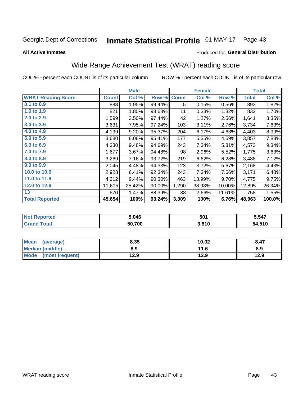#### **Inmate Statistical Profile 01-MAY-17** Page 43

### **All Active Inmates**

### Produced for General Distribution

## Wide Range Achievement Test (WRAT) reading score

COL % - percent each COUNT is of its particular column

|                           |              | <b>Male</b> |        |              | <b>Female</b> |        |              | <b>Total</b> |
|---------------------------|--------------|-------------|--------|--------------|---------------|--------|--------------|--------------|
| <b>WRAT Reading Score</b> | <b>Count</b> | Col %       | Row %  | <b>Count</b> | Col %         | Row %  | <b>Total</b> | Col %        |
| $0.1$ to $0.9$            | 888          | 1.95%       | 99.44% | 5            | 0.15%         | 0.56%  | 893          | 1.82%        |
| 1.0 to 1.9                | 821          | 1.80%       | 98.68% | 11           | 0.33%         | 1.32%  | 832          | 1.70%        |
| 2.0 to 2.9                | 1,599        | 3.50%       | 97.44% | 42           | 1.27%         | 2.56%  | 1,641        | 3.35%        |
| 3.0 to 3.9                | 3,631        | 7.95%       | 97.24% | 103          | 3.11%         | 2.76%  | 3,734        | 7.63%        |
| 4.0 to 4.9                | 4,199        | 9.20%       | 95.37% | 204          | 6.17%         | 4.63%  | 4,403        | 8.99%        |
| 5.0 to 5.9                | 3,680        | 8.06%       | 95.41% | 177          | 5.35%         | 4.59%  | 3,857        | 7.88%        |
| 6.0 to 6.9                | 4,330        | 9.48%       | 94.69% | 243          | 7.34%         | 5.31%  | 4,573        | 9.34%        |
| 7.0 to 7.9                | 1,677        | 3.67%       | 94.48% | 98           | 2.96%         | 5.52%  | 1,775        | 3.63%        |
| 8.0 to 8.9                | 3,269        | 7.16%       | 93.72% | 219          | 6.62%         | 6.28%  | 3,488        | 7.12%        |
| 9.0 to 9.9                | 2,045        | 4.48%       | 94.33% | 123          | 3.72%         | 5.67%  | 2,168        | 4.43%        |
| 10.0 to 10.9              | 2,928        | 6.41%       | 92.34% | 243          | 7.34%         | 7.66%  | 3,171        | 6.48%        |
| 11.0 to 11.9              | 4,312        | 9.44%       | 90.30% | 463          | 13.99%        | 9.70%  | 4,775        | 9.75%        |
| 12.0 to 12.9              | 11,605       | 25.42%      | 90.00% | 1,290        | 38.98%        | 10.00% | 12,895       | 26.34%       |
| 13                        | 670          | 1.47%       | 88.39% | 88           | 2.66%         | 11.61% | 758          | 1.55%        |
| <b>Total Reported</b>     | 45,654       | 100%        | 93.24% | 3,309        | 100%          | 6.76%  | 48,963       | 100.0%       |

| ৲rteα<br>NO | 5,046  | 501   | 5,547       |
|-------------|--------|-------|-------------|
|             | 50.700 | 3,810 | 4.510<br>л4 |

| <b>Mean</b><br>(average)       | 8.35 | 10.02 | 8.47 |
|--------------------------------|------|-------|------|
| <b>Median (middle)</b>         | 8.9  | 11.6  | 8.9  |
| <b>Mode</b><br>(most frequent) | 12.9 | 12.9  | 12.9 |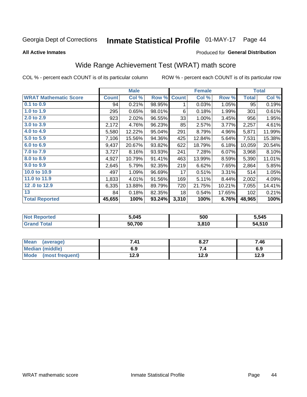#### **Inmate Statistical Profile 01-MAY-17** Page 44

**All Active Inmates** 

### Produced for General Distribution

## Wide Range Achievement Test (WRAT) math score

COL % - percent each COUNT is of its particular column

|                              |              | <b>Male</b> |        |              | <b>Female</b> |        |              | <b>Total</b> |
|------------------------------|--------------|-------------|--------|--------------|---------------|--------|--------------|--------------|
| <b>WRAT Mathematic Score</b> | <b>Count</b> | Col %       | Row %  | <b>Count</b> | Col %         | Row %  | <b>Total</b> | Col %        |
| 0.1 to 0.9                   | 94           | 0.21%       | 98.95% | 1            | 0.03%         | 1.05%  | 95           | 0.19%        |
| 1.0 to 1.9                   | 295          | 0.65%       | 98.01% | 6            | 0.18%         | 1.99%  | 301          | 0.61%        |
| 2.0 to 2.9                   | 923          | 2.02%       | 96.55% | 33           | 1.00%         | 3.45%  | 956          | 1.95%        |
| 3.0 to 3.9                   | 2,172        | 4.76%       | 96.23% | 85           | 2.57%         | 3.77%  | 2,257        | 4.61%        |
| 4.0 to 4.9                   | 5,580        | 12.22%      | 95.04% | 291          | 8.79%         | 4.96%  | 5,871        | 11.99%       |
| 5.0 t0 5.9                   | 7,106        | 15.56%      | 94.36% | 425          | 12.84%        | 5.64%  | 7,531        | 15.38%       |
| 6.0 to 6.9                   | 9,437        | 20.67%      | 93.82% | 622          | 18.79%        | 6.18%  | 10,059       | 20.54%       |
| 7.0 to 7.9                   | 3,727        | 8.16%       | 93.93% | 241          | 7.28%         | 6.07%  | 3,968        | 8.10%        |
| 8.0 to 8.9                   | 4,927        | 10.79%      | 91.41% | 463          | 13.99%        | 8.59%  | 5,390        | 11.01%       |
| 9.0 to 9.9                   | 2,645        | 5.79%       | 92.35% | 219          | 6.62%         | 7.65%  | 2,864        | 5.85%        |
| 10.0 to 10.9                 | 497          | 1.09%       | 96.69% | 17           | 0.51%         | 3.31%  | 514          | 1.05%        |
| 11.0 to 11.9                 | 1,833        | 4.01%       | 91.56% | 169          | 5.11%         | 8.44%  | 2,002        | 4.09%        |
| 12.0 to 12.9                 | 6,335        | 13.88%      | 89.79% | 720          | 21.75%        | 10.21% | 7,055        | 14.41%       |
| 13                           | 84           | 0.18%       | 82.35% | 18           | 0.54%         | 17.65% | 102          | 0.21%        |
| <b>Total Reported</b>        | 45,655       | 100%        | 93.24% | 3,310        | 100%          | 6.76%  | 48,965       | 100%         |

| <b>Not Reported</b>    | 5,045  | 500   | 5,545  |
|------------------------|--------|-------|--------|
| <b>Total</b><br>'Grand | 50,700 | 3,810 | 54,510 |

| <b>Mean</b><br>(average) | 7.41 | 8.27 | 7.46 |
|--------------------------|------|------|------|
| Median (middle)          | 6.9  | ۰.,  | 6.9  |
| Mode<br>(most frequent)  | 12.9 | 12.9 | 12.9 |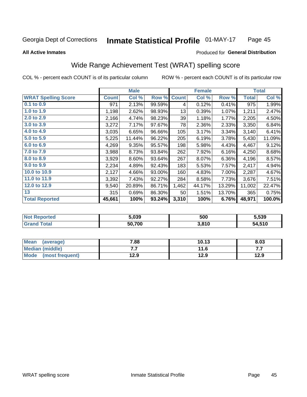**All Active Inmates** 

#### Inmate Statistical Profile 01-MAY-17 Page 45

### Produced for General Distribution

## Wide Range Achievement Test (WRAT) spelling score

COL % - percent each COUNT is of its particular column

|                            |              | <b>Male</b> |        |              | <b>Female</b> |        |              | <b>Total</b> |
|----------------------------|--------------|-------------|--------|--------------|---------------|--------|--------------|--------------|
| <b>WRAT Spelling Score</b> | <b>Count</b> | Col %       | Row %  | <b>Count</b> | Col %         | Row %  | <b>Total</b> | Col %        |
| 0.1 to 0.9                 | 971          | 2.13%       | 99.59% | 4            | 0.12%         | 0.41%  | 975          | 1.99%        |
| 1.0 to 1.9                 | 1,198        | 2.62%       | 98.93% | 13           | 0.39%         | 1.07%  | 1,211        | 2.47%        |
| 2.0 to 2.9                 | 2,166        | 4.74%       | 98.23% | 39           | 1.18%         | 1.77%  | 2,205        | 4.50%        |
| 3.0 to 3.9                 | 3,272        | 7.17%       | 97.67% | 78           | 2.36%         | 2.33%  | 3,350        | 6.84%        |
| 4.0 to 4.9                 | 3,035        | 6.65%       | 96.66% | 105          | 3.17%         | 3.34%  | 3,140        | 6.41%        |
| 5.0 to 5.9                 | 5,225        | 11.44%      | 96.22% | 205          | 6.19%         | 3.78%  | 5,430        | 11.09%       |
| 6.0 to 6.9                 | 4,269        | 9.35%       | 95.57% | 198          | 5.98%         | 4.43%  | 4,467        | 9.12%        |
| 7.0 to 7.9                 | 3,988        | 8.73%       | 93.84% | 262          | 7.92%         | 6.16%  | 4,250        | 8.68%        |
| 8.0 to 8.9                 | 3,929        | 8.60%       | 93.64% | 267          | 8.07%         | 6.36%  | 4,196        | 8.57%        |
| 9.0 to 9.9                 | 2,234        | 4.89%       | 92.43% | 183          | 5.53%         | 7.57%  | 2,417        | 4.94%        |
| 10.0 to 10.9               | 2,127        | 4.66%       | 93.00% | 160          | 4.83%         | 7.00%  | 2,287        | 4.67%        |
| 11.0 to 11.9               | 3,392        | 7.43%       | 92.27% | 284          | 8.58%         | 7.73%  | 3,676        | 7.51%        |
| 12.0 to 12.9               | 9,540        | 20.89%      | 86.71% | 1,462        | 44.17%        | 13.29% | 11,002       | 22.47%       |
| 13                         | 315          | 0.69%       | 86.30% | 50           | 1.51%         | 13.70% | 365          | 0.75%        |
| <b>Total Reported</b>      | 45,661       | 100%        | 93.24% | 3,310        | 100%          | 6.76%  | 48,971       | 100.0%       |

| -тес<br>NO | 5.039  | 500   | 5,539       |
|------------|--------|-------|-------------|
| int        | 50.700 | 3,810 | 4.510<br>nД |

| <b>Mean</b><br>(average) | 7.88 | 10.13 | 8.03 |
|--------------------------|------|-------|------|
| Median (middle)          | .    | 11.6  | .    |
| Mode (most frequent)     | 12.9 | 12.9  | 12.9 |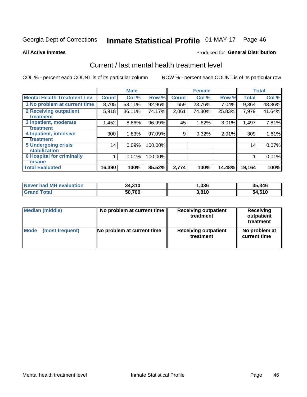# Inmate Statistical Profile 01-MAY-17 Page 46

#### **All Active Inmates**

### Produced for General Distribution

## Current / last mental health treatment level

COL % - percent each COUNT is of its particular column

|                                    |              | <b>Male</b> |         |              | <b>Female</b> |        |                 | <b>Total</b> |
|------------------------------------|--------------|-------------|---------|--------------|---------------|--------|-----------------|--------------|
| <b>Mental Health Treatment Lev</b> | <b>Count</b> | Col %       | Row %   | <b>Count</b> | Col %         | Row %  | <b>Total</b>    | Col %        |
| 1 No problem at current time       | 8,705        | 53.11%      | 92.96%  | 659          | 23.76%        | 7.04%  | 9,364           | 48.86%       |
| 2 Receiving outpatient             | 5,918        | 36.11%      | 74.17%  | 2,061        | 74.30%        | 25.83% | 7,979           | 41.64%       |
| <b>Treatment</b>                   |              |             |         |              |               |        |                 |              |
| 3 Inpatient, moderate              | 1,452        | 8.86%       | 96.99%  | 45           | 1.62%         | 3.01%  | 1,497           | 7.81%        |
| <b>Treatment</b>                   |              |             |         |              |               |        |                 |              |
| 4 Inpatient, intensive             | 300          | 1.83%       | 97.09%  | 9            | 0.32%         | 2.91%  | 309             | 1.61%        |
| Treatment                          |              |             |         |              |               |        |                 |              |
| <b>5 Undergoing crisis</b>         | 14           | 0.09%       | 100.00% |              |               |        | 14 <sub>1</sub> | 0.07%        |
| <b>stabilization</b>               |              |             |         |              |               |        |                 |              |
| <b>6 Hospital for criminally</b>   |              | 0.01%       | 100.00% |              |               |        |                 | 0.01%        |
| <b>Tinsane</b>                     |              |             |         |              |               |        |                 |              |
| <b>Total Evaluated</b>             | 16,390       | 100%        | 85.52%  | 2,774        | 100%          | 14.48% | 19,164          | 100%         |

| Never had MH evaluation | 34,310 | ,036  | 35,346 |
|-------------------------|--------|-------|--------|
| <b>Grand Total</b>      | 50,700 | 3,810 | 54,510 |

| Median (middle) | No problem at current time | <b>Receiving outpatient</b><br>treatment | <b>Receiving</b><br>outpatient<br>treatment |
|-----------------|----------------------------|------------------------------------------|---------------------------------------------|
| <b>Mode</b>     | No problem at current time | <b>Receiving outpatient</b>              | No problem at                               |
| (most frequent) |                            | treatment                                | current time                                |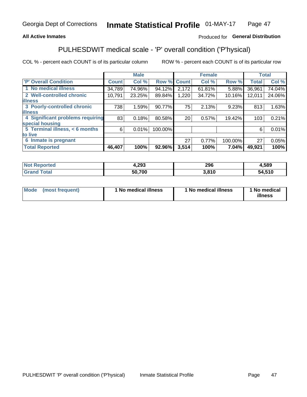### **All Active Inmates**

### Produced for General Distribution

## PULHESDWIT medical scale - 'P' overall condition ('P'hysical)

COL % - percent each COUNT is of its particular column

|                                  |              | <b>Male</b> |         |              | <b>Female</b> |         |              | <b>Total</b> |
|----------------------------------|--------------|-------------|---------|--------------|---------------|---------|--------------|--------------|
| 'P' Overall Condition            | <b>Count</b> | Col %       | Row %   | <b>Count</b> | Col %         | Row %   | <b>Total</b> | Col %        |
| 1 No medical illness             | 34,789       | 74.96%      | 94.12%  | 2,172        | 61.81%        | 5.88%   | 36,961       | 74.04%       |
| 2 Well-controlled chronic        | 10,791       | 23.25%      | 89.84%  | 1,220        | 34.72%        | 10.16%  | 12,011       | 24.06%       |
| <b>lillness</b>                  |              |             |         |              |               |         |              |              |
| 3 Poorly-controlled chronic      | 738          | 1.59%       | 90.77%  | 75           | 2.13%         | 9.23%   | 813          | 1.63%        |
| <b>illness</b>                   |              |             |         |              |               |         |              |              |
| 4 Significant problems requiring | 83           | 0.18%       | 80.58%  | 20           | 0.57%         | 19.42%  | 103          | 0.21%        |
| special housing                  |              |             |         |              |               |         |              |              |
| 5 Terminal illness, < 6 months   | 6            | 0.01%       | 100.00% |              |               |         | 6            | 0.01%        |
| to live                          |              |             |         |              |               |         |              |              |
| 6 Inmate is pregnant             |              |             |         | 27           | 0.77%         | 100.00% | 27           | 0.05%        |
| <b>Total Reported</b>            | 46,407       | 100%        | 92.96%  | 3,514        | 100%          | 7.04%   | 49,921       | 100%         |

| тео | 4,293  | 296 | ,589        |
|-----|--------|-----|-------------|
|     | 50.700 | 810 | .510<br>54. |

| Mode | (most frequent) | 1 No medical illness | 1 No medical illness | 1 No medical<br>illness |
|------|-----------------|----------------------|----------------------|-------------------------|
|------|-----------------|----------------------|----------------------|-------------------------|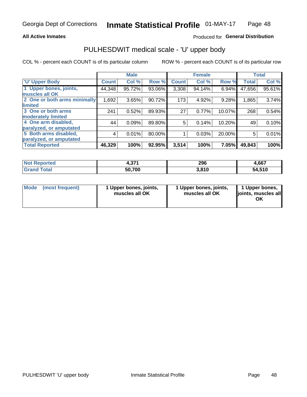### **All Active Inmates**

### Produced for General Distribution

# PULHESDWIT medical scale - 'U' upper body

COL % - percent each COUNT is of its particular column

|                              |              | <b>Male</b> |        |              | <b>Female</b> |        |              | <b>Total</b> |
|------------------------------|--------------|-------------|--------|--------------|---------------|--------|--------------|--------------|
| <b>U' Upper Body</b>         | <b>Count</b> | Col %       | Row %  | <b>Count</b> | Col %         | Row %  | <b>Total</b> | Col %        |
| 1 Upper bones, joints,       | 44,348       | 95.72%      | 93.06% | 3,308        | 94.14%        | 6.94%  | 47,656       | 95.61%       |
| muscles all OK               |              |             |        |              |               |        |              |              |
| 2 One or both arms minimally | 1,692        | 3.65%       | 90.72% | 173          | 4.92%         | 9.28%  | 1,865        | 3.74%        |
| limited                      |              |             |        |              |               |        |              |              |
| 3 One or both arms           | 241          | 0.52%       | 89.93% | 27           | 0.77%         | 10.07% | 268          | 0.54%        |
| <b>moderately limited</b>    |              |             |        |              |               |        |              |              |
| 4 One arm disabled,          | 44           | 0.09%       | 89.80% | 5            | 0.14%         | 10.20% | 49           | 0.10%        |
| paralyzed, or amputated      |              |             |        |              |               |        |              |              |
| 5 Both arms disabled,        | 4            | 0.01%       | 80.00% |              | 0.03%         | 20.00% | 5            | 0.01%        |
| paralyzed, or amputated      |              |             |        |              |               |        |              |              |
| <b>Total Reported</b>        | 46,329       | 100%        | 92.95% | 3,514        | 100%          | 7.05%  | 49,843       | 100%         |

| <b>Not Reported</b>          | 274<br>4.JI I | 296   | 4,667  |
|------------------------------|---------------|-------|--------|
| <b>Total</b><br><b>Grand</b> | 50,700        | 3,810 | 54,510 |

| Mode (most frequent) | 1 Upper bones, joints,<br>muscles all OK | 1 Upper bones, joints,<br>muscles all OK | 1 Upper bones,<br>joints, muscles all<br>ΟK |
|----------------------|------------------------------------------|------------------------------------------|---------------------------------------------|
|----------------------|------------------------------------------|------------------------------------------|---------------------------------------------|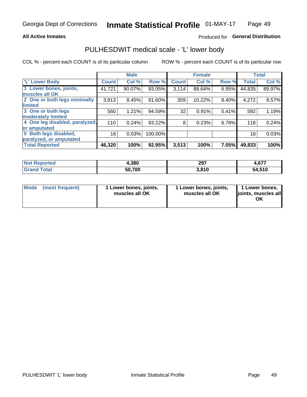### **All Active Inmates**

### Produced for General Distribution

## PULHESDWIT medical scale - 'L' lower body

COL % - percent each COUNT is of its particular column

|                                |              | <b>Male</b> |         |              | <b>Female</b> |       |              | <b>Total</b> |
|--------------------------------|--------------|-------------|---------|--------------|---------------|-------|--------------|--------------|
| 'L' Lower Body                 | <b>Count</b> | Col %       | Row %   | <b>Count</b> | Col %         | Row % | <b>Total</b> | Col %        |
| 1 Lower bones, joints,         | 41,721       | 90.07%      | 93.05%  | 3,114        | 88.64%        | 6.95% | 44,835       | 89.97%       |
| muscles all OK                 |              |             |         |              |               |       |              |              |
| 2 One or both legs minimally   | 3,913        | 8.45%       | 91.60%  | 359          | 10.22%        | 8.40% | 4,272        | 8.57%        |
| limited                        |              |             |         |              |               |       |              |              |
| 3 One or both legs             | 560          | 1.21%       | 94.59%  | 32           | 0.91%         | 5.41% | 592          | 1.19%        |
| moderately limited             |              |             |         |              |               |       |              |              |
| 4 One leg disabled, paralyzed, | 110          | 0.24%       | 93.22%  | 8            | 0.23%         | 6.78% | 118          | 0.24%        |
| or amputated                   |              |             |         |              |               |       |              |              |
| 5 Both legs disabled,          | 16           | 0.03%       | 100.00% |              |               |       | 16           | 0.03%        |
| paralyzed, or amputated        |              |             |         |              |               |       |              |              |
| <b>Total Reported</b>          | 46,320       | 100%        | 92.95%  | 3,513        | 100%          | 7.05% | 49,833       | 100%         |

| <b>Not Reported</b> | 4,380  | 297   | c77<br>4.OZ |
|---------------------|--------|-------|-------------|
| <b>Total</b>        | 50,700 | 3,810 | 54,510      |

| Mode (most frequent) | I Lower bones, joints,<br>muscles all OK | 1 Lower bones, joints,<br>muscles all OK | 1 Lower bones,<br>joints, muscles all<br>ΟK |
|----------------------|------------------------------------------|------------------------------------------|---------------------------------------------|
|----------------------|------------------------------------------|------------------------------------------|---------------------------------------------|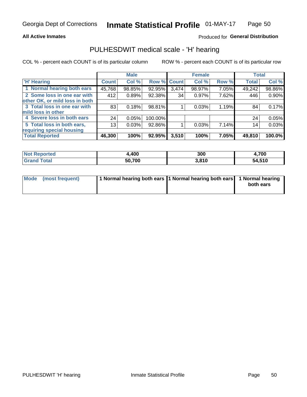### **All Active Inmates**

### Produced for General Distribution

## PULHESDWIT medical scale - 'H' hearing

COL % - percent each COUNT is of its particular column

|                                |                 | <b>Male</b> |             |       | <b>Female</b> |       | <b>Total</b> |        |
|--------------------------------|-----------------|-------------|-------------|-------|---------------|-------|--------------|--------|
| <b>'H' Hearing</b>             | <b>Count</b>    | Col %       | Row % Count |       | Col %         | Row % | <b>Total</b> | Col %  |
| 1 Normal hearing both ears     | 45,768          | 98.85%      | 92.95%      | 3,474 | 98.97%        | 7.05% | 49,242       | 98.86% |
| 2 Some loss in one ear with    | 412             | 0.89%       | 92.38%      | 34    | 0.97%         | 7.62% | 446          | 0.90%  |
| other OK, or mild loss in both |                 |             |             |       |               |       |              |        |
| 3 Total loss in one ear with   | 83              | 0.18%       | 98.81%      |       | 0.03%         | 1.19% | 84           | 0.17%  |
| mild loss in other             |                 |             |             |       |               |       |              |        |
| 4 Severe loss in both ears     | 24              | 0.05%       | 100.00%     |       |               |       | 24           | 0.05%  |
| 5 Total loss in both ears,     | 13 <sub>1</sub> | 0.03%       | 92.86%      |       | 0.03%         | 7.14% | 14           | 0.03%  |
| requiring special housing      |                 |             |             |       |               |       |              |        |
| <b>Total Reported</b>          | 46,300          | 100%        | 92.95%      | 3,510 | 100%          | 7.05% | 49,810       | 100.0% |

| <b>Not Reported</b> | ,400   | 300   | 4,700  |
|---------------------|--------|-------|--------|
| Total<br>oranu      | 50,700 | 3,810 | 54,510 |

| Mode (most frequent) | 1 Normal hearing both ears 11 Normal hearing both ears 1 Normal hearing | both ears |
|----------------------|-------------------------------------------------------------------------|-----------|
|                      |                                                                         |           |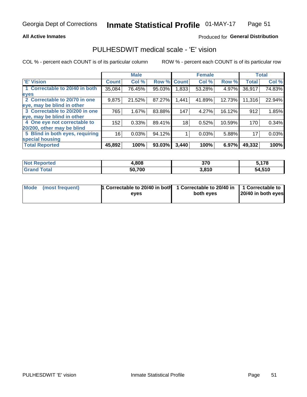### **All Active Inmates**

### Produced for General Distribution

## PULHESDWIT medical scale - 'E' vision

COL % - percent each COUNT is of its particular column

|                                 |              | <b>Male</b> |        |                 | <b>Female</b> |        |              | <b>Total</b> |
|---------------------------------|--------------|-------------|--------|-----------------|---------------|--------|--------------|--------------|
| 'E' Vision                      | <b>Count</b> | Col %       | Row %  | <b>Count</b>    | Col %         | Row %  | <b>Total</b> | Col %        |
| 1 Correctable to 20/40 in both  | 35,084       | 76.45%      | 95.03% | .833            | 53.28%        | 4.97%  | 36,917       | 74.83%       |
| eyes                            |              |             |        |                 |               |        |              |              |
| 2 Correctable to 20/70 in one   | 9,875        | 21.52%      | 87.27% | 1,441           | 41.89%        | 12.73% | 11,316       | 22.94%       |
| eye, may be blind in other      |              |             |        |                 |               |        |              |              |
| 3 Correctable to 20/200 in one  | 765          | 1.67%       | 83.88% | 147             | 4.27%         | 16.12% | 912          | 1.85%        |
| eye, may be blind in other      |              |             |        |                 |               |        |              |              |
| 4 One eye not correctable to    | 152          | 0.33%       | 89.41% | 18 <sub>1</sub> | 0.52%         | 10.59% | 170          | 0.34%        |
| 20/200, other may be blind      |              |             |        |                 |               |        |              |              |
| 5 Blind in both eyes, requiring | 16           | 0.03%       | 94.12% |                 | 0.03%         | 5.88%  | 17           | 0.03%        |
| special housing                 |              |             |        |                 |               |        |              |              |
| <b>Total Reported</b>           | 45,892       | 100%        | 93.03% | 3,440           | 100%          | 6.97%  | 49,332       | 100%         |

| <b>Not Reported</b>     | ,808,  | 370   | 5,178  |
|-------------------------|--------|-------|--------|
| <b>Total</b><br>l Grand | 50,700 | 3,810 | 54,510 |

| Mode (most frequent) | 1 Correctable to 20/40 in both<br>eves | 1 Correctable to 20/40 in   1 Correctable to  <br>both eves | 20/40 in both eyes |
|----------------------|----------------------------------------|-------------------------------------------------------------|--------------------|
|                      |                                        |                                                             |                    |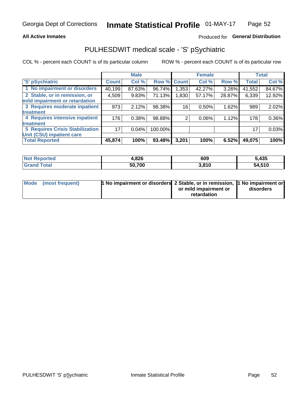### **All Active Inmates**

### Produced for General Distribution

## PULHESDWIT medical scale - 'S' pSychiatric

COL % - percent each COUNT is of its particular column

|                                        |              | <b>Male</b> |         |             | <b>Female</b> |          |              | <b>Total</b> |
|----------------------------------------|--------------|-------------|---------|-------------|---------------|----------|--------------|--------------|
| 'S' pSychiatric                        | <b>Count</b> | Col %       |         | Row % Count | Col %         | Row %    | <b>Total</b> | Col %        |
| 1 No impairment or disorders           | 40,199       | 87.63%      | 96.74%  | 1,353       | 42.27%        | $3.26\%$ | 41,552       | 84.67%       |
| 2 Stable, or in remission, or          | 4,509        | 9.83%       | 71.13%  | 1,830       | 57.17%        | 28.87%   | 6,339        | 12.92%       |
| mild impairment or retardation         |              |             |         |             |               |          |              |              |
| 3 Requires moderate inpatient          | 973          | 2.12%       | 98.38%  | 16          | 0.50%         | 1.62%    | 989          | 2.02%        |
| treatment                              |              |             |         |             |               |          |              |              |
| 4 Requires intensive inpatient         | 176          | 0.38%       | 98.88%  | ◠           | 0.06%         | 1.12%    | 178          | $0.36\%$     |
| treatment                              |              |             |         |             |               |          |              |              |
| <b>5 Requires Crisis Stabilization</b> | 17           | 0.04%       | 100.00% |             |               |          | 17           | 0.03%        |
| Unit (CSU) inpatient care              |              |             |         |             |               |          |              |              |
| <b>Total Reported</b>                  | 45,874       | 100%        | 93.48%  | 3,201       | 100%          | 6.52%    | 49,075       | 100%         |

| <b>Not Reported</b>   | 4,826  | 609   | 5,435  |
|-----------------------|--------|-------|--------|
| Total<br><b>Grand</b> | 50,700 | 3,810 | 54,510 |

| Mode (most frequent) | <b>1 No impairment or disorders 2 Stable, or in remission, 1 No impairment or</b> |                       |           |
|----------------------|-----------------------------------------------------------------------------------|-----------------------|-----------|
|                      |                                                                                   | or mild impairment or | disorders |
|                      |                                                                                   | retardation           |           |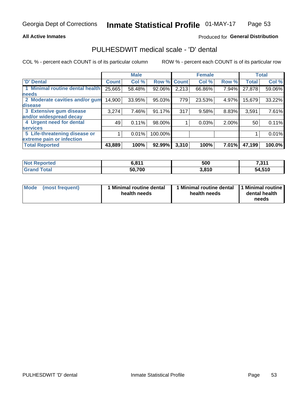### **All Active Inmates**

### Produced for General Distribution

## PULHESDWIT medical scale - 'D' dental

COL % - percent each COUNT is of its particular column

|                                 |              | <b>Male</b> |         |              | <b>Female</b> |       |              | <b>Total</b> |
|---------------------------------|--------------|-------------|---------|--------------|---------------|-------|--------------|--------------|
| <b>D'</b> Dental                | <b>Count</b> | Col %       | Row %   | <b>Count</b> | Col %         | Row % | <b>Total</b> | Col %        |
| 1 Minimal routine dental health | 25,665       | 58.48%      | 92.06%  | 2,213        | 66.86%        | 7.94% | 27,878       | 59.06%       |
| <b>needs</b>                    |              |             |         |              |               |       |              |              |
| 2 Moderate cavities and/or gum  | 14,900       | 33.95%      | 95.03%  | 779          | 23.53%        | 4.97% | 15,679       | 33.22%       |
| disease                         |              |             |         |              |               |       |              |              |
| 3 Extensive gum disease         | 3,274        | 7.46%       | 91.17%  | 317          | 9.58%         | 8.83% | 3,591        | 7.61%        |
| and/or widespread decay         |              |             |         |              |               |       |              |              |
| 4 Urgent need for dental        | 49           | 0.11%       | 98.00%  |              | 0.03%         | 2.00% | 50           | 0.11%        |
| <b>services</b>                 |              |             |         |              |               |       |              |              |
| 5 Life-threatening disease or   |              | 0.01%       | 100.00% |              |               |       |              | 0.01%        |
| extreme pain or infection       |              |             |         |              |               |       |              |              |
| <b>Total Reported</b>           | 43,889       | 100%        | 92.99%  | 3,310        | 100%          | 7.01% | 47,199       | 100.0%       |

| <b>Not Reported</b> | CQ14<br>V.O I I | 500   | 7 244<br>ا ا د. <i>ا</i> |
|---------------------|-----------------|-------|--------------------------|
| <b>Grand Total</b>  | 50,700          | 3,810 | 54,510                   |

| 1 Minimal routine dental<br>Mode<br>(most frequent)<br>health needs | 1 Minimal routine dental 1 Minimal routine<br>health needs | dental health<br>needs |
|---------------------------------------------------------------------|------------------------------------------------------------|------------------------|
|---------------------------------------------------------------------|------------------------------------------------------------|------------------------|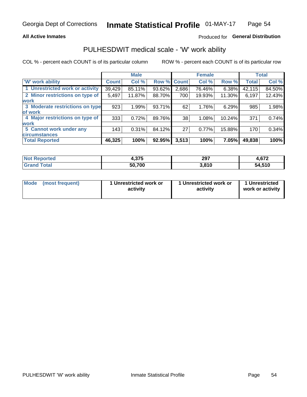### **All Active Inmates**

### Produced for General Distribution

## PULHESDWIT medical scale - 'W' work ability

COL % - percent each COUNT is of its particular column

|                                 |              | <b>Male</b> |        |             | <b>Female</b> |          |              | <b>Total</b> |
|---------------------------------|--------------|-------------|--------|-------------|---------------|----------|--------------|--------------|
| <b>W' work ability</b>          | <b>Count</b> | Col %       |        | Row % Count | Col %         | Row %    | <b>Total</b> | Col %        |
| 1 Unrestricted work or activity | 39,429       | 85.11%      | 93.62% | 2,686       | 76.46%        | $6.38\%$ | 42,115       | 84.50%       |
| 2 Minor restrictions on type of | 5,497        | 11.87%      | 88.70% | 700         | 19.93%        | 11.30%   | 6,197        | 12.43%       |
| <b>work</b>                     |              |             |        |             |               |          |              |              |
| 3 Moderate restrictions on type | 923          | 1.99%       | 93.71% | 62          | 1.76%         | 6.29%    | 985          | 1.98%        |
| lof work                        |              |             |        |             |               |          |              |              |
| 4 Major restrictions on type of | 333          | 0.72%       | 89.76% | 38          | 1.08%         | 10.24%   | 371          | 0.74%        |
| <b>work</b>                     |              |             |        |             |               |          |              |              |
| 5 Cannot work under any         | 143          | 0.31%       | 84.12% | 27          | 0.77%         | 15.88%   | 170          | 0.34%        |
| <b>circumstances</b>            |              |             |        |             |               |          |              |              |
| <b>Total Reported</b>           | 46,325       | 100%        | 92.95% | 3,513       | 100%          | 7.05%    | 49,838       | 100%         |

| <b>Not Reported</b>          | 4,375  | 297   | $\sim$<br>4.6/2 |
|------------------------------|--------|-------|-----------------|
| <b>Total</b><br><b>Grand</b> | 50,700 | 3,810 | 54,510          |

| Mode            | 1 Unrestricted work or | 1 Unrestricted work or | 1 Unrestricted   |
|-----------------|------------------------|------------------------|------------------|
| (most frequent) | activity               | activity               | work or activity |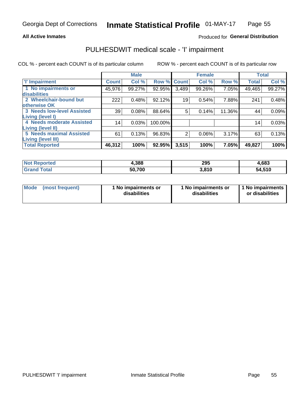### **All Active Inmates**

### Produced for General Distribution

## PULHESDWIT medical scale - 'I' impairment

COL % - percent each COUNT is of its particular column

|                                                              |                 | <b>Male</b> |             |       | <b>Female</b> |        |              | <b>Total</b> |
|--------------------------------------------------------------|-----------------|-------------|-------------|-------|---------------|--------|--------------|--------------|
| <b>T' Impairment</b>                                         | <b>Count</b>    | Col %       | Row % Count |       | Col %         | Row %  | <b>Total</b> | Col %        |
| 1 No impairments or<br>disabilities                          | 45,976          | 99.27%      | 92.95%      | 3,489 | 99.26%        | 7.05%  | 49,465       | 99.27%       |
| 2 Wheelchair-bound but<br>otherwise OK                       | 222             | 0.48%       | 92.12%      | 19    | 0.54%         | 7.88%  | 241          | 0.48%        |
| <b>3 Needs low-level Assisted</b><br>Living (level I)        | 39              | 0.08%       | 88.64%      | 5     | 0.14%         | 11.36% | 44           | 0.09%        |
| 4 Needs moderate Assisted<br><b>Living (level II)</b>        | 14 <sub>1</sub> | 0.03%       | 100.00%     |       |               |        | 14           | 0.03%        |
| <b>5 Needs maximal Assisted</b><br><b>Living (level III)</b> | 61              | 0.13%       | 96.83%      | 2     | 0.06%         | 3.17%  | 63           | 0.13%        |
| <b>Total Reported</b>                                        | 46,312          | 100%        | 92.95%      | 3,515 | 100%          | 7.05%  | 49,827       | 100%         |

| orted | 1,388  | 295   | 4,683       |
|-------|--------|-------|-------------|
| otal  | 50.700 | 3.810 | 4,510<br>54 |

| Mode | (most frequent) | 1 No impairments or<br>disabilities | 1 No impairments or<br>disabilities | 1 No impairments<br>or disabilities |
|------|-----------------|-------------------------------------|-------------------------------------|-------------------------------------|
|------|-----------------|-------------------------------------|-------------------------------------|-------------------------------------|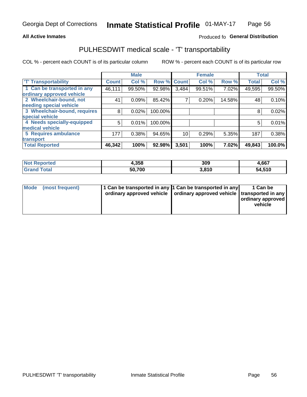### **All Active Inmates**

### Produced fo General Distribution

## PULHESDWIT medical scale - 'T' transportability

COL % - percent each COUNT is of its particular column

|                              |              | <b>Male</b> |                    |       | <b>Female</b> |        | <b>Total</b> |        |
|------------------------------|--------------|-------------|--------------------|-------|---------------|--------|--------------|--------|
| <b>T' Transportability</b>   | <b>Count</b> | Col %       | <b>Row % Count</b> |       | Col %         | Row %  | <b>Total</b> | Col %  |
| 1 Can be transported in any  | 46,111       | 99.50%      | 92.98%             | 3,484 | 99.51%        | 7.02%  | 49,595       | 99.50% |
| ordinary approved vehicle    |              |             |                    |       |               |        |              |        |
| 2 Wheelchair-bound, not      | 41           | 0.09%       | 85.42%             | 7     | 0.20%         | 14.58% | 48           | 0.10%  |
| needing special vehicle      |              |             |                    |       |               |        |              |        |
| 3 Wheelchair-bound, requires | 8            | 0.02%       | 100.00%            |       |               |        | 8            | 0.02%  |
| special vehicle              |              |             |                    |       |               |        |              |        |
| 4 Needs specially-equipped   | 5            | 0.01%       | 100.00%            |       |               |        | 5            | 0.01%  |
| medical vehicle              |              |             |                    |       |               |        |              |        |
| <b>5 Requires ambulance</b>  | 177          | 0.38%       | 94.65%             | 10    | 0.29%         | 5.35%  | 187          | 0.38%  |
| transport                    |              |             |                    |       |               |        |              |        |
| <b>Total Reported</b>        | 46,342       | 100%        | 92.98%             | 3,501 | 100%          | 7.02%  | 49,843       | 100.0% |

| <b>Not</b><br>Reported | 4,358  | 309   | 4,667  |
|------------------------|--------|-------|--------|
| <b>otal</b>            | 50.700 | 3.810 | 54,510 |

|  | Mode (most frequent) | 1 Can be transported in any 1 Can be transported in any<br>ordinary approved vehicle   ordinary approved vehicle   transported in any |  | 1 Can be<br>  ordinary approved  <br>vehicle |
|--|----------------------|---------------------------------------------------------------------------------------------------------------------------------------|--|----------------------------------------------|
|--|----------------------|---------------------------------------------------------------------------------------------------------------------------------------|--|----------------------------------------------|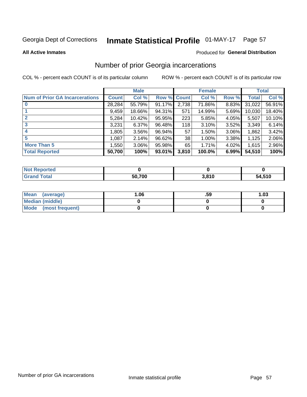# Inmate Statistical Profile 01-MAY-17 Page 57

#### **All Active Inmates**

### Produced for General Distribution

## Number of prior Georgia incarcerations

COL % - percent each COUNT is of its particular column

|                                       |              | <b>Male</b> |                    |       | <b>Female</b> |          |        | <b>Total</b> |
|---------------------------------------|--------------|-------------|--------------------|-------|---------------|----------|--------|--------------|
| <b>Num of Prior GA Incarcerations</b> | <b>Count</b> | Col %       | <b>Row % Count</b> |       | Col %         | Row %    | Total  | Col %        |
| $\bf{0}$                              | 28,284       | 55.79%      | 91.17%             | 2,738 | 71.86%        | 8.83%    | 31,022 | 56.91%       |
|                                       | 9,459        | 18.66%      | 94.31%             | 571   | 14.99%        | 5.69%    | 10,030 | 18.40%       |
| $\mathbf{2}$                          | 5,284        | 10.42%      | 95.95%             | 223   | 5.85%         | 4.05%    | 5,507  | 10.10%       |
| 3                                     | 3,231        | 6.37%       | 96.48%             | 118   | 3.10%         | 3.52%    | 3,349  | 6.14%        |
| 4                                     | 1,805        | 3.56%       | 96.94%             | 57    | 1.50%         | $3.06\%$ | 1,862  | 3.42%        |
| 5                                     | 1,087        | 2.14%       | 96.62%             | 38    | 1.00%         | 3.38%    | 1,125  | 2.06%        |
| <b>More Than 5</b>                    | 1,550        | $3.06\%$    | 95.98%             | 65    | 1.71%         | 4.02%    | 1,615  | 2.96%        |
| <b>Total Reported</b>                 | 50,700       | 100%        | 93.01%             | 3,810 | 100.0%        | 6.99%    | 54,510 | 100%         |

| ported<br>NO.     |        |       |        |
|-------------------|--------|-------|--------|
| <b>otal</b><br>Gr | 50,700 | 3,810 | 54,510 |

| Mean (average)       | 06.، | .59 | 1.03 |
|----------------------|------|-----|------|
| Median (middle)      |      |     |      |
| Mode (most frequent) |      |     |      |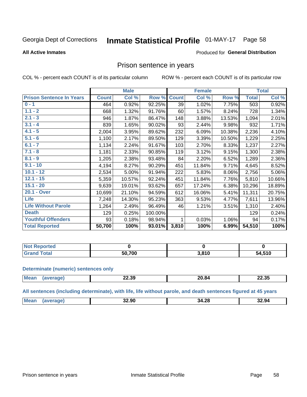#### Inmate Statistical Profile 01-MAY-17 Page 58

### **All Active Inmates**

### Produced for General Distribution

### Prison sentence in years

COL % - percent each COUNT is of its particular column

ROW % - percent each COUNT is of its particular row

|                                 |              | <b>Male</b> |         |              | <b>Female</b> |        |              | <b>Total</b> |
|---------------------------------|--------------|-------------|---------|--------------|---------------|--------|--------------|--------------|
| <b>Prison Sentence In Years</b> | <b>Count</b> | Col %       | Row %   | <b>Count</b> | Col %         | Row %  | <b>Total</b> | Col %        |
| $0 - 1$                         | 464          | 0.92%       | 92.25%  | 39           | 1.02%         | 7.75%  | 503          | 0.92%        |
| $1.1 - 2$                       | 668          | 1.32%       | 91.76%  | 60           | 1.57%         | 8.24%  | 728          | 1.34%        |
| $2.1 - 3$                       | 946          | 1.87%       | 86.47%  | 148          | 3.88%         | 13.53% | 1,094        | 2.01%        |
| $3.1 - 4$                       | 839          | 1.65%       | 90.02%  | 93           | 2.44%         | 9.98%  | 932          | 1.71%        |
| $4.1 - 5$                       | 2,004        | 3.95%       | 89.62%  | 232          | 6.09%         | 10.38% | 2,236        | 4.10%        |
| $5.1 - 6$                       | 1,100        | 2.17%       | 89.50%  | 129          | 3.39%         | 10.50% | 1,229        | 2.25%        |
| $6.1 - 7$                       | 1,134        | 2.24%       | 91.67%  | 103          | 2.70%         | 8.33%  | 1,237        | 2.27%        |
| $7.1 - 8$                       | 1,181        | 2.33%       | 90.85%  | 119          | 3.12%         | 9.15%  | 1,300        | 2.38%        |
| $8.1 - 9$                       | 1,205        | 2.38%       | 93.48%  | 84           | 2.20%         | 6.52%  | 1,289        | 2.36%        |
| $9.1 - 10$                      | 4,194        | 8.27%       | 90.29%  | 451          | 11.84%        | 9.71%  | 4,645        | 8.52%        |
| $10.1 - 12$                     | 2,534        | 5.00%       | 91.94%  | 222          | 5.83%         | 8.06%  | 2,756        | 5.06%        |
| $12.1 - 15$                     | 5,359        | 10.57%      | 92.24%  | 451          | 11.84%        | 7.76%  | 5,810        | 10.66%       |
| $15.1 - 20$                     | 9,639        | 19.01%      | 93.62%  | 657          | 17.24%        | 6.38%  | 10,296       | 18.89%       |
| 20.1 - Over                     | 10,699       | 21.10%      | 94.59%  | 612          | 16.06%        | 5.41%  | 11,311       | 20.75%       |
| <b>Life</b>                     | 7,248        | 14.30%      | 95.23%  | 363          | 9.53%         | 4.77%  | 7,611        | 13.96%       |
| <b>Life Without Parole</b>      | 1,264        | 2.49%       | 96.49%  | 46           | 1.21%         | 3.51%  | 1,310        | 2.40%        |
| <b>Death</b>                    | 129          | 0.25%       | 100.00% |              |               |        | 129          | 0.24%        |
| <b>Youthful Offenders</b>       | 93           | 0.18%       | 98.94%  | 1            | 0.03%         | 1.06%  | 94           | 0.17%        |
| <b>Total Reported</b>           | 50,700       | 100%        | 93.01%  | 3,810        | 100%          | 6.99%  | 54,510       | 100%         |

| <b>Not Reported</b>         |        |                         |        |
|-----------------------------|--------|-------------------------|--------|
| $\sim$<br>$10.02$ K $^{-1}$ | 50.700 | 204 <sup>c</sup><br>' ' | 54,510 |

### **Determinate (numeric) sentences only**

| <b>Mear</b> | 22.39<br>___ | /II 84 | $ -$<br>. .<br>ـ 30.SL |
|-------------|--------------|--------|------------------------|
|             |              |        |                        |

All sentences (including determinate), with life, life without parole, and death sentences figured at 45 years

| <b>Me</b><br>$\sim$<br>32.90<br>32.94<br>34.<br>1.ZC<br>______ |  |  |  |
|----------------------------------------------------------------|--|--|--|
|                                                                |  |  |  |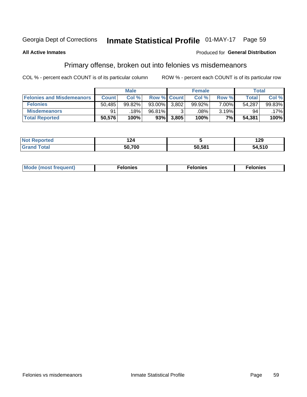## Inmate Statistical Profile 01-MAY-17 Page 59

### **All Active Inmates**

### Produced for General Distribution

## Primary offense, broken out into felonies vs misdemeanors

COL % - percent each COUNT is of its particular column

|                                  |              | <b>Male</b> |        |                    | <b>Female</b> |          | Total  |        |
|----------------------------------|--------------|-------------|--------|--------------------|---------------|----------|--------|--------|
| <b>Felonies and Misdemeanors</b> | <b>Count</b> | Col%        |        | <b>Row % Count</b> | Col%          | Row %    | Total, | Col %  |
| <b>Felonies</b>                  | 50,485       | 99.82%      | 93.00% | 3.802              | 99.92%        | $7.00\%$ | 54,287 | 99.83% |
| <b>Misdemeanors</b>              | 91           | 18%         | 96.81% |                    | .08%          | $3.19\%$ | 94     | .17%   |
| <b>Total Reported</b>            | 50,576       | 100%        | 93%    | 3,805              | 100%          | $7\%$    | 54,381 | 100%   |

| Not   | - -    |        | 29     |
|-------|--------|--------|--------|
| ted   | 144    |        | __     |
| ⊺otar | 50.700 | 50.581 | 54,510 |

| Mo | ____ | 11 C.S<br>. | onies<br>. |
|----|------|-------------|------------|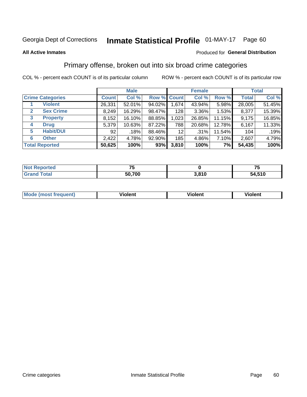#### **Inmate Statistical Profile 01-MAY-17** Page 60

### **All Active Inmates**

### Produced for General Distribution

## Primary offense, broken out into six broad crime categories

COL % - percent each COUNT is of its particular column

|                                 |              | <b>Male</b> |        |                 | <b>Female</b> | <b>Total</b> |              |        |
|---------------------------------|--------------|-------------|--------|-----------------|---------------|--------------|--------------|--------|
| <b>Crime Categories</b>         | <b>Count</b> | Col %       |        | Row % Count     | Col %         | Row %        | <b>Total</b> | Col %  |
| <b>Violent</b>                  | 26,331       | 52.01%      | 94.02% | 1,674           | 43.94%        | 5.98%        | 28,005       | 51.45% |
| <b>Sex Crime</b><br>2           | 8,249        | 16.29%      | 98.47% | 128             | $3.36\%$      | 1.53%        | 8,377        | 15.39% |
| $\mathbf{3}$<br><b>Property</b> | 8,152        | 16.10%      | 88.85% | 1,023           | 26.85%        | 11.15%       | 9,175        | 16.85% |
| <b>Drug</b><br>4                | 5,379        | 10.63%      | 87.22% | 788             | 20.68%        | 12.78%       | 6,167        | 11.33% |
| <b>Habit/DUI</b><br>5           | 92           | .18%        | 88.46% | 12 <sub>2</sub> | .31%          | 11.54%       | 104          | .19%   |
| <b>Other</b><br>6               | 2,422        | 4.78%       | 92.90% | 185             | 4.86%         | 7.10%        | 2,607        | 4.79%  |
| <b>Total Reported</b>           | 50,625       | 100%        | 93%    | 3,810           | 100%          | 7%           | 54,435       | 100%   |

| <b>rortea</b><br><b>NOT</b> |        |       | --<br>w |
|-----------------------------|--------|-------|---------|
| Eata                        | 50,700 | 3,810 | 54,510  |

| <b>Mode (most frequent)</b> | .<br>ïolent | 'iolent | ---<br>Violent |
|-----------------------------|-------------|---------|----------------|
|                             |             |         |                |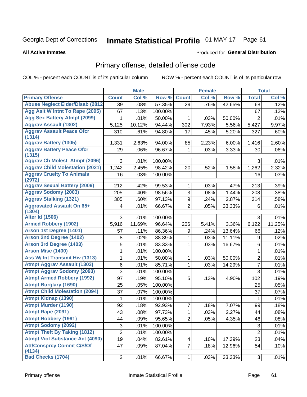# Inmate Statistical Profile 01-MAY-17 Page 61

### **All Active Inmates**

### Produced for General Distribution

## Primary offense, detailed offense code

COL % - percent each COUNT is of its particular column

|                                            |                 | <b>Male</b> |         |                | <b>Female</b> |        |                           | <b>Total</b> |
|--------------------------------------------|-----------------|-------------|---------|----------------|---------------|--------|---------------------------|--------------|
| <b>Primary Offense</b>                     | <b>Count</b>    | Col %       | Row %   | <b>Count</b>   | Col %         | Row %  | <b>Total</b>              | Col %        |
| <b>Abuse Neglect Elder/Disab (2812)</b>    | 39              | .08%        | 57.35%  | 29             | .76%          | 42.65% | 68                        | .12%         |
| Agg Aslt W Intnt To Rape (2095)            | 67              | .13%        | 100.00% |                |               |        | 67                        | .12%         |
| <b>Agg Sex Battery Atmpt (2099)</b>        | 1               | .01%        | 50.00%  | 1              | .03%          | 50.00% | $\overline{2}$            | .01%         |
| <b>Aggrav Assault (1302)</b>               | 5,125           | 10.12%      | 94.44%  | 302            | 7.93%         | 5.56%  | 5,427                     | 9.97%        |
| <b>Aggrav Assault Peace Ofcr</b>           | 310             | .61%        | 94.80%  | 17             | .45%          | 5.20%  | 327                       | .60%         |
| (1314)                                     |                 |             |         |                |               |        |                           |              |
| <b>Aggrav Battery (1305)</b>               | 1,331           | 2.63%       | 94.00%  | 85             | 2.23%         | 6.00%  | 1,416                     | 2.60%        |
| <b>Aggrav Battery Peace Ofcr</b><br>(1315) | 29              | .06%        | 96.67%  | 1              | .03%          | 3.33%  | 30                        | .06%         |
| <b>Aggrav Ch Molest Atmpt (2096)</b>       | 3               | .01%        | 100.00% |                |               |        | 3                         | .01%         |
| <b>Aggrav Child Molestation (2021)</b>     | 1,242           | 2.45%       | 98.42%  | 20             | .52%          | 1.58%  | 1,262                     | 2.32%        |
| <b>Aggrav Cruelty To Animals</b>           | 16              | .03%        | 100.00% |                |               |        | 16                        | .03%         |
| (2972)                                     |                 |             |         |                |               |        |                           |              |
| <b>Aggrav Sexual Battery (2009)</b>        | 212             | .42%        | 99.53%  | 1              | .03%          | .47%   | 213                       | .39%         |
| <b>Aggrav Sodomy (2003)</b>                | 205             | .40%        | 98.56%  | 3              | .08%          | 1.44%  | 208                       | .38%         |
| <b>Aggrav Stalking (1321)</b>              | 305             | .60%        | 97.13%  | 9              | .24%          | 2.87%  | 314                       | .58%         |
| <b>Aggravated Assault On 65+</b><br>(1304) | 4               | .01%        | 66.67%  | $\overline{2}$ | .05%          | 33.33% | 6                         | .01%         |
| <b>Alter Id (1506)</b>                     | 3               | .01%        | 100.00% |                |               |        | 3                         | .01%         |
| <b>Armed Robbery (1902)</b>                | 5,916           | 11.69%      | 96.64%  | 206            | 5.41%         | 3.36%  | 6,122                     | 11.25%       |
| Arson 1st Degree (1401)                    | 57              | .11%        | 86.36%  | 9              | .24%          | 13.64% | 66                        | .12%         |
| <b>Arson 2nd Degree (1402)</b>             | 8               | .02%        | 88.89%  | 1              | .03%          | 11.11% | 9                         | .02%         |
| <b>Arson 3rd Degree (1403)</b>             | 5               | .01%        | 83.33%  | 1              | .03%          | 16.67% | 6                         | .01%         |
| <b>Arson Misc (1400)</b>                   | 1               | .01%        | 100.00% |                |               |        | 1                         | .01%         |
| <b>Ass W/ Int Transmit Hiv (1313)</b>      | 1               | .01%        | 50.00%  | 1              | .03%          | 50.00% | $\overline{2}$            | .01%         |
| <b>Atmpt Aggrav Assault (1303)</b>         | 6               | .01%        | 85.71%  | 1              | .03%          | 14.29% | $\overline{7}$            | .01%         |
| <b>Atmpt Aggrav Sodomy (2093)</b>          | 3               | .01%        | 100.00% |                |               |        | $\overline{3}$            | .01%         |
| <b>Atmpt Armed Robbery (1992)</b>          | 97              | .19%        | 95.10%  | 5              | .13%          | 4.90%  | 102                       | .19%         |
| <b>Atmpt Burglary (1690)</b>               | 25              | .05%        | 100.00% |                |               |        | 25                        | .05%         |
| <b>Atmpt Child Molestation (2094)</b>      | 37              | .07%        | 100.00% |                |               |        | 37                        | .07%         |
| <b>Atmpt Kidnap (1390)</b>                 | 1               | .01%        | 100.00% |                |               |        | 1                         | .01%         |
| <b>Atmpt Murder (1190)</b>                 | 92              | .18%        | 92.93%  | 7              | .18%          | 7.07%  | 99                        | .18%         |
| Atmpt Rape (2091)                          | $\overline{43}$ | .08%        | 97.73%  | $\mathbf{1}$   | .03%          | 2.27%  | $\overline{44}$           | .08%         |
| <b>Atmpt Robbery (1991)</b>                | 44              | .09%        | 95.65%  | $\overline{2}$ | .05%          | 4.35%  | 46                        | .08%         |
| <b>Atmpt Sodomy (2092)</b>                 | 3               | .01%        | 100.00% |                |               |        | $\ensuremath{\mathsf{3}}$ | .01%         |
| <b>Atmpt Theft By Taking (1812)</b>        | $\overline{2}$  | .01%        | 100.00% |                |               |        | $\overline{2}$            | .01%         |
| <b>Atmpt Viol Substance Act (4090)</b>     | 19              | .04%        | 82.61%  | 4              | .10%          | 17.39% | 23                        | .04%         |
| <b>Att/Consprcy Commt C/S/Of</b><br>(4134) | 47              | .09%        | 87.04%  | 7              | .18%          | 12.96% | 54                        | .10%         |
| <b>Bad Checks (1704)</b>                   | $\overline{2}$  | .01%        | 66.67%  | $\mathbf{1}$   | .03%          | 33.33% | 3                         | .01%         |
|                                            |                 |             |         |                |               |        |                           |              |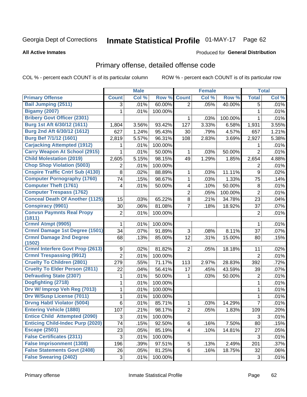# Inmate Statistical Profile 01-MAY-17 Page 62

### **All Active Inmates**

### **Produced for General Distribution**

## Primary offense, detailed offense code

COL % - percent each COUNT is of its particular column

|                                          |                | <b>Male</b> |         |                         | <b>Female</b> |         |                | <b>Total</b> |
|------------------------------------------|----------------|-------------|---------|-------------------------|---------------|---------|----------------|--------------|
| <b>Primary Offense</b>                   | <b>Count</b>   | Col %       | Row %   | <b>Count</b>            | Col %         | Row %   | <b>Total</b>   | Col %        |
| <b>Bail Jumping (2511)</b>               | 3              | .01%        | 60.00%  | $\overline{2}$          | .05%          | 40.00%  | 5              | .01%         |
| <b>Bigamy (2007)</b>                     | 1              | .01%        | 100.00% |                         |               |         | $\mathbf{1}$   | .01%         |
| <b>Bribery Govt Officer (2301)</b>       |                |             |         | 1                       | .03%          | 100.00% | 1              | .01%         |
| Burg 1st Aft 6/30/12 (1611)              | 1,804          | 3.56%       | 93.42%  | 127                     | 3.33%         | 6.58%   | 1,931          | 3.55%        |
| Burg 2nd Aft 6/30/12 (1612)              | 627            | 1.24%       | 95.43%  | 30                      | .79%          | 4.57%   | 657            | 1.21%        |
| <b>Burg Bef 7/1/12 (1601)</b>            | 2,819          | 5.57%       | 96.31%  | 108                     | 2.83%         | 3.69%   | 2,927          | 5.38%        |
| <b>Carjacking Attempted (1912)</b>       | 1              | .01%        | 100.00% |                         |               |         | 1              | .01%         |
| <b>Carry Weapon At School (2915)</b>     | 1              | .01%        | 50.00%  | 1                       | .03%          | 50.00%  | $\overline{2}$ | .01%         |
| <b>Child Molestation (2019)</b>          | 2,605          | 5.15%       | 98.15%  | 49                      | 1.29%         | 1.85%   | 2,654          | 4.88%        |
| <b>Chop Shop Violation (5003)</b>        | 2              | .01%        | 100.00% |                         |               |         | 2              | .01%         |
| <b>Cnspire Traffic Cntrl Sub (4130)</b>  | 8              | .02%        | 88.89%  | 1                       | .03%          | 11.11%  | 9              | .02%         |
| <b>Computer Pornography (1760)</b>       | 74             | .15%        | 98.67%  | $\mathbf{1}$            | .03%          | 1.33%   | 75             | .14%         |
| <b>Computer Theft (1761)</b>             | 4              | .01%        | 50.00%  | $\overline{\mathbf{4}}$ | .10%          | 50.00%  | 8              | .01%         |
| <b>Computer Trespass (1762)</b>          |                |             |         | $\overline{c}$          | .05%          | 100.00% | $\overline{2}$ | .01%         |
| <b>Conceal Death Of Another (1125)</b>   | 15             | .03%        | 65.22%  | 8                       | .21%          | 34.78%  | 23             | .04%         |
| <b>Conspiracy (9901)</b>                 | 30             | .06%        | 81.08%  | $\overline{7}$          | .18%          | 18.92%  | 37             | .07%         |
| <b>Convsn Paymnts Real Propy</b>         | $\overline{2}$ | .01%        | 100.00% |                         |               |         | $\overline{2}$ | .01%         |
| (1811)                                   |                |             |         |                         |               |         |                |              |
| Crmnl Atmpt (9905)                       | 1              | .01%        | 100.00% |                         |               |         | 1              | .01%         |
| Crmnl Damage 1st Degree (1501)           | 34             | .07%        | 91.89%  | 3                       | .08%          | 8.11%   | 37             | .07%         |
| <b>Crmnl Damage 2nd Degree</b><br>(1502) | 68             | .13%        | 85.00%  | 12                      | .31%          | 15.00%  | 80             | .15%         |
| <b>Crmnl Interfere Govt Prop (2613)</b>  | 9              | .02%        | 81.82%  | $\overline{2}$          | .05%          | 18.18%  | 11             | .02%         |
| <b>Crmnl Trespassing (9912)</b>          | $\overline{2}$ | .01%        | 100.00% |                         |               |         | $\overline{2}$ | .01%         |
| <b>Cruelty To Children (2801)</b>        | 279            | .55%        | 71.17%  | 113                     | 2.97%         | 28.83%  | 392            | .72%         |
| <b>Cruelty To Elder Person (2811)</b>    | 22             | .04%        | 56.41%  | 17                      | .45%          | 43.59%  | 39             | .07%         |
| <b>Defrauding State (2307)</b>           | 1              | .01%        | 50.00%  | 1                       | .03%          | 50.00%  | $\overline{2}$ | .01%         |
| Dogfighting (2718)                       | 1              | .01%        | 100.00% |                         |               |         | $\mathbf{1}$   | .01%         |
| Drv W/ Improp Veh Reg (7013)             | 1              | .01%        | 100.00% |                         |               |         | 1              | .01%         |
| <b>Drv W/Susp License (7011)</b>         | $\mathbf{1}$   | .01%        | 100.00% |                         |               |         | $\mathbf{1}$   | .01%         |
| <b>Drvng Habtl Violator (5004)</b>       | 6              | .01%        | 85.71%  | 1                       | .03%          | 14.29%  | 7              | .01%         |
| <b>Entering Vehicle (1880)</b>           | 107            | .21%        | 98.17%  | $\overline{2}$          | .05%          | 1.83%   | 109            | .20%         |
| <b>Entice Child Attempted (2090)</b>     | 3              | .01%        | 100.00% |                         |               |         | $\mathfrak{B}$ | .01%         |
| <b>Enticing Child-Indec Purp (2020)</b>  | 74             | .15%        | 92.50%  | 6                       | .16%          | 7.50%   | 80             | .15%         |
| <b>Escape (2501)</b>                     | 23             | .05%        | 85.19%  | $\overline{4}$          | .10%          | 14.81%  | 27             | .05%         |
| <b>False Certificates (2311)</b>         | 3              | .01%        | 100.00% |                         |               |         | 3              | .01%         |
| <b>False Imprisonment (1308)</b>         | 196            | .39%        | 97.51%  | 5 <sup>1</sup>          | .13%          | 2.49%   | 201            | .37%         |
| <b>False Statements Govt (2408)</b>      | 26             | .05%        | 81.25%  | 6 <sup>1</sup>          | .16%          | 18.75%  | 32             | .06%         |
| <b>False Swearing (2402)</b>             | 3              | .01%        | 100.00% |                         |               |         | 3              | .01%         |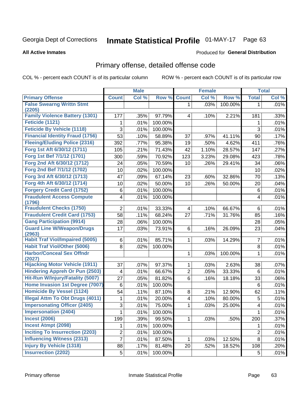# Inmate Statistical Profile 01-MAY-17 Page 63

### **All Active Inmates**

### **Produced for General Distribution**

## Primary offense, detailed offense code

COL % - percent each COUNT is of its particular column

|                                            |                | <b>Male</b> |         |                | <b>Female</b> |         |                         | <b>Total</b> |
|--------------------------------------------|----------------|-------------|---------|----------------|---------------|---------|-------------------------|--------------|
| <b>Primary Offense</b>                     | <b>Count</b>   | Col %       | Row %   | <b>Count</b>   | Col %         | Row %   | <b>Total</b>            | Col %        |
| <b>False Swearng Writtn Stmt</b>           |                |             |         | $\mathbf{1}$   | .03%          | 100.00% | $\mathbf 1$             | .01%         |
| (2205)                                     |                |             |         |                |               |         |                         |              |
| <b>Family Violence Battery (1301)</b>      | 177            | .35%        | 97.79%  | 4              | .10%          | 2.21%   | 181                     | .33%         |
| Feticide (1121)                            | 1              | .01%        | 100.00% |                |               |         | 1                       | .01%         |
| <b>Feticide By Vehicle (1118)</b>          | 3              | .01%        | 100.00% |                |               |         | 3                       | .01%         |
| <b>Financial Identity Fraud (1756)</b>     | 53             | .10%        | 58.89%  | 37             | .97%          | 41.11%  | 90                      | .17%         |
| <b>Fleeing/Eluding Police (2316)</b>       | 392            | .77%        | 95.38%  | 19             | .50%          | 4.62%   | 411                     | .76%         |
| Forg 1st Aft 6/30/12 (1711)                | 105            | .21%        | 71.43%  | 42             | 1.10%         | 28.57%  | 147                     | .27%         |
| Forg 1st Bef 7/1/12 (1701)                 | 300            | .59%        | 70.92%  | 123            | 3.23%         | 29.08%  | 423                     | .78%         |
| Forg 2nd Aft 6/30/12 (1712)                | 24             | .05%        | 70.59%  | 10             | .26%          | 29.41%  | 34                      | .06%         |
| Forg 2nd Bef 7/1/12 (1702)                 | 10             | .02%        | 100.00% |                |               |         | 10                      | .02%         |
| Forg 3rd Aft 6/30/12 (1713)                | 47             | .09%        | 67.14%  | 23             | .60%          | 32.86%  | 70                      | .13%         |
| Forg 4th Aft 6/30/12 (1714)                | 10             | .02%        | 50.00%  | 10             | .26%          | 50.00%  | 20                      | .04%         |
| <b>Forgery Credit Card (1752)</b>          | 6              | .01%        | 100.00% |                |               |         | 6                       | .01%         |
| <b>Fraudulent Access Compute</b>           | 4              | .01%        | 100.00% |                |               |         | $\overline{\mathbf{4}}$ | .01%         |
| (1796)                                     |                |             |         |                |               |         |                         |              |
| <b>Fraudulent Checks (1750)</b>            | $\overline{2}$ | .01%        | 33.33%  | 4              | .10%          | 66.67%  | 6                       | .01%         |
| <b>Fraudulent Credit Card (1753)</b>       | 58             | .11%        | 68.24%  | 27             | .71%          | 31.76%  | 85                      | .16%         |
| <b>Gang Participation (9914)</b>           | 28             | .06%        | 100.00% |                |               |         | 28                      | .05%         |
| <b>Guard Line W/Weapon/Drugs</b><br>(2963) | 17             | .03%        | 73.91%  | 6              | .16%          | 26.09%  | 23                      | .04%         |
| <b>Habit Traf Viol/Impaired (5005)</b>     | 6              | .01%        | 85.71%  | 1              | .03%          | 14.29%  | $\overline{7}$          | .01%         |
| <b>Habit Traf Viol/Other (5006)</b>        | 8              | .02%        | 100.00% |                |               |         | 8                       | .01%         |
| <b>Harbor/Conceal Sex Offndr</b><br>(2027) |                |             |         | 1              | .03%          | 100.00% | 1                       | .01%         |
| <b>Hijacking Motor Vehicle (1911)</b>      | 37             | .07%        | 97.37%  | 1              | .03%          | 2.63%   | 38                      | .07%         |
| <b>Hindering Appreh Or Pun (2503)</b>      | 4              | .01%        | 66.67%  | 2              | .05%          | 33.33%  | 6                       | .01%         |
| Hit-Run W/Injury/Fatality (5007)           | 27             | .05%        | 81.82%  | $6\phantom{a}$ | .16%          | 18.18%  | 33                      | .06%         |
| Home Invasion 1st Degree (7007)            | 6              | .01%        | 100.00% |                |               |         | 6                       | .01%         |
| <b>Homicide By Vessel (1124)</b>           | 54             | .11%        | 87.10%  | 8              | .21%          | 12.90%  | 62                      | .11%         |
| <b>Illegal Attm To Obt Drugs (4011)</b>    | 1              | .01%        | 20.00%  | 4              | .10%          | 80.00%  | 5                       | .01%         |
| <b>Impersonating Officer (2405)</b>        | 3              | .01%        | 75.00%  | 1              | .03%          | 25.00%  | 4                       | .01%         |
| <b>Impersonation (2404)</b>                | $\mathbf{1}$   | .01%        | 100.00% |                |               |         | $\mathbf{1}$            | .01%         |
| <b>Incest (2006)</b>                       | 199            | .39%        | 99.50%  | 1              | .03%          | .50%    | 200                     | .37%         |
| <b>Incest Atmpt (2098)</b>                 | 1              | .01%        | 100.00% |                |               |         | 1                       | .01%         |
| <b>Inciting To Insurrection (2203)</b>     | $\overline{2}$ | .01%        | 100.00% |                |               |         | $\overline{2}$          | .01%         |
| <b>Influencing Witness (2313)</b>          | $\overline{7}$ | .01%        | 87.50%  | 1.             | .03%          | 12.50%  | 8                       | .01%         |
| <b>Injury By Vehicle (1318)</b>            | 88             | .17%        | 81.48%  | 20             | .52%          | 18.52%  | 108                     | .20%         |
| <b>Insurrection (2202)</b>                 | 5              | .01%        | 100.00% |                |               |         | 5                       | .01%         |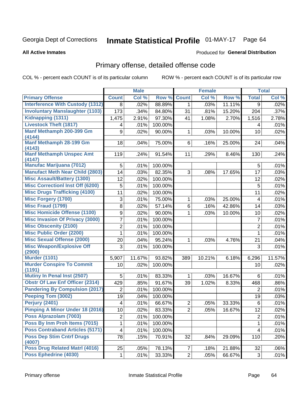# Inmate Statistical Profile 01-MAY-17 Page 64

### **All Active Inmates**

### Produced for General Distribution

## Primary offense, detailed offense code

COL % - percent each COUNT is of its particular column

|                                            |                 | <b>Male</b> |         |                | <b>Female</b> |        |                | <b>Total</b> |
|--------------------------------------------|-----------------|-------------|---------|----------------|---------------|--------|----------------|--------------|
| <b>Primary Offense</b>                     | <b>Count</b>    | Col %       | Row %   | <b>Count</b>   | Col %         | Row %  | <b>Total</b>   | Col %        |
| <b>Interference With Custody (1312)</b>    | 8               | .02%        | 88.89%  | $\mathbf{1}$   | .03%          | 11.11% | 9              | .02%         |
| <b>Involuntary Manslaughter (1103)</b>     | 173             | .34%        | 84.80%  | 31             | .81%          | 15.20% | 204            | .37%         |
| Kidnapping (1311)                          | 1,475           | 2.91%       | 97.30%  | 41             | 1.08%         | 2.70%  | 1,516          | 2.78%        |
| <b>Livestock Theft (1817)</b>              | 4               | .01%        | 100.00% |                |               |        | 4              | .01%         |
| Manf Methamph 200-399 Gm                   | 9               | .02%        | 90.00%  | 1              | .03%          | 10.00% | 10             | .02%         |
| (4144)                                     |                 |             |         |                |               |        |                |              |
| Manf Methamph 28-199 Gm<br>(4143)          | 18              | .04%        | 75.00%  | 6              | .16%          | 25.00% | 24             | .04%         |
| <b>Manf Methamph Unspec Amt</b>            | 119             | .24%        | 91.54%  | 11             | .29%          | 8.46%  | 130            | .24%         |
| (4147)                                     |                 |             |         |                |               |        |                |              |
| <b>Manufac Marijuana (7012)</b>            | 5               | .01%        | 100.00% |                |               |        | 5              | .01%         |
| <b>Manufact Meth Near Child (2803)</b>     | 14              | .03%        | 82.35%  | 3              | .08%          | 17.65% | 17             | .03%         |
| <b>Misc Assault/Battery (1300)</b>         | 12              | .02%        | 100.00% |                |               |        | 12             | .02%         |
| <b>Misc Correctionl Inst Off (6200)</b>    | 5               | .01%        | 100.00% |                |               |        | $\overline{5}$ | .01%         |
| <b>Misc Drugs Trafficking (4100)</b>       | 11              | .02%        | 100.00% |                |               |        | 11             | .02%         |
| <b>Misc Forgery (1700)</b>                 | 3               | .01%        | 75.00%  | 1              | .03%          | 25.00% | 4              | .01%         |
| <b>Misc Fraud (1799)</b>                   | 8               | .02%        | 57.14%  | 6              | .16%          | 42.86% | 14             | .03%         |
| <b>Misc Homicide Offense (1100)</b>        | 9               | .02%        | 90.00%  | 1              | .03%          | 10.00% | 10             | .02%         |
| <b>Misc Invasion Of Privacy (3000)</b>     | 7               | .01%        | 100.00% |                |               |        | $\overline{7}$ | .01%         |
| <b>Misc Obscenity (2100)</b>               | $\overline{2}$  | .01%        | 100.00% |                |               |        | $\overline{2}$ | .01%         |
| <b>Misc Public Order (2200)</b>            | 1               | .01%        | 100.00% |                |               |        | 1              | .01%         |
| <b>Misc Sexual Offense (2000)</b>          | 20              | .04%        | 95.24%  | 1              | .03%          | 4.76%  | 21             | .04%         |
| <b>Misc Weapon/Explosive Off</b>           | 3               | .01%        | 100.00% |                |               |        | 3              | .01%         |
| (2900)                                     |                 |             |         |                |               |        |                |              |
| <b>Murder (1101)</b>                       | 5,907           | 11.67%      | 93.82%  | 389            | 10.21%        | 6.18%  | 6,296          | 11.57%       |
| <b>Murder Conspire To Commit</b><br>(1191) | 10              | .02%        | 100.00% |                |               |        | 10             | .02%         |
| <b>Mutiny In Penal Inst (2507)</b>         | 5               | .01%        | 83.33%  | 1              | .03%          | 16.67% | 6              | .01%         |
| <b>Obstr Of Law Enf Officer (2314)</b>     | 429             | .85%        | 91.67%  | 39             | 1.02%         | 8.33%  | 468            | .86%         |
| <b>Pandering By Compulsion (2017)</b>      | $\overline{2}$  | .01%        | 100.00% |                |               |        | $\overline{2}$ | .01%         |
| Peeping Tom (3002)                         | 19              | .04%        | 100.00% |                |               |        | 19             | .03%         |
| <b>Perjury (2401)</b>                      | 4               | .01%        | 66.67%  | $\overline{2}$ | .05%          | 33.33% | $\,6$          | .01%         |
| Pimping A Minor Under 18 (2016)            | 10 <sup>1</sup> | .02%        | 83.33%  | $\overline{2}$ | .05%          | 16.67% | 12             | .02%         |
| Poss Alprazolam (7003)                     | $\overline{2}$  | .01%        | 100.00% |                |               |        | $\overline{2}$ | .01%         |
| Poss By Inm Proh Items (7015)              | 1               | .01%        | 100.00% |                |               |        | 1              | .01%         |
| <b>Poss Contraband Articles (5171)</b>     | 4               | .01%        | 100.00% |                |               |        | 4              | .01%         |
| <b>Poss Dep Stim Cntrf Drugs</b>           | 78              | .15%        | 70.91%  | 32             | .84%          | 29.09% | 110            | .20%         |
| (4007)                                     |                 |             |         |                |               |        |                |              |
| Poss Drug Related Matrl (4016)             | 25              | .05%        | 78.13%  | $\overline{7}$ | .18%          | 21.88% | 32             | .06%         |
| <b>Poss Ephedrine (4030)</b>               | 1.              | .01%        | 33.33%  | 2 <sup>1</sup> | .05%          | 66.67% | $\mathbf{3}$   | .01%         |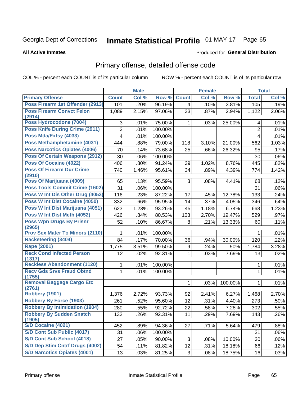# Inmate Statistical Profile 01-MAY-17 Page 65

### **All Active Inmates**

### Produced for General Distribution

## Primary offense, detailed offense code

COL % - percent each COUNT is of its particular column

|                                            |                | <b>Male</b> |         |                | <b>Female</b> |         |                | <b>Total</b> |
|--------------------------------------------|----------------|-------------|---------|----------------|---------------|---------|----------------|--------------|
| <b>Primary Offense</b>                     | <b>Count</b>   | Col %       | Row %   | <b>Count</b>   | Col %         | Row %   | <b>Total</b>   | Col %        |
| Poss Firearm 1st Offender (2913)           | 101            | .20%        | 96.19%  | $\overline{4}$ | .10%          | 3.81%   | 105            | .19%         |
| <b>Poss Firearm Convct Felon</b><br>(2914) | 1,089          | 2.15%       | 97.06%  | 33             | .87%          | 2.94%   | 1,122          | 2.06%        |
| Poss Hydrocodone (7004)                    | 3              | .01%        | 75.00%  | 1              | .03%          | 25.00%  | 4              | .01%         |
| <b>Poss Knife During Crime (2911)</b>      | $\overline{2}$ | .01%        | 100.00% |                |               |         | $\overline{2}$ | .01%         |
| Poss Mda/Extsy (4033)                      | 4              | .01%        | 100.00% |                |               |         | 4              | .01%         |
| Poss Methamphetamine (4031)                | 444            | .88%        | 79.00%  | 118            | 3.10%         | 21.00%  | 562            | 1.03%        |
| <b>Poss Narcotics Opiates (4006)</b>       | 70             | .14%        | 73.68%  | 25             | .66%          | 26.32%  | 95             | .17%         |
| <b>Poss Of Certain Weapons (2912)</b>      | 30             | .06%        | 100.00% |                |               |         | 30             | .06%         |
| <b>Poss Of Cocaine (4022)</b>              | 406            | .80%        | 91.24%  | 39             | 1.02%         | 8.76%   | 445            | .82%         |
| <b>Poss Of Firearm Dur Crime</b><br>(2910) | 740            | 1.46%       | 95.61%  | 34             | .89%          | 4.39%   | 774            | 1.42%        |
| Poss Of Marijuana (4009)                   | 65             | .13%        | 95.59%  | 3              | .08%          | 4.41%   | 68             | .12%         |
| <b>Poss Tools Commit Crime (1602)</b>      | 31             | .06%        | 100.00% |                |               |         | 31             | .06%         |
| Poss W Int Dis Other Drug (4053)           | 116            | .23%        | 87.22%  | 17             | .45%          | 12.78%  | 133            | .24%         |
| <b>Poss W Int Dist Cocaine (4050)</b>      | 332            | .66%        | 95.95%  | 14             | .37%          | 4.05%   | 346            | .64%         |
| Poss W Int Dist Marijuana (4051)           | 623            | 1.23%       | 93.26%  | 45             | 1.18%         | 6.74%   | 668            | 1.23%        |
| Poss W Int Dist Meth (4052)                | 426            | .84%        | 80.53%  | 103            | 2.70%         | 19.47%  | 529            | .97%         |
| <b>Poss Wpn Drugs By Prisnr</b><br>(2965)  | 52             | .10%        | 86.67%  | 8              | .21%          | 13.33%  | 60             | .11%         |
| <b>Prov Sex Mater To Minors (2110)</b>     | 1              | .01%        | 100.00% |                |               |         | 1              | .01%         |
| <b>Racketeering (3404)</b>                 | 84             | .17%        | 70.00%  | 36             | .94%          | 30.00%  | 120            | .22%         |
| <b>Rape (2001)</b>                         | 1,775          | 3.51%       | 99.50%  | 9              | .24%          | .50%    | 1,784          | 3.28%        |
| <b>Reck Cond Infected Person</b><br>(1317) | 12             | .02%        | 92.31%  | 1              | .03%          | 7.69%   | 13             | .02%         |
| <b>Reckless Abandonment (1120)</b>         | 1              | .01%        | 100.00% |                |               |         | 1              | .01%         |
| <b>Recv Gds Srvs Fraud Obtnd</b><br>(1755) | 1              | .01%        | 100.00% |                |               |         | 1              | .01%         |
| <b>Removal Baggage Cargo Etc</b><br>(2761) |                |             |         | 1              | .03%          | 100.00% | 1              | .01%         |
| <b>Robbery (1901)</b>                      | 1,376          | 2.72%       | 93.73%  | 92             | 2.41%         | 6.27%   | 1,468          | 2.70%        |
| <b>Robbery By Force (1903)</b>             | 261            | .52%        | 95.60%  | 12             | .31%          | 4.40%   | 273            | .50%         |
| <b>Robbery By Intimidation (1904)</b>      | 280            | .55%        | 92.72%  | 22             | .58%          | 7.28%   | 302            | .55%         |
| <b>Robbery By Sudden Snatch</b><br>(1905)  | 132            | .26%        | 92.31%  | 11             | .29%          | 7.69%   | 143            | .26%         |
| S/D Cocaine (4021)                         | 452            | .89%        | 94.36%  | 27             | .71%          | 5.64%   | 479            | .88%         |
| S/D Cont Sub Public (4017)                 | 31             | .06%        | 100.00% |                |               |         | 31             | .06%         |
| S/D Cont Sub School (4018)                 | 27             | .05%        | 90.00%  | 3 <sup>1</sup> | .08%          | 10.00%  | 30             | .06%         |
| S/D Dep Stim Cntrf Drugs (4002)            | 54             | .11%        | 81.82%  | 12             | .31%          | 18.18%  | 66             | .12%         |
| <b>S/D Narcotics Opiates (4001)</b>        | 13             | .03%        | 81.25%  | 3 <sup>1</sup> | .08%          | 18.75%  | 16             | .03%         |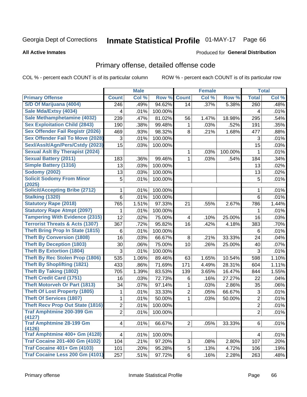# Inmate Statistical Profile 01-MAY-17 Page 66

### **All Active Inmates**

### Produced for General Distribution

## Primary offense, detailed offense code

COL % - percent each COUNT is of its particular column

|                                            |                | <b>Male</b> |         |                | <b>Female</b> |         |                | <b>Total</b> |
|--------------------------------------------|----------------|-------------|---------|----------------|---------------|---------|----------------|--------------|
| <b>Primary Offense</b>                     | <b>Count</b>   | Col %       | Row %   | <b>Count</b>   | Col %         | Row %   | <b>Total</b>   | Col %        |
| S/D Of Marijuana (4004)                    | 246            | .49%        | 94.62%  | 14             | .37%          | 5.38%   | 260            | .48%         |
| Sale Mda/Extsy (4034)                      | 4              | .01%        | 100.00% |                |               |         | 4              | .01%         |
| Sale Methamphetamine (4032)                | 239            | .47%        | 81.02%  | 56             | 1.47%         | 18.98%  | 295            | .54%         |
| <b>Sex Exploitation Child (2843)</b>       | 190            | .38%        | 99.48%  | 1              | .03%          | .52%    | 191            | .35%         |
| <b>Sex Offender Fail Registr (2026)</b>    | 469            | .93%        | 98.32%  | 8              | .21%          | 1.68%   | 477            | .88%         |
| <b>Sex Offender Fail To Move (2028)</b>    | 3              | .01%        | 100.00% |                |               |         | 3              | .01%         |
| Sexl/Asslt/Agn/Pers/Cstdy (2023)           | 15             | .03%        | 100.00% |                |               |         | 15             | .03%         |
| <b>Sexual Aslt By Therapist (2024)</b>     |                |             |         | 1              | .03%          | 100.00% | $\mathbf 1$    | .01%         |
| <b>Sexual Battery (2011)</b>               | 183            | .36%        | 99.46%  | 1              | .03%          | .54%    | 184            | .34%         |
| <b>Simple Battery (1316)</b>               | 13             | .03%        | 100.00% |                |               |         | 13             | .02%         |
| <b>Sodomy (2002)</b>                       | 13             | .03%        | 100.00% |                |               |         | 13             | .02%         |
| <b>Solicit Sodomy From Minor</b>           | 5              | .01%        | 100.00% |                |               |         | 5              | .01%         |
| (2025)                                     |                |             |         |                |               |         |                |              |
| <b>Solicit/Accepting Bribe (2712)</b>      | 1              | .01%        | 100.00% |                |               |         | 1              | .01%         |
| <b>Stalking (1320)</b>                     | 6              | .01%        | 100.00% |                |               |         | 6              | .01%         |
| <b>Statutory Rape (2018)</b>               | 765            | 1.51%       | 97.33%  | 21             | .55%          | 2.67%   | 786            | 1.44%        |
| <b>Statutory Rape Atmpt (2097)</b>         | 1              | .01%        | 100.00% |                |               |         | 1              | .01%         |
| <b>Tampering With Evidence (2315)</b>      | 12             | .02%        | 75.00%  | 4              | .10%          | 25.00%  | 16             | .03%         |
| <b>Terrorist Threats &amp; Acts (1307)</b> | 367            | .72%        | 95.82%  | 16             | .42%          | 4.18%   | 383            | .70%         |
| <b>Theft Bring Prop In State (1815)</b>    | 6              | .01%        | 100.00% |                |               |         | 6              | .01%         |
| <b>Theft By Conversion (1808)</b>          | 16             | .03%        | 66.67%  | 8              | .21%          | 33.33%  | 24             | .04%         |
| <b>Theft By Deception (1803)</b>           | 30             | .06%        | 75.00%  | 10             | .26%          | 25.00%  | 40             | .07%         |
| <b>Theft By Extortion (1804)</b>           | 3              | .01%        | 100.00% |                |               |         | 3              | .01%         |
| <b>Theft By Rec Stolen Prop (1806)</b>     | 535            | 1.06%       | 89.46%  | 63             | 1.65%         | 10.54%  | 598            | 1.10%        |
| <b>Theft By Shoplifting (1821)</b>         | 433            | .86%        | 71.69%  | 171            | 4.49%         | 28.31%  | 604            | 1.11%        |
| <b>Theft By Taking (1802)</b>              | 705            | 1.39%       | 83.53%  | 139            | 3.65%         | 16.47%  | 844            | 1.55%        |
| <b>Theft Credit Card (1751)</b>            | 16             | .03%        | 72.73%  | 6              | .16%          | 27.27%  | 22             | .04%         |
| <b>Theft Motorveh Or Part (1813)</b>       | 34             | .07%        | 97.14%  | 1              | .03%          | 2.86%   | 35             | .06%         |
| <b>Theft Of Lost Property (1805)</b>       | 1              | .01%        | 33.33%  | $\overline{2}$ | .05%          | 66.67%  | 3              | .01%         |
| <b>Theft Of Services (1807)</b>            | 1              | .01%        | 50.00%  | 1              | .03%          | 50.00%  | $\overline{2}$ | .01%         |
| <b>Theft Recv Prop Out State (1816)</b>    | $\overline{2}$ | .01%        | 100.00% |                |               |         | $\overline{c}$ | .01%         |
| <b>Traf Amphtmine 200-399 Gm</b><br>(4127) | $\overline{2}$ | .01%        | 100.00% |                |               |         | $\overline{2}$ | .01%         |
| <b>Traf Amphtmine 28-199 Gm</b><br>(4126)  | 4              | .01%        | 66.67%  | $\overline{2}$ | .05%          | 33.33%  | 6              | .01%         |
| Traf Amphtmine 400+ Gm (4128)              | 4              | .01%        | 100.00% |                |               |         | 4              | .01%         |
| <b>Traf Cocaine 201-400 Gm (4102)</b>      | 104            | .21%        | 97.20%  | 3              | .08%          | 2.80%   | 107            | .20%         |
| <b>Traf Cocaine 401+ Gm (4103)</b>         | 101            | .20%        | 95.28%  | 5              | .13%          | 4.72%   | 106            | .19%         |
| Traf Cocaine Less 200 Gm (4101)            | 257            | .51%        | 97.72%  | 6              | .16%          | 2.28%   | 263            | .48%         |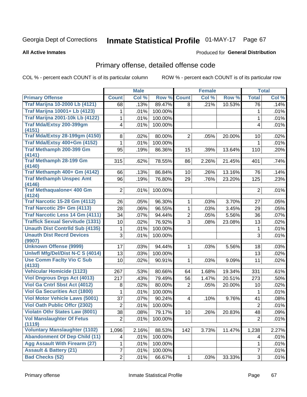# Inmate Statistical Profile 01-MAY-17 Page 67

**All Active Inmates** 

### Produced for General Distribution

## Primary offense, detailed offense code

COL % - percent each COUNT is of its particular column

|                                                |                 | <b>Male</b> |         |                         | <b>Female</b> |        |                | <b>Total</b> |
|------------------------------------------------|-----------------|-------------|---------|-------------------------|---------------|--------|----------------|--------------|
| <b>Primary Offense</b>                         | <b>Count</b>    | Col %       | Row %   | <b>Count</b>            | Col %         | Row %  | <b>Total</b>   | Col %        |
| <b>Traf Marijna 10-2000 Lb (4121)</b>          | 68              | .13%        | 89.47%  | 8                       | .21%          | 10.53% | 76             | .14%         |
| <b>Traf Marijna 10001+ Lb (4123)</b>           | 1               | .01%        | 100.00% |                         |               |        | 1              | .01%         |
| <b>Traf Marijna 2001-10k Lb (4122)</b>         | 1               | .01%        | 100.00% |                         |               |        | 1              | .01%         |
| Traf Mda/Extsy 200-399gm                       | 4               | .01%        | 100.00% |                         |               |        | 4              | .01%         |
| (4151)                                         |                 |             |         |                         |               |        |                |              |
| <b>Traf Mda/Extsy 28-199gm (4150)</b>          | 8               | .02%        | 80.00%  | $\overline{2}$          | .05%          | 20.00% | 10             | .02%         |
| Traf Mda/Extsy 400+Gm (4152)                   | 1               | .01%        | 100.00% |                         |               |        | 1              | .01%         |
| Traf Methamph 200-399 Gm                       | 95              | .19%        | 86.36%  | 15                      | .39%          | 13.64% | 110            | .20%         |
| (4141)<br><b>Traf Methamph 28-199 Gm</b>       | 315             | .62%        | 78.55%  | 86                      | 2.26%         | 21.45% | 401            | .74%         |
| (4140)                                         |                 |             |         |                         |               |        |                |              |
| Traf Methamph 400+ Gm (4142)                   | 66              | .13%        | 86.84%  | 10                      | .26%          | 13.16% | 76             | .14%         |
| <b>Traf Methamph Unspec Amt</b>                | 96              | .19%        | 76.80%  | 29                      | .76%          | 23.20% | 125            | .23%         |
| (4146)                                         |                 |             |         |                         |               |        |                |              |
| <b>Traf Methaqualone&lt; 400 Gm</b>            | $\overline{2}$  | .01%        | 100.00% |                         |               |        | $\overline{2}$ | .01%         |
| (4124)<br><b>Traf Narcotic 15-28 Gm (4112)</b> |                 |             |         |                         |               |        |                |              |
| Traf Narcotic 29+ Gm (4113)                    | 26              | .05%        | 96.30%  | 1                       | .03%          | 3.70%  | 27             | .05%         |
| <b>Traf Narcotic Less 14 Gm (4111)</b>         | 28              | .06%        | 96.55%  | 1                       | .03%          | 3.45%  | 29             | .05%         |
|                                                | 34              | .07%        | 94.44%  | $\overline{2}$          | .05%          | 5.56%  | 36             | .07%         |
| <b>Traffick Sexual Servitude (1331)</b>        | 10              | .02%        | 76.92%  | 3                       | .08%          | 23.08% | 13             | .02%         |
| <b>Unauth Dist Contrild Sub (4135)</b>         | 1               | .01%        | 100.00% |                         |               |        | 1              | .01%         |
| <b>Unauth Dist Recrd Devices</b>               | 3               | .01%        | 100.00% |                         |               |        | 3              | .01%         |
| (9907)<br><b>Unknown Offense (9999)</b>        | 17              | .03%        | 94.44%  | 1.                      | .03%          | 5.56%  | 18             | .03%         |
| Uniwfl Mfg/Del/Dist N-C S (4014)               | 13              | .03%        | 100.00% |                         |               |        | 13             | .02%         |
| <b>Use Comm Facity Vio C Sub</b>               | 10              | .02%        | 90.91%  | $\mathbf{1}$            | .03%          | 9.09%  | 11             | .02%         |
| (4133)                                         |                 |             |         |                         |               |        |                |              |
| <b>Vehicular Homicide (1123)</b>               | 267             | .53%        | 80.66%  | 64                      | 1.68%         | 19.34% | 331            | .61%         |
| <b>Viol Dngrous Drgs Act (4013)</b>            | 217             | .43%        | 79.49%  | 56                      | 1.47%         | 20.51% | 273            | .50%         |
| Viol Ga Cntrl Sbst Act (4012)                  | 8               | .02%        | 80.00%  | $\overline{2}$          | .05%          | 20.00% | 10             | .02%         |
| <b>Viol Ga Securities Act (1800)</b>           | 1               | .01%        | 100.00% |                         |               |        | 1              | .01%         |
| <b>Viol Motor Vehicle Laws (5001)</b>          | 37              | .07%        | 90.24%  | $\overline{\mathbf{4}}$ | .10%          | 9.76%  | 41             | .08%         |
| <b>Viol Oath Public Offcr (2302)</b>           | 2               | .01%        | 100.00% |                         |               |        | $\overline{2}$ | .01%         |
| <b>Violatn Othr States Law (8001)</b>          | $\overline{38}$ | .08%        | 79.17%  | 10 <sup>1</sup>         | .26%          | 20.83% | 48             | .09%         |
| <b>Vol Manslaughter Of Fetus</b>               | $\overline{2}$  | .01%        | 100.00% |                         |               |        | $\overline{2}$ | .01%         |
| (1119)                                         |                 |             |         |                         |               |        |                |              |
| <b>Voluntary Manslaughter (1102)</b>           | 1,096           | 2.16%       | 88.53%  | 142                     | 3.73%         | 11.47% | 1,238          | 2.27%        |
| <b>Abandonment Of Dep Child (11)</b>           | 4               | .01%        | 100.00% |                         |               |        | 4              | .01%         |
| <b>Agg Assault With Firearm (27)</b>           | 1               | .01%        | 100.00% |                         |               |        | 1              | .01%         |
| <b>Assault &amp; Battery (21)</b>              | 7               | .01%        | 100.00% |                         |               |        | $\overline{7}$ | .01%         |
| <b>Bad Checks (52)</b>                         | $\overline{2}$  | .01%        | 66.67%  | $\mathbf{1}$            | .03%          | 33.33% | 3              | .01%         |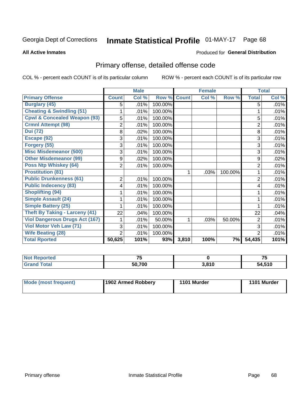# Inmate Statistical Profile 01-MAY-17 Page 68

### **All Active Inmates**

### Produced for General Distribution

## Primary offense, detailed offense code

COL % - percent each COUNT is of its particular column

|                                         |                | <b>Male</b> |         |              | <b>Female</b> |         |                | <b>Total</b> |
|-----------------------------------------|----------------|-------------|---------|--------------|---------------|---------|----------------|--------------|
| <b>Primary Offense</b>                  | <b>Count</b>   | Col %       | Row %   | <b>Count</b> | Col %         | Row %   | <b>Total</b>   | Col%         |
| <b>Burglary (45)</b>                    | 5              | .01%        | 100.00% |              |               |         | 5              | .01%         |
| <b>Cheating &amp; Swindling (51)</b>    |                | .01%        | 100.00% |              |               |         |                | .01%         |
| <b>Cpwl &amp; Concealed Weapon (93)</b> | 5              | .01%        | 100.00% |              |               |         | 5              | .01%         |
| <b>Crmnl Attempt (98)</b>               | $\overline{2}$ | .01%        | 100.00% |              |               |         | $\overline{2}$ | .01%         |
| <b>Dui (72)</b>                         | 8              | .02%        | 100.00% |              |               |         | 8              | .01%         |
| Escape (92)                             | 3              | .01%        | 100.00% |              |               |         | 3              | .01%         |
| Forgery (55)                            | 3              | .01%        | 100.00% |              |               |         | 3              | .01%         |
| <b>Misc Misdemeanor (500)</b>           | 3              | .01%        | 100.00% |              |               |         | 3              | .01%         |
| <b>Other Misdemeanor (99)</b>           | 9              | $.02\%$     | 100.00% |              |               |         | 9              | .02%         |
| <b>Poss Ntp Whiskey (64)</b>            | $\overline{2}$ | .01%        | 100.00% |              |               |         | $\overline{2}$ | .01%         |
| <b>Prostitution (81)</b>                |                |             |         | 1            | .03%          | 100.00% |                | .01%         |
| <b>Public Drunkenness (61)</b>          | $\overline{2}$ | .01%        | 100.00% |              |               |         | $\overline{2}$ | .01%         |
| <b>Public Indecency (83)</b>            | 4              | .01%        | 100.00% |              |               |         | 4              | .01%         |
| <b>Shoplifting (94)</b>                 |                | .01%        | 100.00% |              |               |         |                | .01%         |
| <b>Simple Assault (24)</b>              |                | .01%        | 100.00% |              |               |         |                | .01%         |
| <b>Simple Battery (25)</b>              |                | .01%        | 100.00% |              |               |         |                | .01%         |
| <b>Theft By Taking - Larceny (41)</b>   | 22             | .04%        | 100.00% |              |               |         | 22             | .04%         |
| <b>Viol Dangerous Drugs Act (167)</b>   |                | .01%        | 50.00%  | 1            | .03%          | 50.00%  | $\overline{2}$ | .01%         |
| Viol Motor Veh Law (71)                 | 3              | .01%        | 100.00% |              |               |         | 3              | .01%         |
| <b>Wife Beating (28)</b>                | $\overline{2}$ | .01%        | 100.00% |              |               |         | $\overline{2}$ | .01%         |
| <b>Total Rported</b>                    | 50,625         | 101%        | 93%     | 3,810        | 100%          | 7%      | 54,435         | 101%         |

| <b>Not Reported</b> | --     |       | --     |
|---------------------|--------|-------|--------|
| ` Totaï<br>'Grand.  | 50.700 | 3,810 | 54,510 |

| Mode (most frequent) | 1902 Armed Robbery | 1101 Murder | 1101 Murder |
|----------------------|--------------------|-------------|-------------|
|                      |                    |             |             |
|                      |                    |             |             |
|                      |                    |             |             |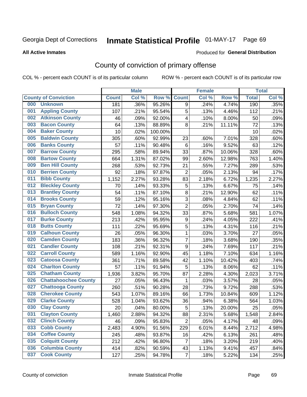# Inmate Statistical Profile 01-MAY-17 Page 69

**All Active Inmates** 

### Produced for General Distribution

## County of conviction of primary offense

COL % - percent each COUNT is of its particular column

|     |                             |              | <b>Male</b> |         |                | <b>Female</b> |        |              | <b>Total</b> |
|-----|-----------------------------|--------------|-------------|---------|----------------|---------------|--------|--------------|--------------|
|     | <b>County of Conviction</b> | <b>Count</b> | Col %       | Row %   | <b>Count</b>   | Col %         | Row %  | <b>Total</b> | Col %        |
| 000 | <b>Unknown</b>              | 181          | .36%        | 95.26%  | 9              | .24%          | 4.74%  | 190          | .35%         |
| 001 | <b>Appling County</b>       | 107          | .21%        | 95.54%  | 5              | .13%          | 4.46%  | 112          | .21%         |
| 002 | <b>Atkinson County</b>      | 46           | .09%        | 92.00%  | 4              | .10%          | 8.00%  | 50           | .09%         |
| 003 | <b>Bacon County</b>         | 64           | .13%        | 88.89%  | 8              | .21%          | 11.11% | 72           | .13%         |
| 004 | <b>Baker County</b>         | 10           | .02%        | 100.00% |                |               |        | 10           | .02%         |
| 005 | <b>Baldwin County</b>       | 305          | .60%        | 92.99%  | 23             | .60%          | 7.01%  | 328          | .60%         |
| 006 | <b>Banks County</b>         | 57           | .11%        | 90.48%  | 6              | .16%          | 9.52%  | 63           | .12%         |
| 007 | <b>Barrow County</b>        | 295          | .58%        | 89.94%  | 33             | .87%          | 10.06% | 328          | .60%         |
| 008 | <b>Bartow County</b>        | 664          | 1.31%       | 87.02%  | 99             | 2.60%         | 12.98% | 763          | 1.40%        |
| 009 | <b>Ben Hill County</b>      | 268          | .53%        | 92.73%  | 21             | .55%          | 7.27%  | 289          | .53%         |
| 010 | <b>Berrien County</b>       | 92           | .18%        | 97.87%  | $\overline{2}$ | .05%          | 2.13%  | 94           | .17%         |
| 011 | <b>Bibb County</b>          | 1,152        | 2.27%       | 93.28%  | 83             | 2.18%         | 6.72%  | 1,235        | 2.27%        |
| 012 | <b>Bleckley County</b>      | 70           | .14%        | 93.33%  | 5              | .13%          | 6.67%  | 75           | .14%         |
| 013 | <b>Brantley County</b>      | 54           | .11%        | 87.10%  | 8              | .21%          | 12.90% | 62           | .11%         |
| 014 | <b>Brooks County</b>        | 59           | .12%        | 95.16%  | 3              | .08%          | 4.84%  | 62           | .11%         |
| 015 | <b>Bryan County</b>         | 72           | .14%        | 97.30%  | $\overline{2}$ | .05%          | 2.70%  | 74           | .14%         |
| 016 | <b>Bulloch County</b>       | 548          | 1.08%       | 94.32%  | 33             | .87%          | 5.68%  | 581          | 1.07%        |
| 017 | <b>Burke County</b>         | 213          | .42%        | 95.95%  | 9              | .24%          | 4.05%  | 222          | .41%         |
| 018 | <b>Butts County</b>         | 111          | .22%        | 95.69%  | 5              | .13%          | 4.31%  | 116          | .21%         |
| 019 | <b>Calhoun County</b>       | 26           | .05%        | 96.30%  | $\mathbf{1}$   | .03%          | 3.70%  | 27           | .05%         |
| 020 | <b>Camden County</b>        | 183          | .36%        | 96.32%  | $\overline{7}$ | .18%          | 3.68%  | 190          | .35%         |
| 021 | <b>Candler County</b>       | 108          | .21%        | 92.31%  | 9              | .24%          | 7.69%  | 117          | .21%         |
| 022 | <b>Carroll County</b>       | 589          | 1.16%       | 92.90%  | 45             | 1.18%         | 7.10%  | 634          | 1.16%        |
| 023 | <b>Catoosa County</b>       | 361          | .71%        | 89.58%  | 42             | 1.10%         | 10.42% | 403          | .74%         |
| 024 | <b>Charlton County</b>      | 57           | .11%        | 91.94%  | 5              | .13%          | 8.06%  | 62           | .11%         |
| 025 | <b>Chatham County</b>       | 1,936        | 3.82%       | 95.70%  | 87             | 2.28%         | 4.30%  | 2,023        | 3.71%        |
| 026 | <b>Chattahoochee County</b> | 27           | .05%        | 96.43%  | 1              | .03%          | 3.57%  | 28           | .05%         |
| 027 | <b>Chattooga County</b>     | 260          | .51%        | 90.28%  | 28             | .73%          | 9.72%  | 288          | .53%         |
| 028 | <b>Cherokee County</b>      | 543          | 1.07%       | 89.16%  | 66             | 1.73%         | 10.84% | 609          | 1.12%        |
| 029 | <b>Clarke County</b>        | 528          | 1.04%       | 93.62%  | 36             | .94%          | 6.38%  | 564          | 1.03%        |
| 030 | <b>Clay County</b>          | 20           | .04%        | 80.00%  | 5              | .13%          | 20.00% | 25           | .05%         |
| 031 | <b>Clayton County</b>       | 1,460        | 2.88%       | 94.32%  | 88             | 2.31%         | 5.68%  | 1,548        | 2.84%        |
| 032 | <b>Clinch County</b>        | 46           | .09%        | 95.83%  | $\overline{2}$ | .05%          | 4.17%  | 48           | .09%         |
| 033 | <b>Cobb County</b>          | 2,483        | 4.90%       | 91.56%  | 229            | 6.01%         | 8.44%  | 2,712        | 4.98%        |
| 034 | <b>Coffee County</b>        | 245          | .48%        | 93.87%  | 16             | .42%          | 6.13%  | 261          | .48%         |
| 035 | <b>Colquitt County</b>      | 212          | .42%        | 96.80%  | $\overline{7}$ | .18%          | 3.20%  | 219          | .40%         |
| 036 | <b>Columbia County</b>      | 414          | .82%        | 90.59%  | 43             | 1.13%         | 9.41%  | 457          | .84%         |
| 037 | <b>Cook County</b>          | 127          | .25%        | 94.78%  | $\overline{7}$ | .18%          | 5.22%  | 134          | .25%         |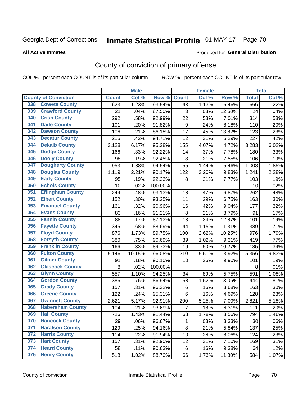# Inmate Statistical Profile 01-MAY-17 Page 70

### **All Active Inmates**

### Produced for General Distribution

## County of conviction of primary offense

COL % - percent each COUNT is of its particular column

|     |                             |              | <b>Male</b> |         |                  | <b>Female</b> |        |              | <b>Total</b> |
|-----|-----------------------------|--------------|-------------|---------|------------------|---------------|--------|--------------|--------------|
|     | <b>County of Conviction</b> | <b>Count</b> | Col %       | Row %   | <b>Count</b>     | Col %         | Row %  | <b>Total</b> | Col %        |
| 038 | <b>Coweta County</b>        | 623          | 1.23%       | 93.54%  | 43               | 1.13%         | 6.46%  | 666          | 1.22%        |
| 039 | <b>Crawford County</b>      | 21           | .04%        | 87.50%  | 3                | .08%          | 12.50% | 24           | .04%         |
| 040 | <b>Crisp County</b>         | 292          | .58%        | 92.99%  | 22               | .58%          | 7.01%  | 314          | .58%         |
| 041 | <b>Dade County</b>          | 101          | .20%        | 91.82%  | $\boldsymbol{9}$ | .24%          | 8.18%  | 110          | .20%         |
| 042 | <b>Dawson County</b>        | 106          | .21%        | 86.18%  | 17               | .45%          | 13.82% | 123          | .23%         |
| 043 | <b>Decatur County</b>       | 215          | .42%        | 94.71%  | 12               | .31%          | 5.29%  | 227          | .42%         |
| 044 | <b>Dekalb County</b>        | 3,128        | 6.17%       | 95.28%  | 155              | 4.07%         | 4.72%  | 3,283        | 6.02%        |
| 045 | <b>Dodge County</b>         | 166          | .33%        | 92.22%  | 14               | .37%          | 7.78%  | 180          | .33%         |
| 046 | <b>Dooly County</b>         | 98           | .19%        | 92.45%  | 8                | .21%          | 7.55%  | 106          | .19%         |
| 047 | <b>Dougherty County</b>     | 953          | 1.88%       | 94.54%  | 55               | 1.44%         | 5.46%  | 1,008        | 1.85%        |
| 048 | <b>Douglas County</b>       | 1,119        | 2.21%       | 90.17%  | 122              | 3.20%         | 9.83%  | 1,241        | 2.28%        |
| 049 | <b>Early County</b>         | 95           | .19%        | 92.23%  | 8                | .21%          | 7.77%  | 103          | .19%         |
| 050 | <b>Echols County</b>        | 10           | .02%        | 100.00% |                  |               |        | 10           | .02%         |
| 051 | <b>Effingham County</b>     | 244          | .48%        | 93.13%  | 18               | .47%          | 6.87%  | 262          | .48%         |
| 052 | <b>Elbert County</b>        | 152          | .30%        | 93.25%  | 11               | .29%          | 6.75%  | 163          | .30%         |
| 053 | <b>Emanuel County</b>       | 161          | .32%        | 90.96%  | 16               | .42%          | 9.04%  | 177          | .32%         |
| 054 | <b>Evans County</b>         | 83           | .16%        | 91.21%  | $\, 8$           | .21%          | 8.79%  | 91           | .17%         |
| 055 | <b>Fannin County</b>        | 88           | .17%        | 87.13%  | 13               | .34%          | 12.87% | 101          | .19%         |
| 056 | <b>Fayette County</b>       | 345          | .68%        | 88.69%  | 44               | 1.15%         | 11.31% | 389          | .71%         |
| 057 | <b>Floyd County</b>         | 876          | 1.73%       | 89.75%  | 100              | 2.62%         | 10.25% | 976          | 1.79%        |
| 058 | <b>Forsyth County</b>       | 380          | .75%        | 90.69%  | 39               | 1.02%         | 9.31%  | 419          | .77%         |
| 059 | <b>Franklin County</b>      | 166          | .33%        | 89.73%  | 19               | .50%          | 10.27% | 185          | .34%         |
| 060 | <b>Fulton County</b>        | 5,146        | 10.15%      | 96.08%  | 210              | 5.51%         | 3.92%  | 5,356        | 9.83%        |
| 061 | <b>Gilmer County</b>        | 91           | .18%        | 90.10%  | 10               | .26%          | 9.90%  | 101          | .19%         |
| 062 | <b>Glascock County</b>      | 8            | .02%        | 100.00% |                  |               |        | 8            | .01%         |
| 063 | <b>Glynn County</b>         | 557          | 1.10%       | 94.25%  | 34               | .89%          | 5.75%  | 591          | 1.08%        |
| 064 | <b>Gordon County</b>        | 386          | .76%        | 86.94%  | 58               | 1.52%         | 13.06% | 444          | .81%         |
| 065 | <b>Grady County</b>         | 157          | .31%        | 96.32%  | 6                | .16%          | 3.68%  | 163          | .30%         |
| 066 | <b>Greene County</b>        | 122          | .24%        | 95.31%  | 6                | .16%          | 4.69%  | 128          | .23%         |
| 067 | <b>Gwinnett County</b>      | 2,621        | 5.17%       | 92.91%  | 200              | 5.25%         | 7.09%  | 2,821        | 5.18%        |
| 068 | <b>Habersham County</b>     | 104          | .21%        | 93.69%  | 7                | .18%          | 6.31%  | 111          | .20%         |
| 069 | <b>Hall County</b>          | 726          | 1.43%       | 91.44%  | 68               | 1.78%         | 8.56%  | 794          | 1.46%        |
| 070 | <b>Hancock County</b>       | 29           | .06%        | 96.67%  | 1                | .03%          | 3.33%  | 30           | .06%         |
| 071 | <b>Haralson County</b>      | 129          | .25%        | 94.16%  | $\bf 8$          | .21%          | 5.84%  | 137          | .25%         |
| 072 | <b>Harris County</b>        | 114          | .22%        | 91.94%  | 10               | .26%          | 8.06%  | 124          | .23%         |
| 073 | <b>Hart County</b>          | 157          | .31%        | 92.90%  | 12               | .31%          | 7.10%  | 169          | .31%         |
| 074 | <b>Heard County</b>         | 58           | .11%        | 90.63%  | 6                | .16%          | 9.38%  | 64           | .12%         |
| 075 | <b>Henry County</b>         | 518          | 1.02%       | 88.70%  | 66               | 1.73%         | 11.30% | 584          | 1.07%        |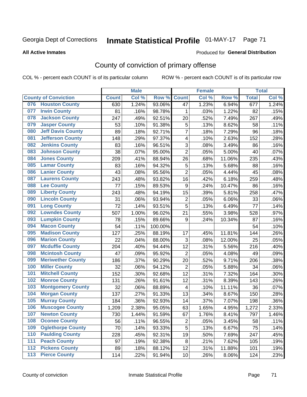# Inmate Statistical Profile 01-MAY-17 Page 71

### **All Active Inmates**

### Produced for General Distribution

## County of conviction of primary offense

COL % - percent each COUNT is of its particular column

|                             |                          |              | <b>Male</b> |         |                         | <b>Female</b> |        |              | <b>Total</b> |
|-----------------------------|--------------------------|--------------|-------------|---------|-------------------------|---------------|--------|--------------|--------------|
| <b>County of Conviction</b> |                          | <b>Count</b> | Col %       | Row %   | <b>Count</b>            | Col %         | Row %  | <b>Total</b> | Col %        |
| 076                         | <b>Houston County</b>    | 630          | 1.24%       | 93.06%  | 47                      | 1.23%         | 6.94%  | 677          | 1.24%        |
| 077                         | <b>Irwin County</b>      | 81           | .16%        | 98.78%  | 1                       | .03%          | 1.22%  | 82           | .15%         |
| 078                         | <b>Jackson County</b>    | 247          | .49%        | 92.51%  | 20                      | .52%          | 7.49%  | 267          | .49%         |
| 079                         | <b>Jasper County</b>     | 53           | .10%        | 91.38%  | 5                       | .13%          | 8.62%  | 58           | .11%         |
| 080                         | <b>Jeff Davis County</b> | 89           | .18%        | 92.71%  | $\overline{7}$          | .18%          | 7.29%  | 96           | .18%         |
| 081                         | <b>Jefferson County</b>  | 148          | .29%        | 97.37%  | 4                       | .10%          | 2.63%  | 152          | .28%         |
| 082                         | <b>Jenkins County</b>    | 83           | .16%        | 96.51%  | $\sqrt{3}$              | .08%          | 3.49%  | 86           | .16%         |
| 083                         | <b>Johnson County</b>    | 38           | .07%        | 95.00%  | $\overline{2}$          | .05%          | 5.00%  | 40           | .07%         |
| 084                         | <b>Jones County</b>      | 209          | .41%        | 88.94%  | 26                      | .68%          | 11.06% | 235          | .43%         |
| 085                         | <b>Lamar County</b>      | 83           | .16%        | 94.32%  | 5                       | .13%          | 5.68%  | 88           | .16%         |
| 086                         | <b>Lanier County</b>     | 43           | .08%        | 95.56%  | $\overline{2}$          | .05%          | 4.44%  | 45           | .08%         |
| 087                         | <b>Laurens County</b>    | 243          | .48%        | 93.82%  | 16                      | .42%          | 6.18%  | 259          | .48%         |
| 088                         | <b>Lee County</b>        | 77           | .15%        | 89.53%  | $\boldsymbol{9}$        | .24%          | 10.47% | 86           | .16%         |
| 089                         | <b>Liberty County</b>    | 243          | .48%        | 94.19%  | 15                      | .39%          | 5.81%  | 258          | .47%         |
| 090                         | <b>Lincoln County</b>    | 31           | .06%        | 93.94%  | $\overline{2}$          | .05%          | 6.06%  | 33           | .06%         |
| 091                         | <b>Long County</b>       | 72           | .14%        | 93.51%  | 5                       | .13%          | 6.49%  | 77           | .14%         |
| 092                         | <b>Lowndes County</b>    | 507          | 1.00%       | 96.02%  | 21                      | .55%          | 3.98%  | 528          | .97%         |
| 093                         | <b>Lumpkin County</b>    | 78           | .15%        | 89.66%  | 9                       | .24%          | 10.34% | 87           | .16%         |
| 094                         | <b>Macon County</b>      | 54           | .11%        | 100.00% |                         |               |        | 54           | .10%         |
| 095                         | <b>Madison County</b>    | 127          | .25%        | 88.19%  | 17                      | .45%          | 11.81% | 144          | .26%         |
| 096                         | <b>Marion County</b>     | 22           | .04%        | 88.00%  | $\sqrt{3}$              | .08%          | 12.00% | 25           | .05%         |
| 097                         | <b>Mcduffie County</b>   | 204          | .40%        | 94.44%  | 12                      | .31%          | 5.56%  | 216          | .40%         |
| 098                         | <b>Mcintosh County</b>   | 47           | .09%        | 95.92%  | $\overline{2}$          | .05%          | 4.08%  | 49           | .09%         |
| 099                         | <b>Meriwether County</b> | 186          | .37%        | 90.29%  | 20                      | .52%          | 9.71%  | 206          | .38%         |
| 100                         | <b>Miller County</b>     | 32           | .06%        | 94.12%  | $\overline{2}$          | .05%          | 5.88%  | 34           | .06%         |
| 101                         | <b>Mitchell County</b>   | 152          | .30%        | 92.68%  | 12                      | .31%          | 7.32%  | 164          | .30%         |
| 102                         | <b>Monroe County</b>     | 131          | .26%        | 91.61%  | 12                      | .31%          | 8.39%  | 143          | .26%         |
| 103                         | <b>Montgomery County</b> | 32           | .06%        | 88.89%  | $\overline{\mathbf{4}}$ | .10%          | 11.11% | 36           | .07%         |
| 104                         | <b>Morgan County</b>     | 137          | .27%        | 91.33%  | 13                      | .34%          | 8.67%  | 150          | .28%         |
| 105                         | <b>Murray County</b>     | 184          | .36%        | 92.93%  | 14                      | .37%          | 7.07%  | 198          | .36%         |
| 106                         | <b>Muscogee County</b>   | 1,209        | 2.38%       | 95.05%  | 63                      | 1.65%         | 4.95%  | 1,272        | 2.33%        |
| 107                         | <b>Newton County</b>     | 730          | 1.44%       | 91.59%  | 67                      | 1.76%         | 8.41%  | 797          | 1.46%        |
| 108                         | <b>Oconee County</b>     | 56           | .11%        | 96.55%  | $\overline{c}$          | .05%          | 3.45%  | 58           | .11%         |
| 109                         | <b>Oglethorpe County</b> | 70           | .14%        | 93.33%  | 5                       | .13%          | 6.67%  | 75           | .14%         |
| 110                         | <b>Paulding County</b>   | 228          | .45%        | 92.31%  | 19                      | .50%          | 7.69%  | 247          | .45%         |
| 111                         | <b>Peach County</b>      | 97           | .19%        | 92.38%  | 8                       | .21%          | 7.62%  | 105          | .19%         |
| 112                         | <b>Pickens County</b>    | 89           | .18%        | 88.12%  | 12                      | .31%          | 11.88% | 101          | .19%         |
| 113                         | <b>Pierce County</b>     | 114          | .22%        | 91.94%  | 10                      | .26%          | 8.06%  | 124          | .23%         |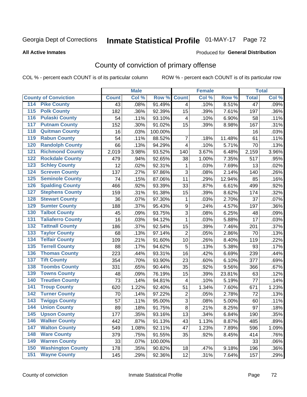#### **Inmate Statistical Profile 01-MAY-17** Page 72

### **All Active Inmates**

### Produced for General Distribution

## County of conviction of primary offense

COL % - percent each COUNT is of its particular column

|                                          |              | <b>Male</b> |         |                | <b>Female</b> |        |                 | <b>Total</b> |
|------------------------------------------|--------------|-------------|---------|----------------|---------------|--------|-----------------|--------------|
| <b>County of Conviction</b>              | <b>Count</b> | Col %       | Row %   | <b>Count</b>   | Col %         | Row %  | <b>Total</b>    | Col %        |
| <b>Pike County</b><br>114                | 43           | .08%        | 91.49%  | $\overline{4}$ | .10%          | 8.51%  | $\overline{47}$ | .09%         |
| <b>Polk County</b><br>$\overline{115}$   | 182          | .36%        | 92.39%  | 15             | .39%          | 7.61%  | 197             | .36%         |
| <b>Pulaski County</b><br>116             | 54           | .11%        | 93.10%  | 4              | .10%          | 6.90%  | 58              | .11%         |
| <b>Putnam County</b><br>117              | 152          | .30%        | 91.02%  | 15             | .39%          | 8.98%  | 167             | .31%         |
| <b>Quitman County</b><br>118             | 16           | .03%        | 100.00% |                |               |        | 16              | .03%         |
| <b>Rabun County</b><br>119               | 54           | .11%        | 88.52%  | $\overline{7}$ | .18%          | 11.48% | 61              | .11%         |
| <b>Randolph County</b><br>120            | 66           | .13%        | 94.29%  | 4              | .10%          | 5.71%  | 70              | .13%         |
| <b>Richmond County</b><br>121            | 2,019        | 3.98%       | 93.52%  | 140            | 3.67%         | 6.48%  | 2,159           | 3.96%        |
| <b>Rockdale County</b><br>122            | 479          | .94%        | 92.65%  | 38             | 1.00%         | 7.35%  | 517             | .95%         |
| <b>Schley County</b><br>123              | 12           | .02%        | 92.31%  | 1              | .03%          | 7.69%  | 13              | .02%         |
| <b>Screven County</b><br>124             | 137          | .27%        | 97.86%  | 3              | .08%          | 2.14%  | 140             | .26%         |
| <b>Seminole County</b><br>125            | 74           | .15%        | 87.06%  | 11             | .29%          | 12.94% | 85              | .16%         |
| <b>Spalding County</b><br>126            | 466          | .92%        | 93.39%  | 33             | .87%          | 6.61%  | 499             | .92%         |
| <b>Stephens County</b><br>127            | 159          | .31%        | 91.38%  | 15             | .39%          | 8.62%  | 174             | .32%         |
| <b>Stewart County</b><br>128             | 36           | .07%        | 97.30%  | 1              | .03%          | 2.70%  | 37              | .07%         |
| <b>Sumter County</b><br>129              | 188          | .37%        | 95.43%  | 9              | .24%          | 4.57%  | 197             | .36%         |
| <b>Talbot County</b><br>130              | 45           | .09%        | 93.75%  | 3              | .08%          | 6.25%  | 48              | .09%         |
| <b>Taliaferro County</b><br>131          | 16           | .03%        | 94.12%  | 1              | .03%          | 5.88%  | 17              | .03%         |
| <b>Tattnall County</b><br>132            | 186          | .37%        | 92.54%  | 15             | .39%          | 7.46%  | 201             | .37%         |
| <b>Taylor County</b><br>133              | 68           | .13%        | 97.14%  | $\overline{2}$ | .05%          | 2.86%  | 70              | .13%         |
| <b>Telfair County</b><br>134             | 109          | .21%        | 91.60%  | 10             | .26%          | 8.40%  | 119             | .22%         |
| <b>Terrell County</b><br>135             | 88           | .17%        | 94.62%  | 5              | .13%          | 5.38%  | 93              | .17%         |
| <b>Thomas County</b><br>136              | 223          | .44%        | 93.31%  | 16             | .42%          | 6.69%  | 239             | .44%         |
| <b>Tift County</b><br>137                | 354          | .70%        | 93.90%  | 23             | .60%          | 6.10%  | 377             | .69%         |
| <b>Toombs County</b><br>138              | 331          | .65%        | 90.44%  | 35             | .92%          | 9.56%  | 366             | .67%         |
| <b>Towns County</b><br>139               | 48           | .09%        | 76.19%  | 15             | .39%          | 23.81% | 63              | .12%         |
| <b>Treutlen County</b><br>140            | 73           | .14%        | 94.81%  | 4              | .10%          | 5.19%  | 77              | .14%         |
| <b>Troup County</b><br>141               | 620          | 1.22%       | 92.40%  | 51             | 1.34%         | 7.60%  | 671             | 1.23%        |
| <b>Turner County</b><br>142              | 70           | .14%        | 97.22%  | $\overline{2}$ | .05%          | 2.78%  | 72              | .13%         |
| <b>Twiggs County</b><br>$\overline{143}$ | 57           | .11%        | 95.00%  | $\overline{3}$ | .08%          | 5.00%  | 60              | .11%         |
| <b>Union County</b><br>144               | 89           | .18%        | 91.75%  | 8              | .21%          | 8.25%  | 97              | .18%         |
| 145<br><b>Upson County</b>               | 177          | .35%        | 93.16%  | 13             | .34%          | 6.84%  | 190             | .35%         |
| <b>Walker County</b><br>146              | 442          | .87%        | 91.13%  | 43             | 1.13%         | 8.87%  | 485             | .89%         |
| 147<br><b>Walton County</b>              | 549          | 1.08%       | 92.11%  | 47             | 1.23%         | 7.89%  | 596             | 1.09%        |
| <b>Ware County</b><br>148                | 379          | .75%        | 91.55%  | 35             | .92%          | 8.45%  | 414             | .76%         |
| <b>Warren County</b><br>149              | 33           | .07%        | 100.00% |                |               |        | 33              | .06%         |
| <b>Washington County</b><br>150          | 178          | .35%        | 90.82%  | 18             | .47%          | 9.18%  | 196             | .36%         |
| <b>Wayne County</b><br>151               | 145          | .29%        | 92.36%  | 12             | .31%          | 7.64%  | 157             | .29%         |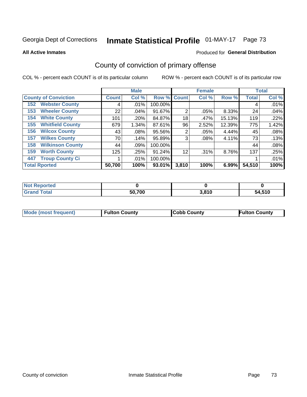# Inmate Statistical Profile 01-MAY-17 Page 73

**All Active Inmates** 

### Produced for General Distribution

## County of conviction of primary offense

COL % - percent each COUNT is of its particular column

|                                |              | <b>Male</b> |             |                | <b>Female</b> |        |              | <b>Total</b> |
|--------------------------------|--------------|-------------|-------------|----------------|---------------|--------|--------------|--------------|
| <b>County of Conviction</b>    | <b>Count</b> | Col %       | Row % Count |                | Col %         | Row %  | <b>Total</b> | Col %        |
| <b>Webster County</b><br>152   | 4            | $.01\%$     | 100.00%     |                |               |        | 4            | .01%         |
| <b>Wheeler County</b><br>153   | 22           | $.04\%$     | 91.67%      | $\overline{2}$ | .05%          | 8.33%  | 24           | .04%         |
| <b>White County</b><br>154     | 101          | .20%        | 84.87%      | 18             | .47%          | 15.13% | 119          | .22%         |
| <b>Whitfield County</b><br>155 | 679          | 1.34%       | 87.61%      | 96             | 2.52%         | 12.39% | 775          | 1.42%        |
| <b>Wilcox County</b><br>156    | 43           | $.08\%$     | 95.56%      | 2              | .05%          | 4.44%  | 45           | .08%         |
| <b>Wilkes County</b><br>157    | 70           | .14%        | 95.89%      | 3              | $.08\%$       | 4.11%  | 73           | .13%         |
| <b>Wilkinson County</b><br>158 | 44           | .09%        | 100.00%     |                |               |        | 44           | .08%         |
| <b>Worth County</b><br>159     | 125          | .25%        | 91.24%      | 12             | .31%          | 8.76%  | 137          | .25%         |
| <b>Troup County Ci</b><br>447  |              | $.01\%$     | 100.00%     |                |               |        |              | .01%         |
| <b>Total Rported</b>           | 50,700       | 100%        | 93.01%      | 3,810          | 100%          | 6.99%  | 54,510       | 100%         |

| <b>Not Reported</b> |        |       |        |
|---------------------|--------|-------|--------|
| <b>Grand Total</b>  | 50,700 | 3,810 | 54,510 |

|  | <b>Mode (most frequent)</b> | <b>Fulton County</b> | <b>Cobb County</b> | <b>Fulton County</b> |
|--|-----------------------------|----------------------|--------------------|----------------------|
|--|-----------------------------|----------------------|--------------------|----------------------|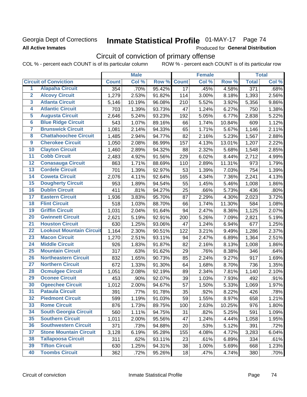## Georgia Dept of Corrections **All Active Inmates**

# Inmate Statistical Profile 01-MAY-17 Page 74

Produced for General Distribution

## Circuit of conviction of primary offense

COL % - percent each COUNT is of its particular column ROW % - percent each COUNT is of its particular row

|                         |                                 |              | <b>Male</b> |        |                 | <b>Female</b> |        |                    | <b>Total</b>        |
|-------------------------|---------------------------------|--------------|-------------|--------|-----------------|---------------|--------|--------------------|---------------------|
|                         | <b>Circuit of Conviction</b>    | <b>Count</b> | Col %       | Row %  | <b>Count</b>    | Col %         | Row %  | <b>Total</b>       | Col%                |
| 1                       | <b>Alapaha Circuit</b>          | 354          | .70%        | 95.42% | $\overline{17}$ | .45%          | 4.58%  | 371                | .68%                |
| $\overline{2}$          | <b>Alcovy Circuit</b>           | 1,279        | 2.53%       | 91.82% | 114             | 3.00%         | 8.18%  | 1,393              | 2.56%               |
| $\overline{\mathbf{3}}$ | <b>Atlanta Circuit</b>          | 5,146        | 10.19%      | 96.08% | 210             | 5.52%         | 3.92%  | 5,356              | 9.86%               |
| 4                       | <b>Atlantic Circuit</b>         | 703          | 1.39%       | 93.73% | 47              | 1.24%         | 6.27%  | 750                | 1.38%               |
| 5                       | <b>Augusta Circuit</b>          | 2,646        | 5.24%       | 93.23% | 192             | 5.05%         | 6.77%  | 2,838              | 5.22%               |
| $\overline{\mathbf{6}}$ | <b>Blue Ridge Circuit</b>       | 543          | 1.07%       | 89.16% | 66              | 1.74%         | 10.84% | 609                | 1.12%               |
| $\overline{\mathbf{7}}$ | <b>Brunswick Circuit</b>        | 1,081        | 2.14%       | 94.33% | 65              | 1.71%         | 5.67%  | 1,146              | 2.11%               |
| 8                       | <b>Chattahoochee Circuit</b>    | 1,485        | 2.94%       | 94.77% | 82              | 2.16%         | 5.23%  | 1,567              | 2.88%               |
| $\overline{9}$          | <b>Cherokee Circuit</b>         | 1,050        | 2.08%       | 86.99% | 157             | 4.13%         | 13.01% | 1,207              | 2.22%               |
| 10                      | <b>Clayton Circuit</b>          | 1,460        | 2.89%       | 94.32% | 88              | 2.32%         | 5.68%  | 1,548              | 2.85%               |
| $\overline{11}$         | <b>Cobb Circuit</b>             | 2,483        | 4.92%       | 91.56% | 229             | 6.02%         | 8.44%  | 2,712              | 4.99%               |
| 12                      | <b>Conasauga Circuit</b>        | 863          | 1.71%       | 88.69% | 110             | 2.89%         | 11.31% | 973                | 1.79%               |
| $\overline{13}$         | <b>Cordele Circuit</b>          | 701          | 1.39%       | 92.97% | 53              | 1.39%         | 7.03%  | 754                | 1.39%               |
| $\overline{14}$         | <b>Coweta Circuit</b>           | 2,076        | 4.11%       | 92.64% | 165             | 4.34%         | 7.36%  | 2,241              | 4.13%               |
| $\overline{15}$         | <b>Dougherty Circuit</b>        | 953          | 1.89%       | 94.54% | 55              | 1.45%         | 5.46%  | 1,008              | 1.86%               |
| 16                      | <b>Dublin Circuit</b>           | 411          | .81%        | 94.27% | 25              | .66%          | 5.73%  | 436                | .80%                |
| $\overline{17}$         | <b>Eastern Circuit</b>          | 1,936        | 3.83%       | 95.70% | 87              | 2.29%         | 4.30%  | $\overline{2,023}$ | 3.72%               |
| 18                      | <b>Flint Circuit</b>            | 518          | 1.03%       | 88.70% | 66              | 1.74%         | 11.30% | 584                | 1.08%               |
| 19                      | <b>Griffin Circuit</b>          | 1,031        | 2.04%       | 91.64% | 94              | 2.47%         | 8.36%  | 1,125              | 2.07%               |
| 20                      | <b>Gwinnett Circuit</b>         | 2,621        | 5.19%       | 92.91% | 200             | 5.26%         | 7.09%  | 2,821              | 5.19%               |
| $\overline{21}$         | <b>Houston Circuit</b>          | 630          | 1.25%       | 93.06% | 47              | 1.24%         | 6.94%  | 677                | 1.25%               |
| $\overline{22}$         | <b>Lookout Mountain Circuit</b> | 1,164        | 2.30%       | 90.51% | 122             | 3.21%         | 9.49%  | 1,286              | 2.37%               |
| 23                      | <b>Macon Circuit</b>            | 1,270        | 2.51%       | 93.11% | 94              | 2.47%         | 6.89%  | 1,364              | 2.51%               |
| $\overline{24}$         | <b>Middle Circuit</b>           | 926          | 1.83%       | 91.87% | 82              | 2.16%         | 8.13%  | 1,008              | 1.86%               |
| $\overline{25}$         | <b>Mountain Circuit</b>         | 317          | .63%        | 91.62% | 29              | .76%          | 8.38%  | 346                | .64%                |
| 26                      | <b>Northeastern Circuit</b>     | 832          | 1.65%       | 90.73% | 85              | 2.24%         | 9.27%  | 917                | $1.69\%$            |
| $\overline{27}$         | <b>Northern Circuit</b>         | 672          | 1.33%       | 91.30% | 64              | 1.68%         | 8.70%  | 736                | 1.35%               |
| 28                      | <b>Ocmulgee Circuit</b>         | 1,051        | 2.08%       | 92.19% | 89              | 2.34%         | 7.81%  | 1,140              | 2.10%               |
| 29                      | <b>Oconee Circuit</b>           | 453          | .90%        | 92.07% | 39              | 1.03%         | 7.93%  | 492                | .91%                |
| 30                      | <b>Ogeechee Circuit</b>         | 1,012        | 2.00%       | 94.67% | 57              | 1.50%         | 5.33%  | 1,069              | 1.97%               |
| $\overline{31}$         | <b>Pataula Circuit</b>          | 391          | .77%        | 91.78% | 35              | .92%          | 8.22%  | 426                | .78%                |
| 32                      | <b>Piedmont Circuit</b>         | 599          | 1.19%       | 91.03% | 59              | 1.55%         | 8.97%  | 658                | 1.21%               |
| 33                      | <b>Rome Circuit</b>             | 876          | 1.73%       | 89.75% | 100             | 2.63%         | 10.25% | 976                | $\overline{1.80\%}$ |
| 34                      | <b>South Georgia Circuit</b>    | 560          | 1.11%       | 94.75% | 31              | .82%          | 5.25%  | 591                | 1.09%               |
| 35                      | <b>Southern Circuit</b>         | 1,011        | 2.00%       | 95.56% | 47              | 1.24%         | 4.44%  | 1,058              | 1.95%               |
| 36                      | <b>Southwestern Circuit</b>     | 371          | .73%        | 94.88% | 20              | .53%          | 5.12%  | 391                | .72%                |
| 37                      | <b>Stone Mountain Circuit</b>   | 3,128        | 6.19%       | 95.28% | 155             | 4.08%         | 4.72%  | 3,283              | 6.04%               |
| 38                      | <b>Tallapoosa Circuit</b>       | 311          | .62%        | 93.11% | 23              | .61%          | 6.89%  | 334                | .61%                |
| 39                      | <b>Tifton Circuit</b>           | 630          | 1.25%       | 94.31% | 38              | 1.00%         | 5.69%  | 668                | 1.23%               |
| 40                      | <b>Toombs Circuit</b>           | 362          | .72%        | 95.26% | 18              | .47%          | 4.74%  | 380                | .70%                |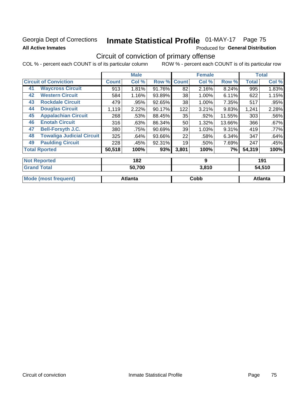## Georgia Dept of Corrections **All Active Inmates**

# Inmate Statistical Profile 01-MAY-17 Page 75

Produced for General Distribution

## Circuit of conviction of primary offense

COL % - percent each COUNT is of its particular column ROW % - percent each COUNT is of its particular row

|                                        |              | <b>Male</b> |        |              | <b>Female</b> |        |              | <b>Total</b> |
|----------------------------------------|--------------|-------------|--------|--------------|---------------|--------|--------------|--------------|
| <b>Circuit of Conviction</b>           | <b>Count</b> | Col %       | Row %  | <b>Count</b> | Col %         | Row %  | <b>Total</b> | Col %        |
| <b>Waycross Circuit</b><br>41          | 913          | 1.81%       | 91.76% | 82           | 2.16%         | 8.24%  | 995          | 1.83%        |
| <b>Western Circuit</b><br>42           | 584          | 1.16%       | 93.89% | 38           | 1.00%         | 6.11%  | 622          | 1.15%        |
| <b>Rockdale Circuit</b><br>43          | 479          | .95%        | 92.65% | 38           | 1.00%         | 7.35%  | 517          | .95%         |
| <b>Douglas Circuit</b><br>44           | 1,119        | 2.22%       | 90.17% | 122          | 3.21%         | 9.83%  | 1,241        | 2.28%        |
| <b>Appalachian Circuit</b><br>45       | 268          | .53%        | 88.45% | 35           | .92%          | 11.55% | 303          | .56%         |
| <b>Enotah Circuit</b><br>46            | 316          | .63%        | 86.34% | 50           | 1.32%         | 13.66% | 366          | .67%         |
| <b>Bell-Forsyth J.C.</b><br>47         | 380          | .75%        | 90.69% | 39           | 1.03%         | 9.31%  | 419          | .77%         |
| <b>Towaliga Judicial Circuit</b><br>48 | 325          | .64%        | 93.66% | 22           | .58%          | 6.34%  | 347          | .64%         |
| <b>Paulding Circuit</b><br>49          | 228          | .45%        | 92.31% | 19           | .50%          | 7.69%  | 247          | .45%         |
| <b>Total Rported</b>                   | 50,518       | 100%        | 93%    | 3,801        | 100%          | 7%     | 54,319       | 100%         |
| <b>Not Reported</b>                    |              | 182         |        |              | 9             |        |              | 191          |
| Cronal Total                           |              | $E0$ 700    |        |              | 0.010         |        |              | EA EAN       |

| . Granc<br><b>Total</b>   | 50,700  | 3.81U | 54.510  |
|---------------------------|---------|-------|---------|
| Mode (<br>(most frequent) | Atlanta | Cobb  | Atlanta |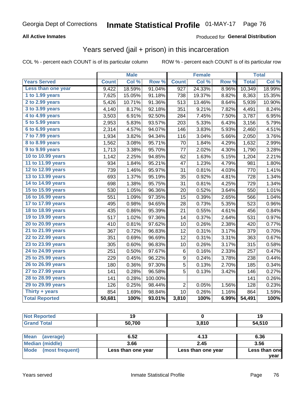#### **All Active Inmates**

#### Produced for **General Distribution**

### Years served (jail + prison) in this incarceration

|                              |              | <b>Male</b> |         |                  | <b>Female</b> |                  |              | <b>Total</b> |
|------------------------------|--------------|-------------|---------|------------------|---------------|------------------|--------------|--------------|
| <b>Years Served</b>          | <b>Count</b> | Col %       | Row %   | <b>Count</b>     | Col %         | Row <sub>%</sub> | <b>Total</b> | Col%         |
| Less than one year           | 9,422        | 18.59%      | 91.04%  | $\overline{927}$ | 24.33%        | 8.96%            | 10,349       | 18.99%       |
| 1 to 1.99 years              | 7,625        | 15.05%      | 91.18%  | 738              | 19.37%        | 8.82%            | 8,363        | 15.35%       |
| $2$ to 2.99 years            | 5,426        | 10.71%      | 91.36%  | 513              | 13.46%        | 8.64%            | 5,939        | 10.90%       |
| $3$ to $3.99$ years          | 4,140        | 8.17%       | 92.18%  | 351              | 9.21%         | 7.82%            | 4,491        | 8.24%        |
| $\overline{4}$ to 4.99 years | 3,503        | 6.91%       | 92.50%  | 284              | 7.45%         | 7.50%            | 3,787        | 6.95%        |
| 5 to 5.99 years              | 2,953        | 5.83%       | 93.57%  | 203              | 5.33%         | 6.43%            | 3,156        | 5.79%        |
| 6 to 6.99 years              | 2,314        | 4.57%       | 94.07%  | 146              | 3.83%         | 5.93%            | 2,460        | 4.51%        |
| 7 to 7.99 years              | 1,934        | 3.82%       | 94.34%  | 116              | 3.04%         | 5.66%            | 2,050        | 3.76%        |
| <b>8 to 8.99 years</b>       | 1,562        | 3.08%       | 95.71%  | 70               | 1.84%         | 4.29%            | 1,632        | 2.99%        |
| 9 to 9.99 years              | 1,713        | 3.38%       | 95.70%  | 77               | 2.02%         | 4.30%            | 1,790        | 3.28%        |
| 10 to 10.99 years            | 1,142        | 2.25%       | 94.85%  | 62               | 1.63%         | 5.15%            | 1,204        | 2.21%        |
| 11 to 11.99 years            | 934          | 1.84%       | 95.21%  | 47               | 1.23%         | 4.79%            | 981          | 1.80%        |
| 12 to 12.99 years            | 739          | 1.46%       | 95.97%  | 31               | 0.81%         | 4.03%            | 770          | 1.41%        |
| 13 to 13.99 years            | 693          | 1.37%       | 95.19%  | 35               | 0.92%         | 4.81%            | 728          | 1.34%        |
| 14 to 14.99 years            | 698          | 1.38%       | 95.75%  | 31               | 0.81%         | 4.25%            | 729          | 1.34%        |
| 15 to 15.99 years            | 530          | 1.05%       | 96.36%  | 20               | 0.52%         | 3.64%            | 550          | 1.01%        |
| 16 to 16.99 years            | 551          | 1.09%       | 97.35%  | 15               | 0.39%         | 2.65%            | 566          | 1.04%        |
| 17 to 17.99 years            | 495          | 0.98%       | 94.65%  | 28               | 0.73%         | 5.35%            | 523          | 0.96%        |
| 18 to 18.99 years            | 435          | 0.86%       | 95.39%  | 21               | 0.55%         | 4.61%            | 456          | 0.84%        |
| 19 to 19.99 years            | 517          | 1.02%       | 97.36%  | 14               | 0.37%         | 2.64%            | 531          | 0.97%        |
| 20 to 20.99 years            | 410          | 0.81%       | 97.62%  | 10               | 0.26%         | 2.38%            | 420          | 0.77%        |
| 21 to 21.99 years            | 367          | 0.72%       | 96.83%  | 12               | 0.31%         | 3.17%            | 379          | 0.70%        |
| 22 to 22.99 years            | 351          | 0.69%       | 96.69%  | 12               | 0.31%         | 3.31%            | 363          | 0.67%        |
| 23 to 23.99 years            | 305          | 0.60%       | 96.83%  | 10               | 0.26%         | 3.17%            | 315          | 0.58%        |
| 24 to 24.99 years            | 251          | 0.50%       | 97.67%  | 6                | 0.16%         | 2.33%            | 257          | 0.47%        |
| 25 to 25.99 years            | 229          | 0.45%       | 96.22%  | 9                | 0.24%         | 3.78%            | 238          | 0.44%        |
| 26 to 26.99 years            | 180          | 0.36%       | 97.30%  | 5                | 0.13%         | 2.70%            | 185          | 0.34%        |
| 27 to 27.99 years            | 141          | 0.28%       | 96.58%  | 5                | 0.13%         | 3.42%            | 146          | 0.27%        |
| 28 to 28.99 years            | 141          | 0.28%       | 100.00% |                  |               |                  | 141          | 0.26%        |
| 29 to 29.99 years            | 126          | 0.25%       | 98.44%  | $\overline{c}$   | 0.05%         | 1.56%            | 128          | 0.23%        |
| Thirty + years               | 854          | 1.69%       | 98.84%  | 10               | 0.26%         | 1.16%            | 864          | 1.59%        |
| <b>Total Reported</b>        | 50,681       | 100%        | 93.01%  | 3,810            | 100%          | 6.99%            | 54,491       | 100%         |

| <b>Not Reported</b>      | 19                 |                    | 19            |
|--------------------------|--------------------|--------------------|---------------|
| <b>Grand Total</b>       | 50,700             | 3,810              | 54,510        |
|                          |                    |                    |               |
| <b>Mean</b><br>(average) | 6.52               | 4.13               | 6.36          |
| <b>Median (middle)</b>   | 3.66               | 2.45               | 3.56          |
| Mode (most frequent)     | Less than one year | Less than one year | Less than one |
|                          |                    |                    | vear          |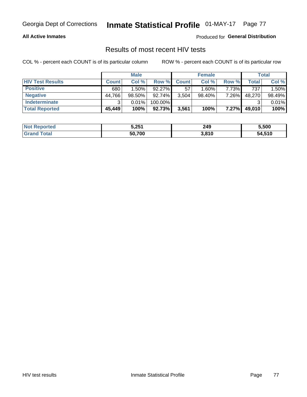#### **All Active Inmates**

Produced for **General Distribution**

### Results of most recent HIV tests

|                         |              | <b>Male</b> |           |              | <b>Female</b> |       |        | Total  |
|-------------------------|--------------|-------------|-----------|--------------|---------------|-------|--------|--------|
| <b>HIV Test Results</b> | <b>Count</b> | Col %       | Row %I    | <b>Count</b> | Col %         | Row % | Total  | Col %  |
| <b>Positive</b>         | 680          | 1.50%       | $92.27\%$ | 57           | $1.60\%$      | 7.73% | 737    | 1.50%  |
| <b>Negative</b>         | 44,766       | $98.50\%$   | 92.74%    | 3,504        | 98.40%        | 7.26% | 48,270 | 98.49% |
| Indeterminate           | າ            | 0.01%       | 100.00%   |              |               |       |        | 0.01%  |
| <b>Total Reported</b>   | 45,449       | 100%        | 92.73%    | 3,561        | 100%          | 7.27% | 49,010 | 100%   |

| <b>Not Reported</b>     | 5,251  | 249   | 5,500  |
|-------------------------|--------|-------|--------|
| <b>Total</b><br>' Grand | 50,700 | 3,810 | 54,510 |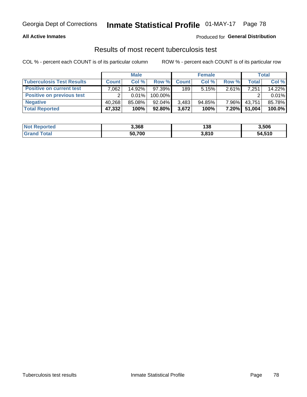#### **All Active Inmates**

#### Produced for **General Distribution**

### Results of most recent tuberculosis test

|                                  |              | <b>Male</b> |           |              | <b>Female</b> |          |        | Total  |
|----------------------------------|--------------|-------------|-----------|--------------|---------------|----------|--------|--------|
| <b>Tuberculosis Test Results</b> | <b>Count</b> | Col%        | Row %     | <b>Count</b> | Col%          | Row %    | Total  | Col %  |
| <b>Positive on current test</b>  | .062         | 14.92%      | 97.39%    | 189          | 5.15%         | 2.61%    | 7,251  | 14.22% |
| <b>Positive on previous test</b> | ົ            | $0.01\%$    | 100.00%   |              |               |          |        | 0.01%  |
| <b>Negative</b>                  | 40,268       | 85.08%      | $92.04\%$ | 3,483        | $94.85\%$     | $7.96\%$ | 43,751 | 85.78% |
| <b>Total Reported</b>            | 47,332       | 100%        | $92.80\%$ | 3,672        | 100%          | $7.20\%$ | 51,004 | 100.0% |

| <b>Not Reported</b> | 3,368  | 138   | 3,506  |
|---------------------|--------|-------|--------|
| Total<br>' Grand    | 50,700 | 3,810 | 54,510 |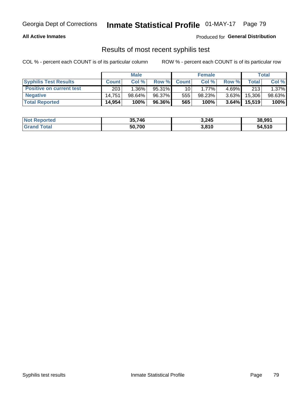#### **All Active Inmates**

Produced for **General Distribution**

### Results of most recent syphilis test

|                                 | <b>Male</b>  |           |        | <b>Female</b>   |          |          | Total   |        |
|---------------------------------|--------------|-----------|--------|-----------------|----------|----------|---------|--------|
| <b>Syphilis Test Results</b>    | <b>Count</b> | Col%      | Row %  | <b>Count</b>    | Col %    | Row %    | Total I | Col %  |
| <b>Positive on current test</b> | 203          | $1.36\%$  | 95.31% | 10 <sub>1</sub> | $1.77\%$ | $4.69\%$ | 213     | 1.37%  |
| <b>Negative</b>                 | 14.751       | $98.64\%$ | 96.37% | 555             | 98.23%   | $3.63\%$ | 15,306  | 98.63% |
| <b>Total Reported</b>           | 14,954       | 100%      | 96.36% | 565             | 100%     | $3.64\%$ | 15,519  | 100%   |

| <b>Not Reported</b> | 35,746 | 3,245 | 38,991 |
|---------------------|--------|-------|--------|
| <b>Grand Total</b>  | 50,700 | 3,810 | 54,510 |